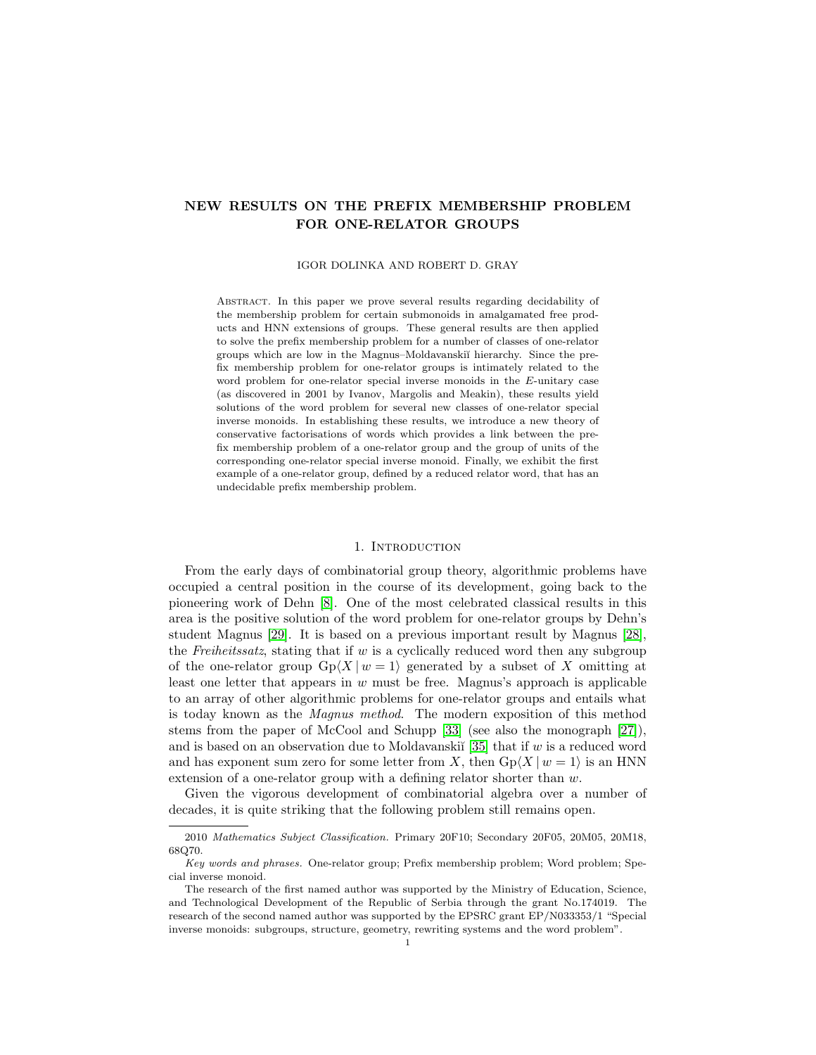# NEW RESULTS ON THE PREFIX MEMBERSHIP PROBLEM FOR ONE-RELATOR GROUPS

#### IGOR DOLINKA AND ROBERT D. GRAY

Abstract. In this paper we prove several results regarding decidability of the membership problem for certain submonoids in amalgamated free products and HNN extensions of groups. These general results are then applied to solve the prefix membership problem for a number of classes of one-relator groups which are low in the Magnus–Moldavanski˘ı hierarchy. Since the prefix membership problem for one-relator groups is intimately related to the word problem for one-relator special inverse monoids in the E-unitary case (as discovered in 2001 by Ivanov, Margolis and Meakin), these results yield solutions of the word problem for several new classes of one-relator special inverse monoids. In establishing these results, we introduce a new theory of conservative factorisations of words which provides a link between the prefix membership problem of a one-relator group and the group of units of the corresponding one-relator special inverse monoid. Finally, we exhibit the first example of a one-relator group, defined by a reduced relator word, that has an undecidable prefix membership problem.

#### 1. INTRODUCTION

From the early days of combinatorial group theory, algorithmic problems have occupied a central position in the course of its development, going back to the pioneering work of Dehn [\[8\]](#page-47-0). One of the most celebrated classical results in this area is the positive solution of the word problem for one-relator groups by Dehn's student Magnus [\[29\]](#page-48-0). It is based on a previous important result by Magnus [\[28\]](#page-48-1), the Freiheitssatz, stating that if  $w$  is a cyclically reduced word then any subgroup of the one-relator group  $Gp\langle X | w = 1 \rangle$  generated by a subset of X omitting at least one letter that appears in  $w$  must be free. Magnus's approach is applicable to an array of other algorithmic problems for one-relator groups and entails what is today known as the Magnus method. The modern exposition of this method stems from the paper of McCool and Schupp [\[33\]](#page-48-2) (see also the monograph [\[27\]](#page-48-3)), and is based on an observation due to Moldavanski $\tilde{a}$  [\[35\]](#page-48-4) that if w is a reduced word and has exponent sum zero for some letter from X, then  $Gp\langle X | w = 1 \rangle$  is an HNN extension of a one-relator group with a defining relator shorter than w.

Given the vigorous development of combinatorial algebra over a number of decades, it is quite striking that the following problem still remains open.

<sup>2010</sup> Mathematics Subject Classification. Primary 20F10; Secondary 20F05, 20M05, 20M18, 68Q70.

Key words and phrases. One-relator group; Prefix membership problem; Word problem; Special inverse monoid.

The research of the first named author was supported by the Ministry of Education, Science, and Technological Development of the Republic of Serbia through the grant No.174019. The research of the second named author was supported by the EPSRC grant EP/N033353/1 "Special inverse monoids: subgroups, structure, geometry, rewriting systems and the word problem".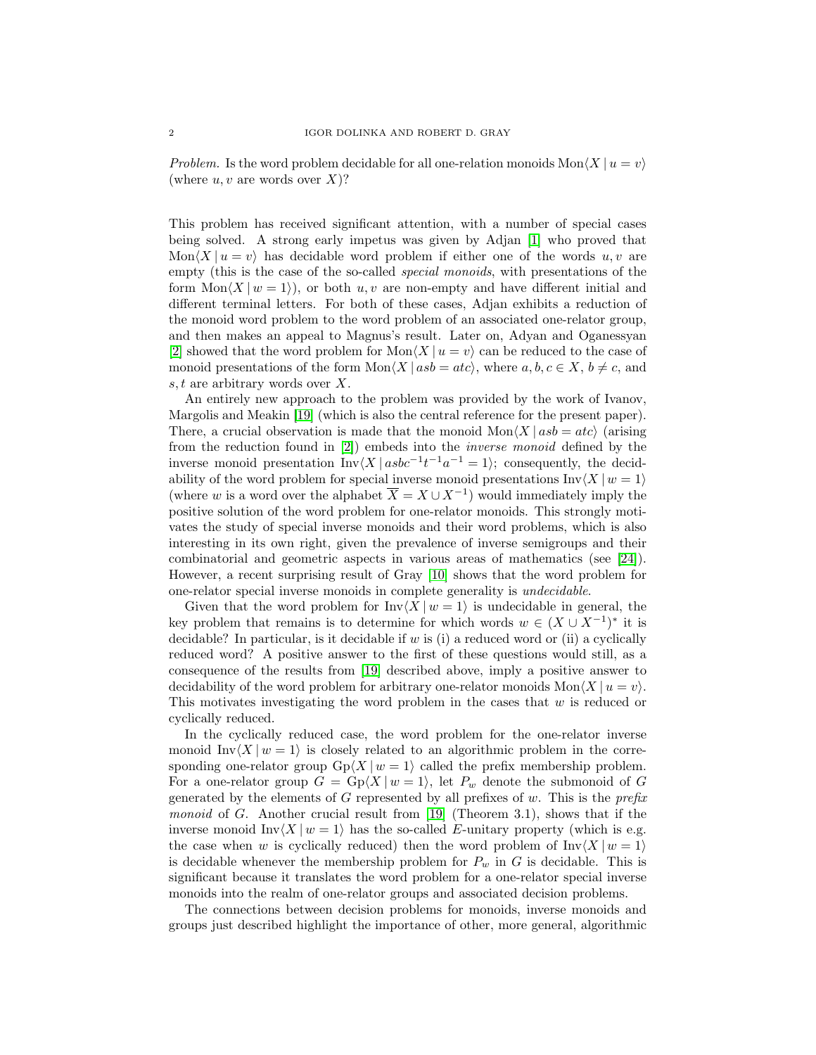Problem. Is the word problem decidable for all one-relation monoids  $\text{Mon}\langle X | u = v \rangle$ (where  $u, v$  are words over X)?

This problem has received significant attention, with a number of special cases being solved. A strong early impetus was given by Adjan [\[1\]](#page-47-1) who proved that  $\text{Mon}\langle X | u = v \rangle$  has decidable word problem if either one of the words u, v are empty (this is the case of the so-called special monoids, with presentations of the form  $\text{Mon}\langle X | w = 1 \rangle$ , or both u, v are non-empty and have different initial and different terminal letters. For both of these cases, Adjan exhibits a reduction of the monoid word problem to the word problem of an associated one-relator group, and then makes an appeal to Magnus's result. Later on, Adyan and Oganessyan [\[2\]](#page-47-2) showed that the word problem for  $\text{Mon}\langle X | u = v \rangle$  can be reduced to the case of monoid presentations of the form  $Mon\langle X \mid asb = atc \rangle$ , where  $a, b, c \in X, b \neq c$ , and s, t are arbitrary words over X.

An entirely new approach to the problem was provided by the work of Ivanov, Margolis and Meakin [\[19\]](#page-47-3) (which is also the central reference for the present paper). There, a crucial observation is made that the monoid  $\text{Mon}\langle X | \text{as} b = \text{atc} \rangle$  (arising from the reduction found in [\[2\]](#page-47-2)) embeds into the inverse monoid defined by the inverse monoid presentation Inv $\langle X | absc^{-1}t^{-1}a^{-1} = 1 \rangle$ ; consequently, the decidability of the word problem for special inverse monoid presentations  $\text{Inv}\langle X | w = 1 \rangle$ (where w is a word over the alphabet  $\overline{X} = X \cup X^{-1}$ ) would immediately imply the positive solution of the word problem for one-relator monoids. This strongly motivates the study of special inverse monoids and their word problems, which is also interesting in its own right, given the prevalence of inverse semigroups and their combinatorial and geometric aspects in various areas of mathematics (see [\[24\]](#page-48-5)). However, a recent surprising result of Gray [\[10\]](#page-47-4) shows that the word problem for one-relator special inverse monoids in complete generality is undecidable.

Given that the word problem for  $\text{Inv}\langle X | w = 1 \rangle$  is undecidable in general, the key problem that remains is to determine for which words  $w \in (X \cup X^{-1})^*$  it is decidable? In particular, is it decidable if  $w$  is (i) a reduced word or (ii) a cyclically reduced word? A positive answer to the first of these questions would still, as a consequence of the results from [\[19\]](#page-47-3) described above, imply a positive answer to decidability of the word problem for arbitrary one-relator monoids  $\text{Mon}\langle X | u = v \rangle$ . This motivates investigating the word problem in the cases that  $w$  is reduced or cyclically reduced.

In the cyclically reduced case, the word problem for the one-relator inverse monoid  $\text{Inv}\langle X | w = 1 \rangle$  is closely related to an algorithmic problem in the corresponding one-relator group  $Gp\langle X | w = 1 \rangle$  called the prefix membership problem. For a one-relator group  $G = Gp\langle X | w = 1 \rangle$ , let  $P_w$  denote the submonoid of G generated by the elements of G represented by all prefixes of  $w$ . This is the *prefix* monoid of G. Another crucial result from [\[19\]](#page-47-3) (Theorem 3.1), shows that if the inverse monoid Inv $\langle X | w = 1 \rangle$  has the so-called E-unitary property (which is e.g. the case when w is cyclically reduced) then the word problem of  $\text{Inv}\langle X | w = 1 \rangle$ is decidable whenever the membership problem for  $P_w$  in G is decidable. This is significant because it translates the word problem for a one-relator special inverse monoids into the realm of one-relator groups and associated decision problems.

The connections between decision problems for monoids, inverse monoids and groups just described highlight the importance of other, more general, algorithmic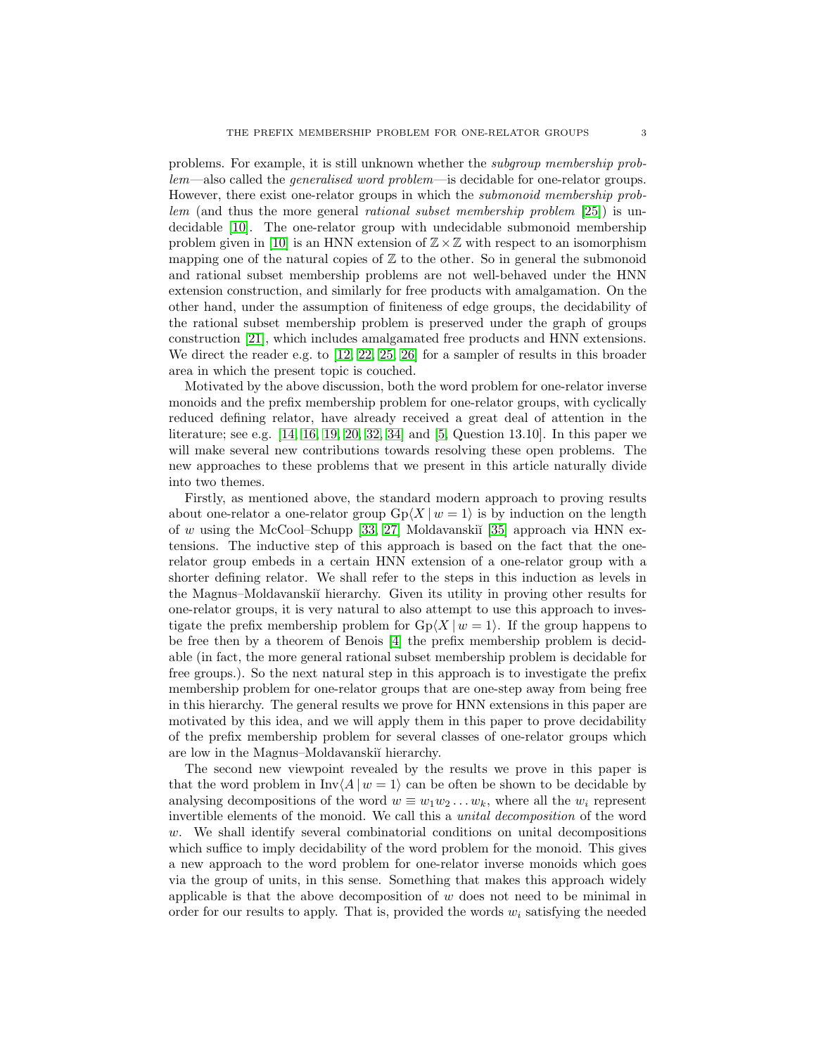problems. For example, it is still unknown whether the subgroup membership problem—also called the generalised word problem—is decidable for one-relator groups. However, there exist one-relator groups in which the submonoid membership problem (and thus the more general rational subset membership problem [\[25\]](#page-48-6)) is undecidable [\[10\]](#page-47-4). The one-relator group with undecidable submonoid membership problem given in [\[10\]](#page-47-4) is an HNN extension of  $\mathbb{Z}\times\mathbb{Z}$  with respect to an isomorphism mapping one of the natural copies of  $\mathbb Z$  to the other. So in general the submonoid and rational subset membership problems are not well-behaved under the HNN extension construction, and similarly for free products with amalgamation. On the other hand, under the assumption of finiteness of edge groups, the decidability of the rational subset membership problem is preserved under the graph of groups construction [\[21\]](#page-48-7), which includes amalgamated free products and HNN extensions. We direct the reader e.g. to [\[12,](#page-47-5) [22,](#page-48-8) [25,](#page-48-6) [26\]](#page-48-9) for a sampler of results in this broader area in which the present topic is couched.

Motivated by the above discussion, both the word problem for one-relator inverse monoids and the prefix membership problem for one-relator groups, with cyclically reduced defining relator, have already received a great deal of attention in the literature; see e.g. [\[14,](#page-47-6) [16,](#page-47-7) [19,](#page-47-3) [20,](#page-47-8) [32,](#page-48-10) [34\]](#page-48-11) and [\[5,](#page-47-9) Question 13.10]. In this paper we will make several new contributions towards resolving these open problems. The new approaches to these problems that we present in this article naturally divide into two themes.

Firstly, as mentioned above, the standard modern approach to proving results about one-relator a one-relator group  $Gp\langle X | w = 1 \rangle$  is by induction on the length of w using the McCool–Schupp [\[33,](#page-48-2) [27\]](#page-48-3) Moldavanski˘ı [\[35\]](#page-48-4) approach via HNN extensions. The inductive step of this approach is based on the fact that the onerelator group embeds in a certain HNN extension of a one-relator group with a shorter defining relator. We shall refer to the steps in this induction as levels in the Magnus–Moldavanski˘ı hierarchy. Given its utility in proving other results for one-relator groups, it is very natural to also attempt to use this approach to investigate the prefix membership problem for  $Gp\langle X | w = 1 \rangle$ . If the group happens to be free then by a theorem of Benois [\[4\]](#page-47-10) the prefix membership problem is decidable (in fact, the more general rational subset membership problem is decidable for free groups.). So the next natural step in this approach is to investigate the prefix membership problem for one-relator groups that are one-step away from being free in this hierarchy. The general results we prove for HNN extensions in this paper are motivated by this idea, and we will apply them in this paper to prove decidability of the prefix membership problem for several classes of one-relator groups which are low in the Magnus–Moldavanski˘ı hierarchy.

The second new viewpoint revealed by the results we prove in this paper is that the word problem in  $\text{Inv}(A | w = 1)$  can be often be shown to be decidable by analysing decompositions of the word  $w \equiv w_1w_2 \ldots w_k$ , where all the  $w_i$  represent invertible elements of the monoid. We call this a unital decomposition of the word w. We shall identify several combinatorial conditions on unital decompositions which suffice to imply decidability of the word problem for the monoid. This gives a new approach to the word problem for one-relator inverse monoids which goes via the group of units, in this sense. Something that makes this approach widely applicable is that the above decomposition of  $w$  does not need to be minimal in order for our results to apply. That is, provided the words  $w_i$  satisfying the needed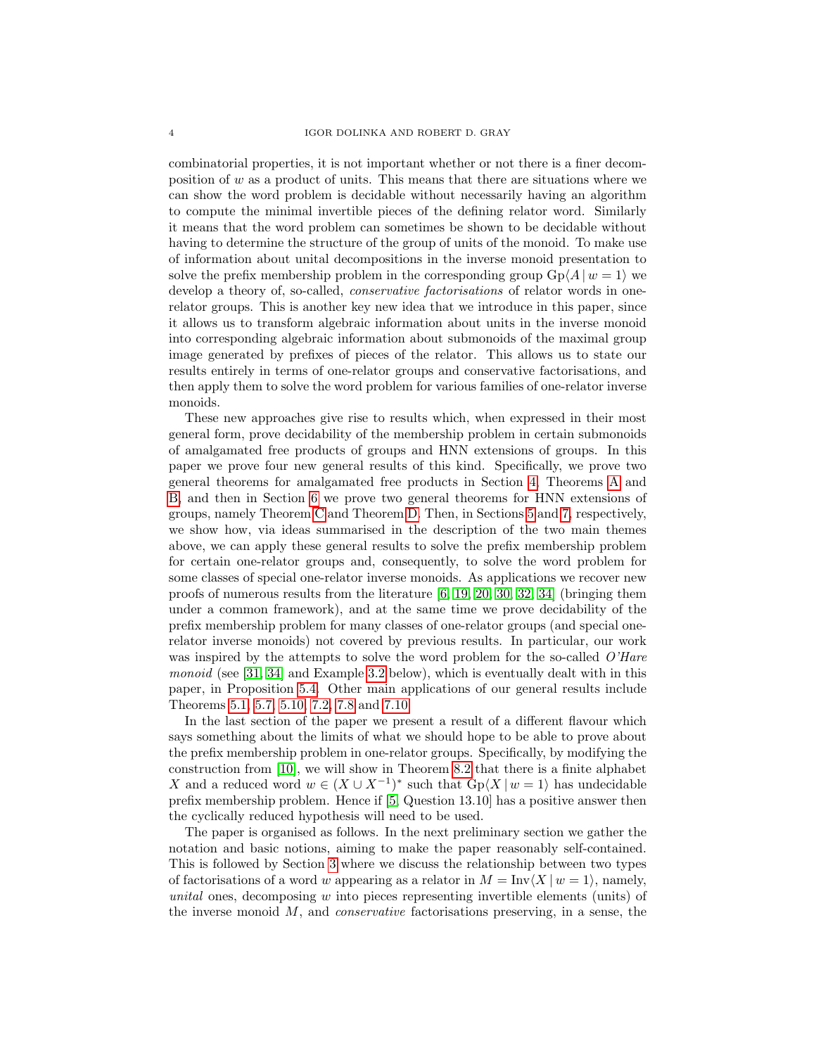combinatorial properties, it is not important whether or not there is a finer decomposition of  $w$  as a product of units. This means that there are situations where we can show the word problem is decidable without necessarily having an algorithm to compute the minimal invertible pieces of the defining relator word. Similarly it means that the word problem can sometimes be shown to be decidable without having to determine the structure of the group of units of the monoid. To make use of information about unital decompositions in the inverse monoid presentation to solve the prefix membership problem in the corresponding group  $Gp\langle A | w = 1 \rangle$  we develop a theory of, so-called, *conservative factorisations* of relator words in onerelator groups. This is another key new idea that we introduce in this paper, since it allows us to transform algebraic information about units in the inverse monoid into corresponding algebraic information about submonoids of the maximal group image generated by prefixes of pieces of the relator. This allows us to state our results entirely in terms of one-relator groups and conservative factorisations, and then apply them to solve the word problem for various families of one-relator inverse monoids.

These new approaches give rise to results which, when expressed in their most general form, prove decidability of the membership problem in certain submonoids of amalgamated free products of groups and HNN extensions of groups. In this paper we prove four new general results of this kind. Specifically, we prove two general theorems for amalgamated free products in Section [4,](#page-14-0) Theorems [A](#page-15-0) and [B,](#page-15-1) and then in Section [6](#page-30-0) we prove two general theorems for HNN extensions of groups, namely Theorem [C](#page-31-0) and Theorem [D.](#page-31-1) Then, in Sections [5](#page-21-0) and [7,](#page-39-0) respectively, we show how, via ideas summarised in the description of the two main themes above, we can apply these general results to solve the prefix membership problem for certain one-relator groups and, consequently, to solve the word problem for some classes of special one-relator inverse monoids. As applications we recover new proofs of numerous results from the literature [\[6,](#page-47-11) [19,](#page-47-3) [20,](#page-47-8) [30,](#page-48-12) [32,](#page-48-10) [34\]](#page-48-11) (bringing them under a common framework), and at the same time we prove decidability of the prefix membership problem for many classes of one-relator groups (and special onerelator inverse monoids) not covered by previous results. In particular, our work was inspired by the attempts to solve the word problem for the so-called O'Hare monoid (see [\[31,](#page-48-13) [34\]](#page-48-11) and Example [3.2](#page-12-0) below), which is eventually dealt with in this paper, in Proposition [5.4.](#page-24-0) Other main applications of our general results include Theorems [5.1,](#page-21-1) [5.7,](#page-26-0) [5.10,](#page-29-0) [7.2,](#page-40-0) [7.8](#page-43-0) and [7.10.](#page-45-0)

In the last section of the paper we present a result of a different flavour which says something about the limits of what we should hope to be able to prove about the prefix membership problem in one-relator groups. Specifically, by modifying the construction from [\[10\]](#page-47-4), we will show in Theorem [8.2](#page-46-0) that there is a finite alphabet X and a reduced word  $w \in (X \cup X^{-1})^*$  such that  $Gp\langle X | w = 1 \rangle$  has undecidable prefix membership problem. Hence if [\[5,](#page-47-9) Question 13.10] has a positive answer then the cyclically reduced hypothesis will need to be used.

The paper is organised as follows. In the next preliminary section we gather the notation and basic notions, aiming to make the paper reasonably self-contained. This is followed by Section [3](#page-10-0) where we discuss the relationship between two types of factorisations of a word w appearing as a relator in  $M = Inv\langle X | w = 1 \rangle$ , namely, unital ones, decomposing w into pieces representing invertible elements (units) of the inverse monoid M, and conservative factorisations preserving, in a sense, the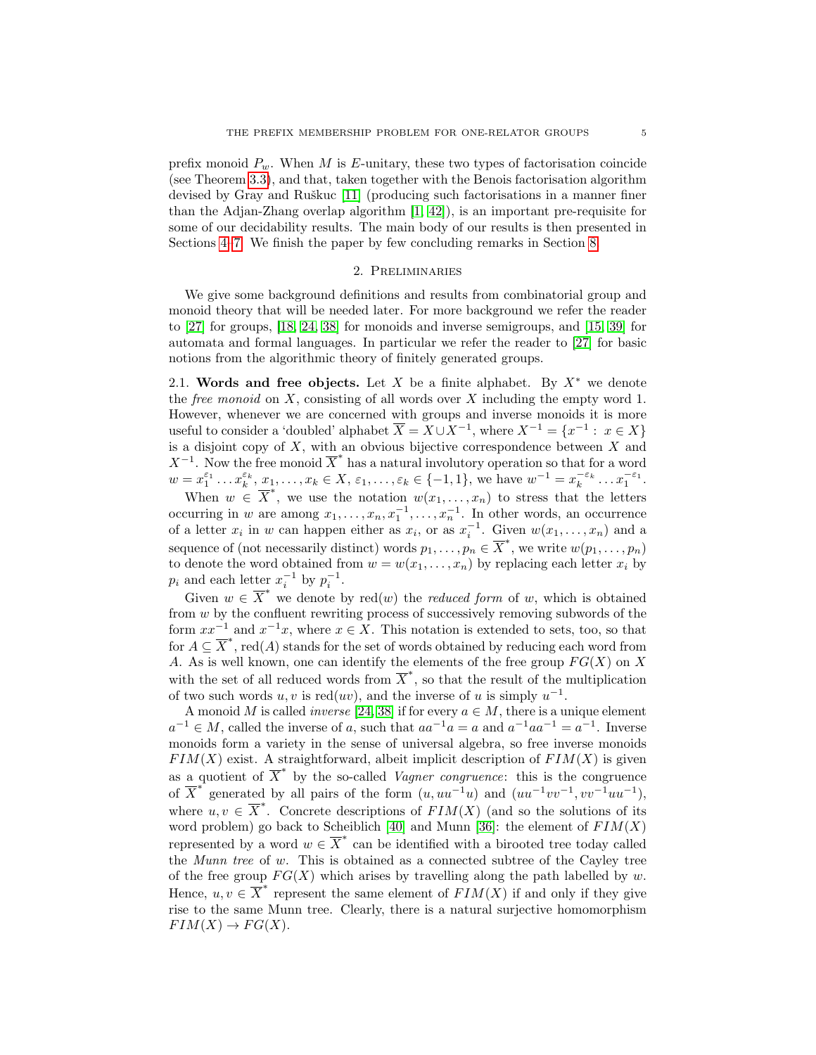prefix monoid  $P_w$ . When M is E-unitary, these two types of factorisation coincide (see Theorem [3.3\)](#page-13-0), and that, taken together with the Benois factorisation algorithm devised by Gray and Ruškuc  $[11]$  (producing such factorisations in a manner finer than the Adjan-Zhang overlap algorithm [\[1,](#page-47-1) [42\]](#page-48-14)), is an important pre-requisite for some of our decidability results. The main body of our results is then presented in Sections [4](#page-14-0)[–7.](#page-39-0) We finish the paper by few concluding remarks in Section [8.](#page-45-1)

## 2. Preliminaries

<span id="page-4-0"></span>We give some background definitions and results from combinatorial group and monoid theory that will be needed later. For more background we refer the reader to [\[27\]](#page-48-3) for groups, [\[18,](#page-47-13) [24,](#page-48-5) [38\]](#page-48-15) for monoids and inverse semigroups, and [\[15,](#page-47-14) [39\]](#page-48-16) for automata and formal languages. In particular we refer the reader to [\[27\]](#page-48-3) for basic notions from the algorithmic theory of finitely generated groups.

2.1. Words and free objects. Let X be a finite alphabet. By  $X^*$  we denote the *free monoid* on  $X$ , consisting of all words over  $X$  including the empty word 1. However, whenever we are concerned with groups and inverse monoids it is more useful to consider a 'doubled' alphabet  $\overline{X} = X \cup X^{-1}$ , where  $X^{-1} = \{x^{-1} : x \in X\}$ is a disjoint copy of  $X$ , with an obvious bijective correspondence between  $X$  and  $X^{-1}$ . Now the free monoid  $\overline{X}^*$  has a natural involutory operation so that for a word  $w = x_1^{\varepsilon_1} \dots x_k^{\varepsilon_k}, x_1, \dots, x_k \in X, \varepsilon_1, \dots, \varepsilon_k \in \{-1, 1\},\$  we have  $w^{-1} = x_k^{-\varepsilon_k} \dots x_1^{-\varepsilon_1}$ .

When  $w \in \overline{X}^*$ , we use the notation  $w(x_1, \ldots, x_n)$  to stress that the letters occurring in w are among  $x_1, \ldots, x_n, x_1^{-1}, \ldots, x_n^{-1}$ . In other words, an occurrence of a letter  $x_i$  in w can happen either as  $x_i$ , or as  $x_i^{-1}$ . Given  $w(x_1, \ldots, x_n)$  and a sequence of (not necessarily distinct) words  $p_1, \ldots, p_n \in \overline{X}^*$ , we write  $w(p_1, \ldots, p_n)$ to denote the word obtained from  $w = w(x_1, \ldots, x_n)$  by replacing each letter  $x_i$  by  $p_i$  and each letter  $x_i^{-1}$  by  $p_i^{-1}$ .

Given  $w \in \overline{X}^*$  we denote by red(w) the *reduced form* of w, which is obtained from w by the confluent rewriting process of successively removing subwords of the form  $xx^{-1}$  and  $x^{-1}x$ , where  $x \in X$ . This notation is extended to sets, too, so that for  $A \subseteq \overline{X}^*$ , red $(A)$  stands for the set of words obtained by reducing each word from A. As is well known, one can identify the elements of the free group  $FG(X)$  on X with the set of all reduced words from  $\overline{X}^*$ , so that the result of the multiplication of two such words  $u, v$  is red $(uv)$ , and the inverse of u is simply  $u^{-1}$ .

A monoid M is called *inverse* [\[24,](#page-48-5) [38\]](#page-48-15) if for every  $a \in M$ , there is a unique element  $a^{-1} \in M$ , called the inverse of a, such that  $aa^{-1}a = a$  and  $a^{-1}aa^{-1} = a^{-1}$ . Inverse monoids form a variety in the sense of universal algebra, so free inverse monoids  $FIM(X)$  exist. A straightforward, albeit implicit description of  $FIM(X)$  is given as a quotient of  $\overline{X}^*$  by the so-called *Vagner congruence*: this is the congruence of  $\overline{X}^*$  generated by all pairs of the form  $(u, u u^{-1}u)$  and  $(uu^{-1}vv^{-1}, vv^{-1}uu^{-1}),$ where  $u, v \in \overline{X}^*$ . Concrete descriptions of  $FIM(X)$  (and so the solutions of its word problem) go back to Scheiblich [\[40\]](#page-48-17) and Munn [\[36\]](#page-48-18): the element of  $FIM(X)$ represented by a word  $w \in \overline{X}^*$  can be identified with a birooted tree today called the Munn tree of w. This is obtained as a connected subtree of the Cayley tree of the free group  $FG(X)$  which arises by travelling along the path labelled by w. Hence,  $u, v \in \overline{X}^*$  represent the same element of  $\overline{FIM(X)}$  if and only if they give rise to the same Munn tree. Clearly, there is a natural surjective homomorphism  $FIM(X) \to FG(X).$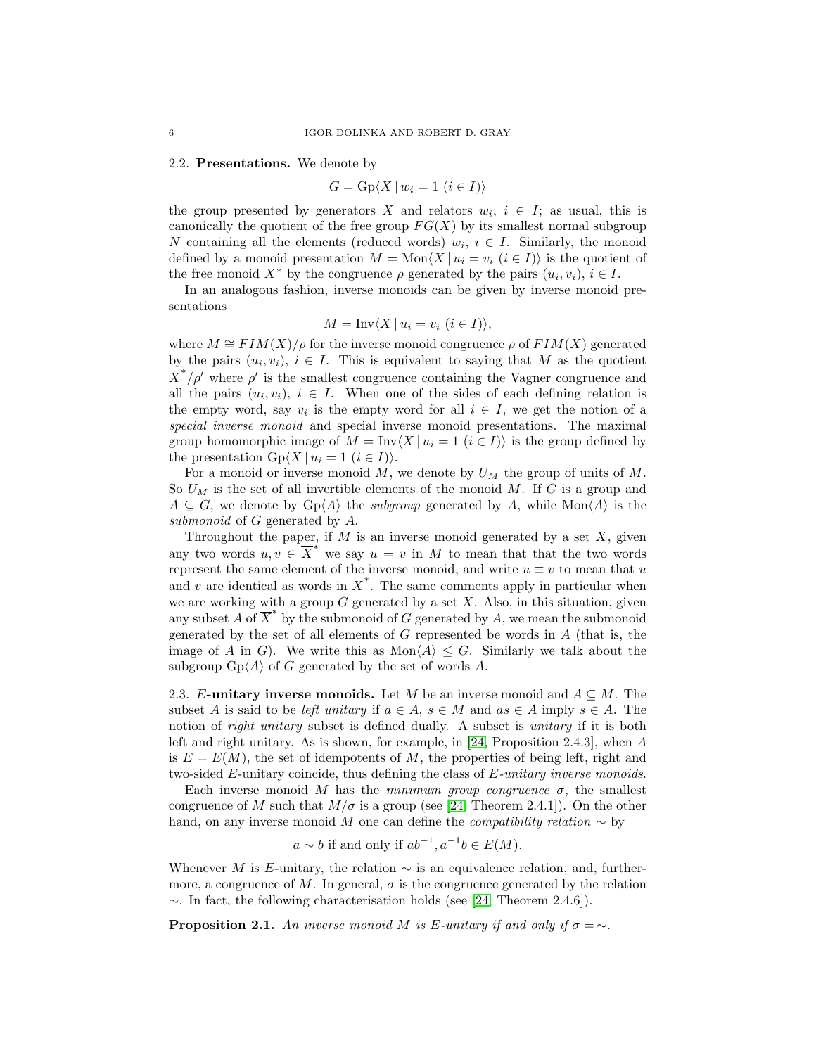#### 2.2. Presentations. We denote by

$$
G = \operatorname{Gp}\langle X \mid w_i = 1 \ (i \in I) \rangle
$$

the group presented by generators X and relators  $w_i, i \in I$ ; as usual, this is canonically the quotient of the free group  $FG(X)$  by its smallest normal subgroup N containing all the elements (reduced words)  $w_i, i \in I$ . Similarly, the monoid defined by a monoid presentation  $M = \text{Mon}\langle X | u_i = v_i \ (i \in I) \rangle$  is the quotient of the free monoid  $X^*$  by the congruence  $\rho$  generated by the pairs  $(u_i, v_i)$ ,  $i \in I$ .

In an analogous fashion, inverse monoids can be given by inverse monoid presentations

$$
M = \text{Inv}\langle X \mid u_i = v_i \ (i \in I) \rangle,
$$

where  $M \cong FIM(X)/\rho$  for the inverse monoid congruence  $\rho$  of  $FIM(X)$  generated by the pairs  $(u_i, v_i)$ ,  $i \in I$ . This is equivalent to saying that M as the quotient  $\overline{X}^*/\rho'$  where  $\rho'$  is the smallest congruence containing the Vagner congruence and all the pairs  $(u_i, v_i), i \in I$ . When one of the sides of each defining relation is the empty word, say  $v_i$  is the empty word for all  $i \in I$ , we get the notion of a special inverse monoid and special inverse monoid presentations. The maximal group homomorphic image of  $M = Inv\langle X | u_i = 1 \ (i \in I) \rangle$  is the group defined by the presentation  $Gp\langle X | u_i = 1 \ (i \in I) \rangle$ .

For a monoid or inverse monoid M, we denote by  $U_M$  the group of units of M. So  $U_M$  is the set of all invertible elements of the monoid M. If G is a group and  $A \subseteq G$ , we denote by  $Gp\langle A \rangle$  the *subgroup* generated by A, while Mon $\langle A \rangle$  is the submonoid of G generated by A.

Throughout the paper, if  $M$  is an inverse monoid generated by a set  $X$ , given any two words  $u, v \in \overline{X}^*$  we say  $u = v$  in M to mean that that the two words represent the same element of the inverse monoid, and write  $u \equiv v$  to mean that u and v are identical as words in  $\overline{X}^*$ . The same comments apply in particular when we are working with a group  $G$  generated by a set  $X$ . Also, in this situation, given any subset A of  $\overline{X}^*$  by the submonoid of G generated by A, we mean the submonoid generated by the set of all elements of  $G$  represented be words in  $A$  (that is, the image of A in G). We write this as  $Mon\langle A \rangle \leq G$ . Similarly we talk about the subgroup  $Gp\langle A \rangle$  of G generated by the set of words A.

2.3. E-unitary inverse monoids. Let M be an inverse monoid and  $A \subseteq M$ . The subset A is said to be *left unitary* if  $a \in A$ ,  $s \in M$  and  $as \in A$  imply  $s \in A$ . The notion of *right unitary* subset is defined dually. A subset is *unitary* if it is both left and right unitary. As is shown, for example, in [\[24,](#page-48-5) Proposition 2.4.3], when A is  $E = E(M)$ , the set of idempotents of M, the properties of being left, right and two-sided  $E$ -unitary coincide, thus defining the class of  $E$ -unitary inverse monoids.

Each inverse monoid M has the minimum group congruence  $\sigma$ , the smallest congruence of M such that  $M/\sigma$  is a group (see [\[24,](#page-48-5) Theorem 2.4.1]). On the other hand, on any inverse monoid M one can define the *compatibility relation*  $\sim$  by

$$
a \sim b
$$
 if and only if  $ab^{-1}, a^{-1}b \in E(M)$ .

Whenever M is E-unitary, the relation  $\sim$  is an equivalence relation, and, furthermore, a congruence of M. In general,  $\sigma$  is the congruence generated by the relation  $\sim$ . In fact, the following characterisation holds (see [\[24,](#page-48-5) Theorem 2.4.6]).

**Proposition 2.1.** An inverse monoid M is E-unitary if and only if  $\sigma = \sim$ .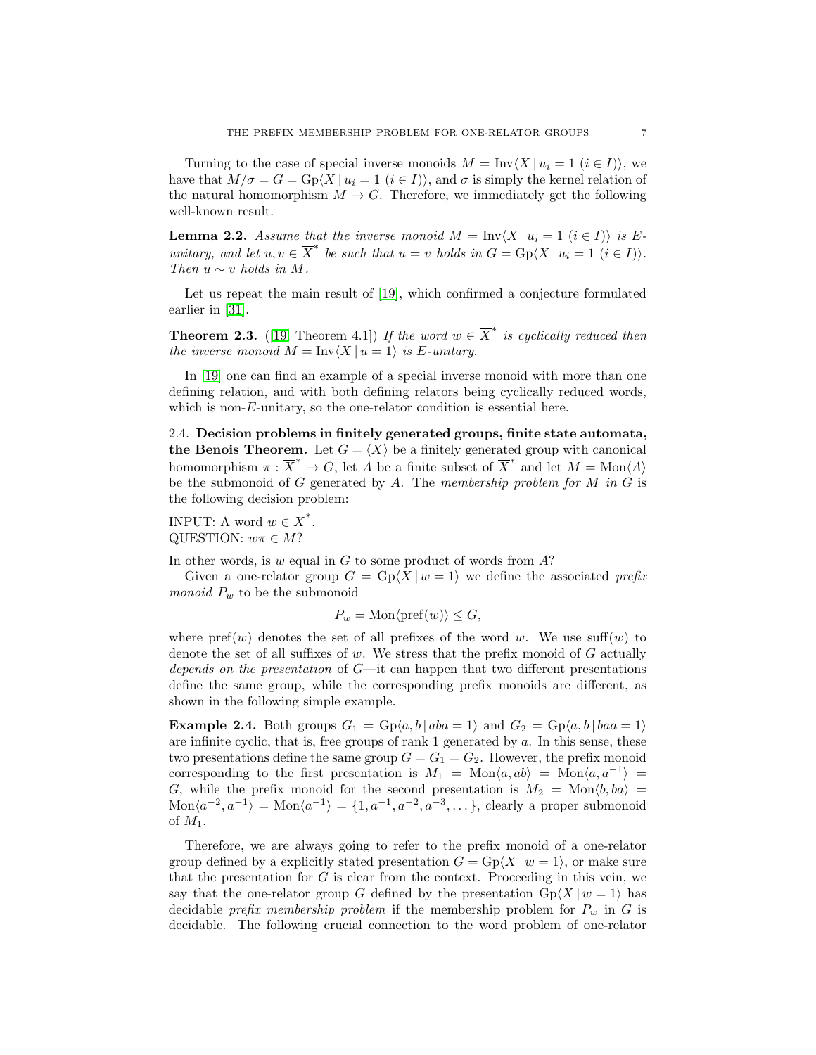Turning to the case of special inverse monoids  $M = Inv\langle X | u_i = 1 \ (i \in I) \rangle$ , we have that  $M/\sigma = G = \text{Gp}(X \mid u_i = 1 \ (i \in I)),$  and  $\sigma$  is simply the kernel relation of the natural homomorphism  $M \to G$ . Therefore, we immediately get the following well-known result.

<span id="page-6-0"></span>**Lemma 2.2.** Assume that the inverse monoid  $M = \text{Inv}(X | u_i = 1 \ (i \in I))$  is Eunitary, and let  $u, v \in \overline{X}^*$  be such that  $u = v$  holds in  $G = \text{Gp}(X \mid u_i = 1 \ (i \in I)).$ Then  $u \sim v$  holds in M.

Let us repeat the main result of [\[19\]](#page-47-3), which confirmed a conjecture formulated earlier in [\[31\]](#page-48-13).

**Theorem 2.3.** ([\[19,](#page-47-3) Theorem 4.1]) If the word  $w \in \overline{X}^*$  is cyclically reduced then the inverse monoid  $M = Inv\langle X | u = 1 \rangle$  is E-unitary.

In [\[19\]](#page-47-3) one can find an example of a special inverse monoid with more than one defining relation, and with both defining relators being cyclically reduced words, which is non-E-unitary, so the one-relator condition is essential here.

2.4. Decision problems in finitely generated groups, finite state automata, the Benois Theorem. Let  $G = \langle X \rangle$  be a finitely generated group with canonical homomorphism  $\pi : \overline{X}^* \to G$ , let A be a finite subset of  $\overline{X}^*$  and let  $M = \text{Mon}\langle A \rangle$ be the submonoid of  $G$  generated by  $A$ . The membership problem for  $M$  in  $G$  is the following decision problem:

INPUT: A word  $w \in \overline{X}^*$ . QUESTION:  $w\pi \in M$ ?

In other words, is  $w$  equal in  $G$  to some product of words from  $A$ ?

Given a one-relator group  $G = \text{Gp}(X | w = 1)$  we define the associated prefix monoid  $P_w$  to be the submonoid

$$
P_w = \text{Mon}\langle \text{pref}(w) \rangle \le G,
$$

where  $\text{pref}(w)$  denotes the set of all prefixes of the word w. We use  $\text{suffix}(w)$  to denote the set of all suffixes of  $w$ . We stress that the prefix monoid of  $G$  actually depends on the presentation of  $G$ —it can happen that two different presentations define the same group, while the corresponding prefix monoids are different, as shown in the following simple example.

**Example 2.4.** Both groups  $G_1 = \text{Gp}(a, b \mid aba = 1)$  and  $G_2 = \text{Gp}(a, b \mid baa = 1)$ are infinite cyclic, that is, free groups of rank  $1$  generated by  $a$ . In this sense, these two presentations define the same group  $G = G_1 = G_2$ . However, the prefix monoid corresponding to the first presentation is  $M_1 = \text{Mon}\langle a, ab \rangle = \text{Mon}\langle a, a^{-1} \rangle =$ G, while the prefix monoid for the second presentation is  $M_2 = \text{Mon}\langle b, ba \rangle =$  $\text{Mon}\langle a^{-2}, a^{-1}\rangle = \text{Mon}\langle a^{-1}\rangle = \{1, a^{-1}, a^{-2}, a^{-3}, \dots\},$  clearly a proper submonoid of  $M_1$ .

Therefore, we are always going to refer to the prefix monoid of a one-relator group defined by a explicitly stated presentation  $G = \text{Gp}(X | w = 1)$ , or make sure that the presentation for  $G$  is clear from the context. Proceeding in this vein, we say that the one-relator group G defined by the presentation  $Gp\langle X | w = 1 \rangle$  has decidable prefix membership problem if the membership problem for  $P_w$  in G is decidable. The following crucial connection to the word problem of one-relator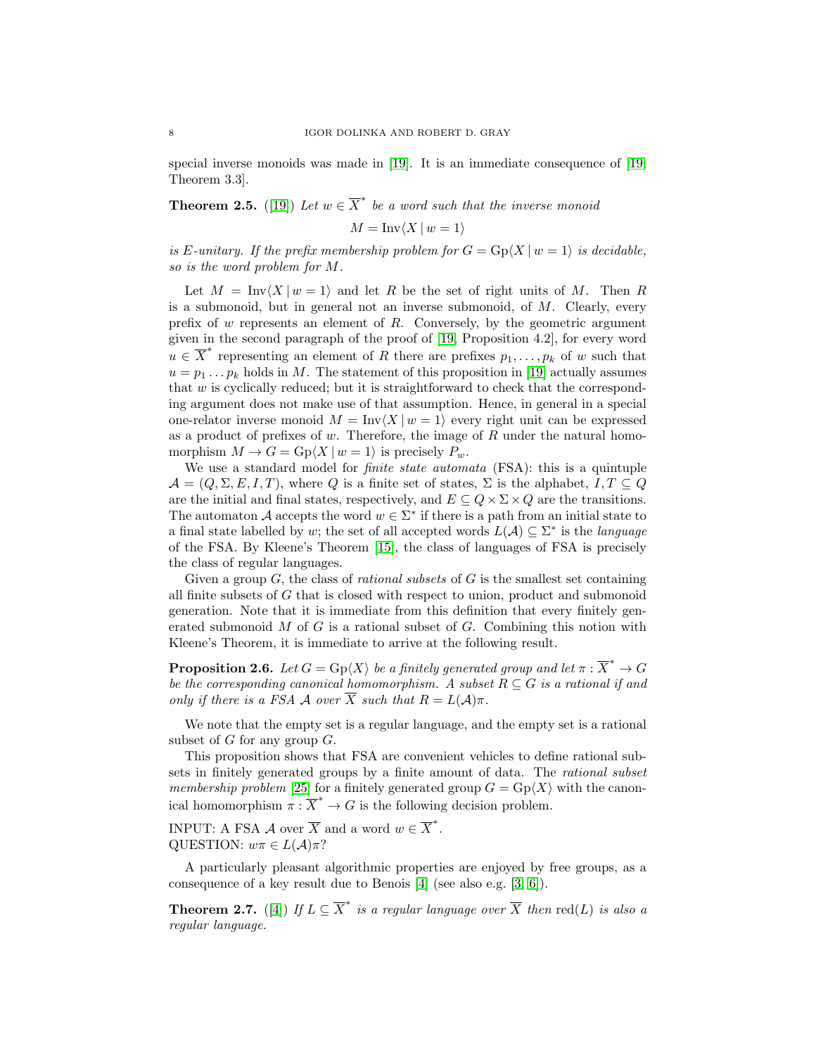special inverse monoids was made in [\[19\]](#page-47-3). It is an immediate consequence of [\[19,](#page-47-3) Theorem 3.3].

<span id="page-7-0"></span>**Theorem 2.5.** ([\[19\]](#page-47-3)) Let  $w \in \overline{X}^*$  be a word such that the inverse monoid

$$
M = \text{Inv}\langle X \mid w = 1 \rangle
$$

is E-unitary. If the prefix membership problem for  $G = \text{Gp}(X | w = 1)$  is decidable, so is the word problem for M.

Let  $M = \text{Inv}\langle X | w = 1 \rangle$  and let R be the set of right units of M. Then R is a submonoid, but in general not an inverse submonoid, of  $M$ . Clearly, every prefix of w represents an element of R. Conversely, by the geometric argument given in the second paragraph of the proof of [\[19,](#page-47-3) Proposition 4.2], for every word  $u \in \overline{X}^*$  representing an element of R there are prefixes  $p_1, \ldots, p_k$  of w such that  $u = p_1 \dots p_k$  holds in M. The statement of this proposition in [\[19\]](#page-47-3) actually assumes that  $w$  is cyclically reduced; but it is straightforward to check that the corresponding argument does not make use of that assumption. Hence, in general in a special one-relator inverse monoid  $M = Inv(X | w = 1)$  every right unit can be expressed as a product of prefixes of  $w$ . Therefore, the image of  $R$  under the natural homomorphism  $M \to G = \text{Gp}(X \mid w = 1)$  is precisely  $P_w$ .

We use a standard model for *finite state automata* (FSA): this is a quintuple  $\mathcal{A} = (Q, \Sigma, E, I, T)$ , where Q is a finite set of states,  $\Sigma$  is the alphabet,  $I, T \subseteq Q$ are the initial and final states, respectively, and  $E \subseteq Q \times \Sigma \times Q$  are the transitions. The automaton A accepts the word  $w \in \Sigma^*$  if there is a path from an initial state to a final state labelled by w; the set of all accepted words  $L(\mathcal{A}) \subseteq \Sigma^*$  is the *language* of the FSA. By Kleene's Theorem [\[15\]](#page-47-14), the class of languages of FSA is precisely the class of regular languages.

Given a group  $G$ , the class of *rational subsets* of  $G$  is the smallest set containing all finite subsets of G that is closed with respect to union, product and submonoid generation. Note that it is immediate from this definition that every finitely generated submonoid  $M$  of  $G$  is a rational subset of  $G$ . Combining this notion with Kleene's Theorem, it is immediate to arrive at the following result.

**Proposition 2.6.** Let  $G = \text{Gp}\langle X \rangle$  be a finitely generated group and let  $\pi : \overline{X}^* \to G$ be the corresponding canonical homomorphism. A subset  $R \subseteq G$  is a rational if and only if there is a FSA A over  $\overline{X}$  such that  $R = L(A)\pi$ .

We note that the empty set is a regular language, and the empty set is a rational subset of  $G$  for any group  $G$ .

This proposition shows that FSA are convenient vehicles to define rational subsets in finitely generated groups by a finite amount of data. The rational subset membership problem [\[25\]](#page-48-6) for a finitely generated group  $G = \text{Gp}(X)$  with the canonical homomorphism  $\pi : \overline{X}^* \to G$  is the following decision problem.

INPUT: A FSA  $\mathcal A$  over  $\overline X$  and a word  $w \in \overline X^*$ . QUESTION:  $w\pi \in L(\mathcal{A})\pi$ ?

A particularly pleasant algorithmic properties are enjoyed by free groups, as a consequence of a key result due to Benois [\[4\]](#page-47-10) (see also e.g. [\[3,](#page-47-15) [6\]](#page-47-11)).

<span id="page-7-1"></span>**Theorem 2.7.** ([\[4\]](#page-47-10)) If  $L \subseteq \overline{X}^*$  is a regular language over  $\overline{X}$  then  $\text{red}(L)$  is also a regular language.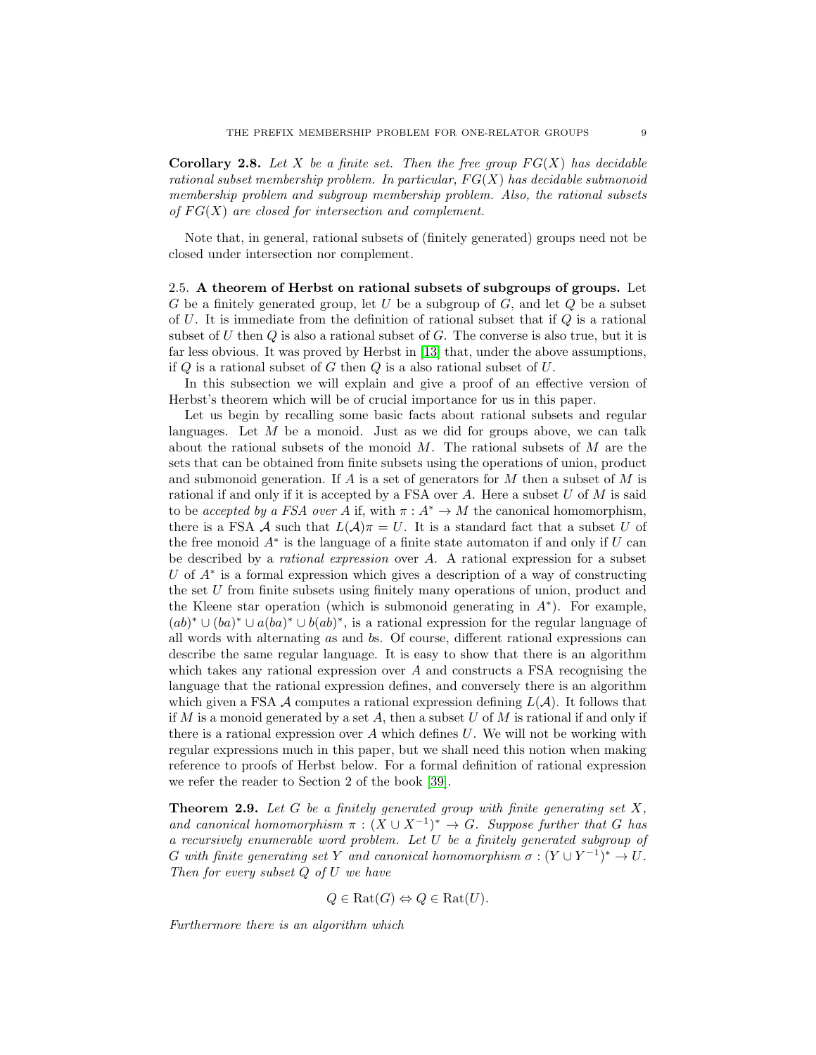<span id="page-8-1"></span>Corollary 2.8. Let X be a finite set. Then the free group  $FG(X)$  has decidable rational subset membership problem. In particular,  $FG(X)$  has decidable submonoid membership problem and subgroup membership problem. Also, the rational subsets of  $FG(X)$  are closed for intersection and complement.

Note that, in general, rational subsets of (finitely generated) groups need not be closed under intersection nor complement.

2.5. A theorem of Herbst on rational subsets of subgroups of groups. Let G be a finitely generated group, let U be a subgroup of  $G$ , and let  $Q$  be a subset of  $U$ . It is immediate from the definition of rational subset that if  $Q$  is a rational subset of U then  $Q$  is also a rational subset of  $G$ . The converse is also true, but it is far less obvious. It was proved by Herbst in [\[13\]](#page-47-16) that, under the above assumptions, if  $Q$  is a rational subset of  $G$  then  $Q$  is a also rational subset of  $U$ .

In this subsection we will explain and give a proof of an effective version of Herbst's theorem which will be of crucial importance for us in this paper.

Let us begin by recalling some basic facts about rational subsets and regular languages. Let  $M$  be a monoid. Just as we did for groups above, we can talk about the rational subsets of the monoid  $M$ . The rational subsets of  $M$  are the sets that can be obtained from finite subsets using the operations of union, product and submonoid generation. If  $A$  is a set of generators for  $M$  then a subset of  $M$  is rational if and only if it is accepted by a FSA over  $A$ . Here a subset  $U$  of  $M$  is said to be accepted by a FSA over A if, with  $\pi : A^* \to M$  the canonical homomorphism, there is a FSA A such that  $L(\mathcal{A})\pi = U$ . It is a standard fact that a subset U of the free monoid  $A^*$  is the language of a finite state automaton if and only if  $U$  can be described by a rational expression over A. A rational expression for a subset U of  $A^*$  is a formal expression which gives a description of a way of constructing the set U from finite subsets using finitely many operations of union, product and the Kleene star operation (which is submonoid generating in  $A^*$ ). For example,  $(ab)^* \cup (ba)^* \cup a(ba)^* \cup b(ab)^*$ , is a rational expression for the regular language of all words with alternating as and bs. Of course, different rational expressions can describe the same regular language. It is easy to show that there is an algorithm which takes any rational expression over  $A$  and constructs a FSA recognising the language that the rational expression defines, and conversely there is an algorithm which given a FSA  $\mathcal A$  computes a rational expression defining  $L(\mathcal A)$ . It follows that if  $M$  is a monoid generated by a set  $A$ , then a subset  $U$  of  $M$  is rational if and only if there is a rational expression over A which defines  $U$ . We will not be working with regular expressions much in this paper, but we shall need this notion when making reference to proofs of Herbst below. For a formal definition of rational expression we refer the reader to Section 2 of the book [\[39\]](#page-48-16).

<span id="page-8-0"></span>**Theorem 2.9.** Let G be a finitely generated group with finite generating set  $X$ , and canonical homomorphism  $\pi : (X \cup X^{-1})^* \to G$ . Suppose further that G has a recursively enumerable word problem. Let U be a finitely generated subgroup of G with finite generating set Y and canonical homomorphism  $\sigma : (Y \cup Y^{-1})^* \to U$ . Then for every subset Q of U we have

$$
Q \in \text{Rat}(G) \Leftrightarrow Q \in \text{Rat}(U).
$$

Furthermore there is an algorithm which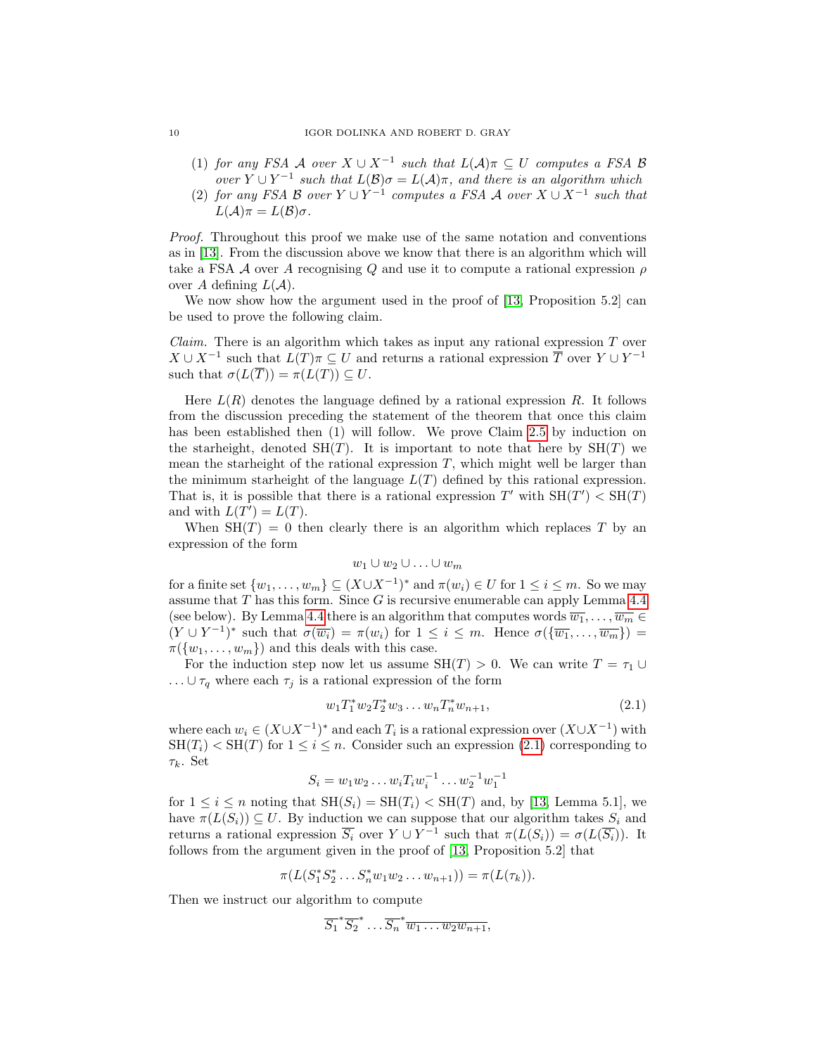#### 10 IGOR DOLINKA AND ROBERT D. GRAY

- (1) for any FSA A over  $X \cup X^{-1}$  such that  $L(\mathcal{A})\pi \subseteq U$  computes a FSA B over  $Y \cup Y^{-1}$  such that  $L(\mathcal{B})\sigma = L(\mathcal{A})\pi$ , and there is an algorithm which
- <span id="page-9-0"></span>(2) for any FSA B over  $Y \cup Y^{-1}$  computes a FSA A over  $X \cup X^{-1}$  such that  $L(\mathcal{A})\pi = L(\mathcal{B})\sigma.$

Proof. Throughout this proof we make use of the same notation and conventions as in [\[13\]](#page-47-16). From the discussion above we know that there is an algorithm which will take a FSA A over A recognising Q and use it to compute a rational expression  $\rho$ over A defining  $L(\mathcal{A})$ .

We now show how the argument used in the proof of [\[13,](#page-47-16) Proposition 5.2] can be used to prove the following claim.

*Claim.* There is an algorithm which takes as input any rational expression  $T$  over  $X \cup X^{-1}$  such that  $L(T)\pi \subseteq U$  and returns a rational expression  $\overline{T}$  over  $Y \cup Y^{-1}$ such that  $\sigma(L(\overline{T})) = \pi(L(T)) \subseteq U$ .

Here  $L(R)$  denotes the language defined by a rational expression R. It follows from the discussion preceding the statement of the theorem that once this claim has been established then (1) will follow. We prove Claim [2.5](#page-9-0) by induction on the starheight, denoted  $SH(T)$ . It is important to note that here by  $SH(T)$  we mean the starheight of the rational expression  $T$ , which might well be larger than the minimum starheight of the language  $L(T)$  defined by this rational expression. That is, it is possible that there is a rational expression  $T'$  with  $SH(T') < SH(T)$ and with  $L(T') = L(T)$ .

When  $SH(T) = 0$  then clearly there is an algorithm which replaces T by an expression of the form

$$
w_1 \cup w_2 \cup \ldots \cup w_m
$$

for a finite set  $\{w_1, \ldots, w_m\} \subseteq (X \cup X^{-1})^*$  and  $\pi(w_i) \in U$  for  $1 \le i \le m$ . So we may assume that  $T$  has this form. Since  $G$  is recursive enumerable can apply Lemma [4.4](#page-17-0) (see below). By Lemma [4.4](#page-17-0) there is an algorithm that computes words  $\overline{w_1}, \ldots, \overline{w_m} \in$  $(Y \cup Y^{-1})^*$  such that  $\sigma(\overline{w_i}) = \pi(w_i)$  for  $1 \leq i \leq m$ . Hence  $\sigma(\{\overline{w_1},\ldots,\overline{w_m}\}) =$  $\pi({w_1},\ldots,{w_m})$  and this deals with this case.

For the induction step now let us assume  $SH(T) > 0$ . We can write  $T = \tau_1 \cup$  $\ldots \cup \tau_q$  where each  $\tau_j$  is a rational expression of the form

<span id="page-9-1"></span>
$$
w_1 T_1^* w_2 T_2^* w_3 \dots w_n T_n^* w_{n+1}, \tag{2.1}
$$

where each  $w_i \in (X \cup X^{-1})^*$  and each  $T_i$  is a rational expression over  $(X \cup X^{-1})$  with  $SH(T_i) < SH(T)$  for  $1 \leq i \leq n$ . Consider such an expression [\(2.1\)](#page-9-1) corresponding to  $\tau_k$ . Set

$$
S_i = w_1 w_2 \dots w_i T_i w_i^{-1} \dots w_2^{-1} w_1^{-1}
$$

for  $1 \leq i \leq n$  noting that  $SH(S_i) = SH(T_i) < SH(T)$  and, by [\[13,](#page-47-16) Lemma 5.1], we have  $\pi(L(S_i)) \subseteq U$ . By induction we can suppose that our algorithm takes  $S_i$  and returns a rational expression  $\overline{S_i}$  over  $Y \cup Y^{-1}$  such that  $\pi(L(S_i)) = \sigma(L(\overline{S_i}))$ . It follows from the argument given in the proof of [\[13,](#page-47-16) Proposition 5.2] that

$$
\pi(L(S_1^*S_2^*\ldots S_n^*w_1w_2\ldots w_{n+1}))=\pi(L(\tau_k)).
$$

Then we instruct our algorithm to compute

$$
\overline{S_1}^* \overline{S_2}^* \dots \overline{S_n}^* \overline{w_1 \dots w_2 w_{n+1}},
$$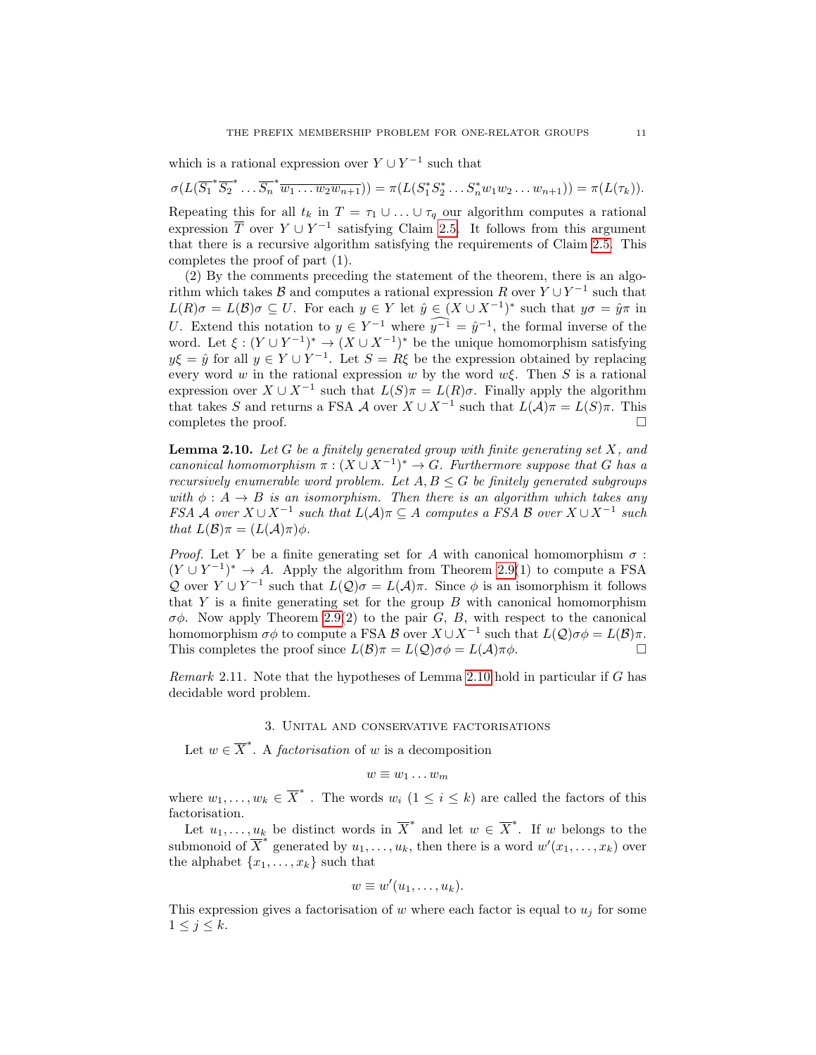which is a rational expression over  $Y \cup Y^{-1}$  such that

 $\sigma(L(\overline{S_1}^* \overline{S_2}^* \dots \overline{S_n}^* \overline{w_1 \dots w_2 w_{n+1}})) = \pi(L(S_1^* S_2^* \dots S_n^* w_1 w_2 \dots w_{n+1})) = \pi(L(\tau_k)).$ 

Repeating this for all  $t_k$  in  $T = \tau_1 \cup ... \cup \tau_q$  our algorithm computes a rational expression  $\overline{T}$  over  $Y \cup Y^{-1}$  satisfying Claim [2.5.](#page-9-0) It follows from this argument that there is a recursive algorithm satisfying the requirements of Claim [2.5.](#page-9-0) This completes the proof of part (1).

(2) By the comments preceding the statement of the theorem, there is an algorithm which takes B and computes a rational expression R over  $Y \cup Y^{-1}$  such that  $L(R)\sigma = L(\mathcal{B})\sigma \subseteq U$ . For each  $y \in Y$  let  $\hat{y} \in (X \cup X^{-1})^*$  such that  $y\sigma = \hat{y}\pi$  in U. Extend this notation to  $y \in Y^{-1}$  where  $y^{-1} = \hat{y}^{-1}$ , the formal inverse of the word. Let  $\xi : (Y \cup Y^{-1})^* \to (X \cup X^{-1})^*$  be the unique homomorphism satisfying  $y\xi = \hat{y}$  for all  $y \in Y \cup Y^{-1}$ . Let  $S = R\xi$  be the expression obtained by replacing every word w in the rational expression w by the word  $w\xi$ . Then S is a rational expression over  $X \cup X^{-1}$  such that  $L(S)\pi = L(R)\sigma$ . Finally apply the algorithm that takes S and returns a FSA A over  $X \cup X^{-1}$  such that  $L(\mathcal{A})\pi = L(S)\pi$ . This completes the proof.  $\Box$ 

<span id="page-10-1"></span>**Lemma 2.10.** Let G be a finitely generated group with finite generating set X, and canonical homomorphism  $\pi : (X \cup X^{-1})^* \to G$ . Furthermore suppose that G has a recursively enumerable word problem. Let  $A, B \leq G$  be finitely generated subgroups with  $\phi : A \rightarrow B$  is an isomorphism. Then there is an algorithm which takes any FSA A over  $X \cup X^{-1}$  such that  $L(\mathcal{A})\pi \subseteq A$  computes a FSA B over  $X \cup X^{-1}$  such that  $L(\mathcal{B})\pi = (L(\mathcal{A})\pi)\phi$ .

*Proof.* Let Y be a finite generating set for A with canonical homomorphism  $\sigma$ :  $(Y \cup Y^{-1})^* \to A$ . Apply the algorithm from Theorem [2.9\(](#page-8-0)1) to compute a FSA Q over  $Y \cup Y^{-1}$  such that  $L(Q)\sigma = L(\mathcal{A})\pi$ . Since  $\phi$  is an isomorphism it follows that Y is a finite generating set for the group  $B$  with canonical homomorphism  $\sigma\phi$ . Now apply Theorem [2.9\(](#page-8-0)2) to the pair G, B, with respect to the canonical homomorphism  $\sigma\phi$  to compute a FSA  $\mathcal{B}$  over  $X \cup X^{-1}$  such that  $L(\mathcal{Q})\sigma\phi = L(\mathcal{B})\pi$ . This completes the proof since  $L(\mathcal{B})\pi = L(\mathcal{Q})\sigma\phi = L(\mathcal{A})\pi\phi$ .

Remark 2.11. Note that the hypotheses of Lemma [2.10](#page-10-1) hold in particular if G has decidable word problem.

## 3. Unital and conservative factorisations

<span id="page-10-0"></span>Let  $w \in \overline{X}^*$ . A *factorisation* of w is a decomposition

$$
w \equiv w_1 \dots w_m
$$

where  $w_1, \ldots, w_k \in \overline{X}^*$ . The words  $w_i$   $(1 \leq i \leq k)$  are called the factors of this factorisation.

Let  $u_1, \ldots, u_k$  be distinct words in  $\overline{X}^*$  and let  $w \in \overline{X}^*$ . If w belongs to the submonoid of  $\overline{X}^*$  generated by  $u_1, \ldots, u_k$ , then there is a word  $w'(x_1, \ldots, x_k)$  over the alphabet  $\{x_1, \ldots, x_k\}$  such that

$$
w \equiv w'(u_1, \ldots, u_k).
$$

This expression gives a factorisation of w where each factor is equal to  $u_j$  for some  $1 \leq j \leq k$ .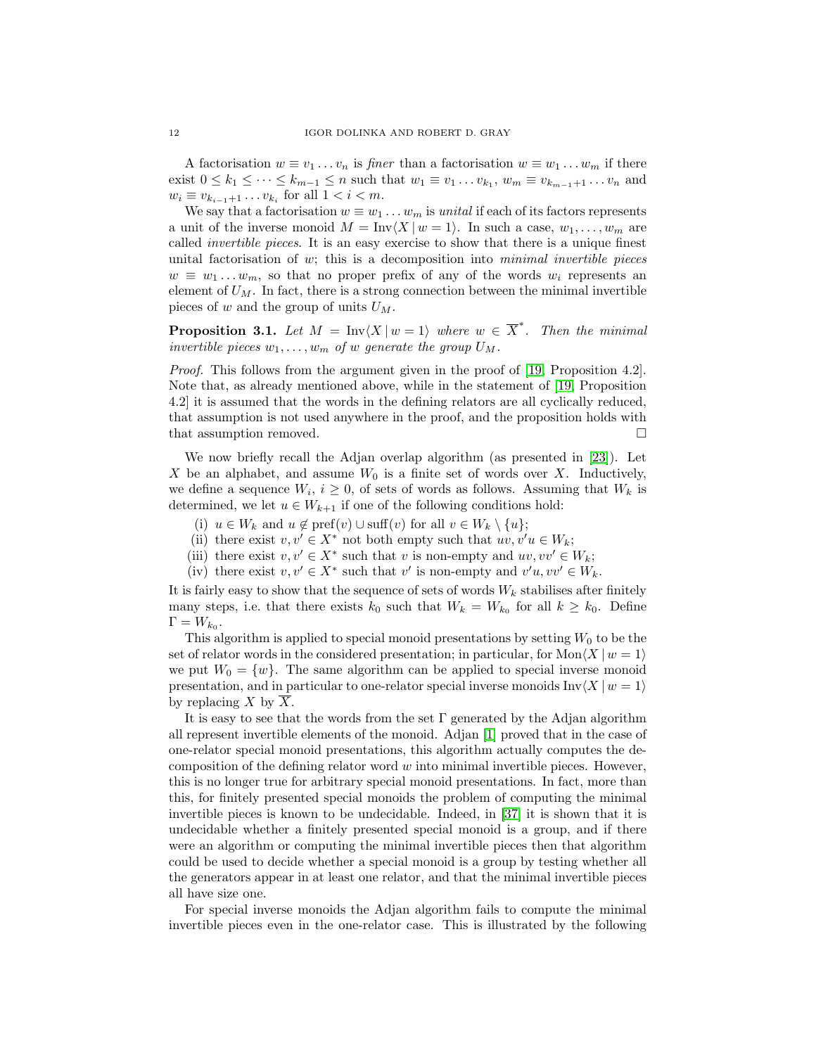A factorisation  $w \equiv v_1 \dots v_n$  is *finer* than a factorisation  $w \equiv w_1 \dots w_m$  if there exist  $0 \leq k_1 \leq \cdots \leq k_{m-1} \leq n$  such that  $w_1 \equiv v_1 \ldots v_{k_1}$ ,  $w_m \equiv v_{k_{m-1}+1} \ldots v_n$  and  $w_i \equiv v_{k_{i-1}+1} \dots v_{k_i}$  for all  $1 < i < m$ .

We say that a factorisation  $w \equiv w_1 \dots w_m$  is unital if each of its factors represents a unit of the inverse monoid  $M = Inv(X | w = 1)$ . In such a case,  $w_1, \ldots, w_m$  are called invertible pieces. It is an easy exercise to show that there is a unique finest unital factorisation of w; this is a decomposition into *minimal invertible pieces*  $w \equiv w_1 \dots w_m$ , so that no proper prefix of any of the words  $w_i$  represents an element of  $U_M$ . In fact, there is a strong connection between the minimal invertible pieces of w and the group of units  $U_M$ .

**Proposition 3.1.** Let  $M = \text{Inv}\langle X | w = 1 \rangle$  where  $w \in \overline{X}^*$ . Then the minimal invertible pieces  $w_1, \ldots, w_m$  of w generate the group  $U_M$ .

Proof. This follows from the argument given in the proof of [\[19,](#page-47-3) Proposition 4.2]. Note that, as already mentioned above, while in the statement of [\[19,](#page-47-3) Proposition 4.2] it is assumed that the words in the defining relators are all cyclically reduced, that assumption is not used anywhere in the proof, and the proposition holds with that assumption removed.

We now briefly recall the Adjan overlap algorithm (as presented in [\[23\]](#page-48-19)). Let X be an alphabet, and assume  $W_0$  is a finite set of words over X. Inductively, we define a sequence  $W_i$ ,  $i \geq 0$ , of sets of words as follows. Assuming that  $W_k$  is determined, we let  $u \in W_{k+1}$  if one of the following conditions hold:

- (i)  $u \in W_k$  and  $u \notin \text{pref}(v) \cup \text{suffix}(v)$  for all  $v \in W_k \setminus \{u\};$
- (ii) there exist  $v, v' \in X^*$  not both empty such that  $uv, v'u \in W_k$ ;
- (iii) there exist  $v, v' \in X^*$  such that v is non-empty and  $uv, vv' \in W_k$ ;
- (iv) there exist  $v, v' \in X^*$  such that  $v'$  is non-empty and  $v'u, vv' \in W_k$ .

It is fairly easy to show that the sequence of sets of words  $W_k$  stabilises after finitely many steps, i.e. that there exists  $k_0$  such that  $W_k = W_{k_0}$  for all  $k \geq k_0$ . Define  $\Gamma = W_{k_0}.$ 

This algorithm is applied to special monoid presentations by setting  $W_0$  to be the set of relator words in the considered presentation; in particular, for  $\text{Mon}\langle X | w = 1 \rangle$ we put  $W_0 = \{w\}$ . The same algorithm can be applied to special inverse monoid presentation, and in particular to one-relator special inverse monoids  $\text{Inv}(X | w = 1)$ by replacing X by  $\overline{X}$ .

It is easy to see that the words from the set  $\Gamma$  generated by the Adjan algorithm all represent invertible elements of the monoid. Adjan [\[1\]](#page-47-1) proved that in the case of one-relator special monoid presentations, this algorithm actually computes the decomposition of the defining relator word  $w$  into minimal invertible pieces. However, this is no longer true for arbitrary special monoid presentations. In fact, more than this, for finitely presented special monoids the problem of computing the minimal invertible pieces is known to be undecidable. Indeed, in [\[37\]](#page-48-20) it is shown that it is undecidable whether a finitely presented special monoid is a group, and if there were an algorithm or computing the minimal invertible pieces then that algorithm could be used to decide whether a special monoid is a group by testing whether all the generators appear in at least one relator, and that the minimal invertible pieces all have size one.

For special inverse monoids the Adjan algorithm fails to compute the minimal invertible pieces even in the one-relator case. This is illustrated by the following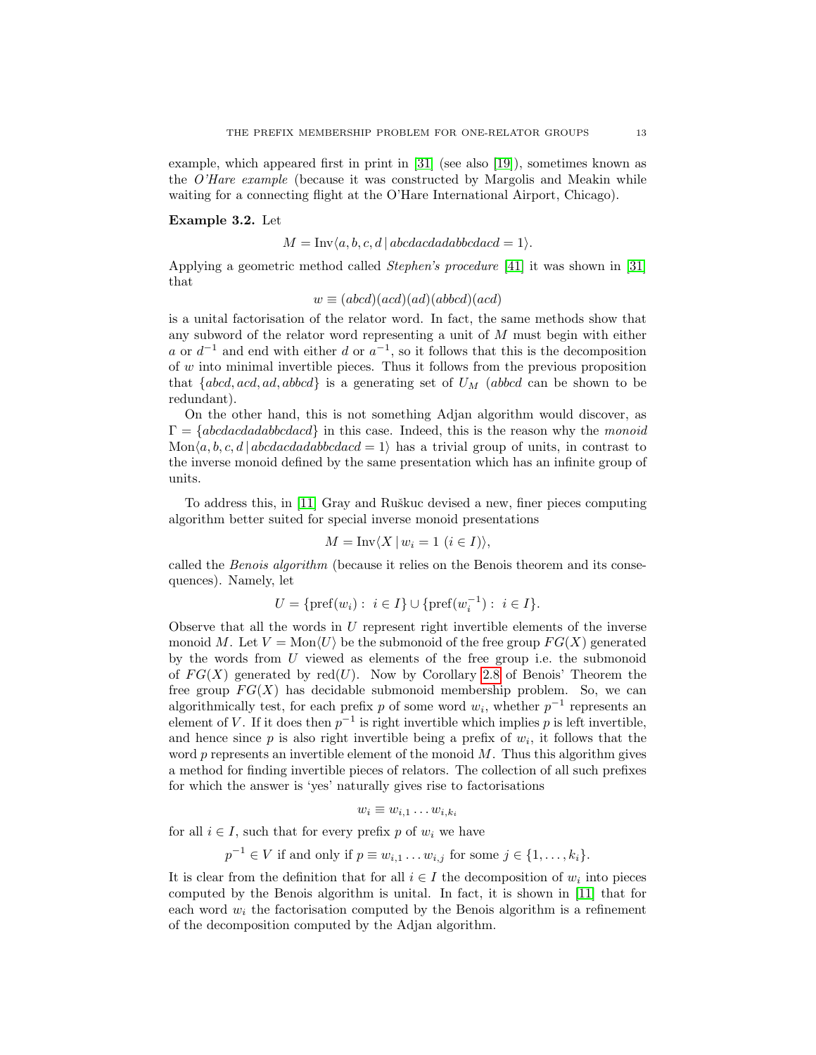example, which appeared first in print in [\[31\]](#page-48-13) (see also [\[19\]](#page-47-3)), sometimes known as the O'Hare example (because it was constructed by Margolis and Meakin while waiting for a connecting flight at the O'Hare International Airport, Chicago).

### <span id="page-12-0"></span>Example 3.2. Let

 $M = Inv\langle a, b, c, d | abcdacda dabbcdacd = 1 \rangle.$ 

Applying a geometric method called Stephen's procedure [\[41\]](#page-48-21) it was shown in [\[31\]](#page-48-13) that

$$
w \equiv (abcd)(acd)(ad)(abbcd)(acd)
$$

is a unital factorisation of the relator word. In fact, the same methods show that any subword of the relator word representing a unit of M must begin with either a or  $d^{-1}$  and end with either d or  $a^{-1}$ , so it follows that this is the decomposition of  $w$  into minimal invertible pieces. Thus it follows from the previous proposition that  ${abcd, acd, ad, abbcd}$  is a generating set of  $U_M$  (abbcd can be shown to be redundant).

On the other hand, this is not something Adjan algorithm would discover, as  $\Gamma = \{abcdacdadbcdacd\}$  in this case. Indeed, this is the reason why the monoid  $Mon(a, b, c, d | abcdacdaabbcdacd = 1)$  has a trivial group of units, in contrast to the inverse monoid defined by the same presentation which has an infinite group of units.

To address this, in [\[11\]](#page-47-12) Gray and Ruškuc devised a new, finer pieces computing algorithm better suited for special inverse monoid presentations

$$
M = \text{Inv}\langle X \mid w_i = 1 \ (i \in I) \rangle,
$$

called the *Benois algorithm* (because it relies on the Benois theorem and its consequences). Namely, let

$$
U = \{ \text{pref}(w_i) : i \in I \} \cup \{ \text{pref}(w_i^{-1}) : i \in I \}.
$$

Observe that all the words in  $U$  represent right invertible elements of the inverse monoid M. Let  $V = \text{Mon}\langle U \rangle$  be the submonoid of the free group  $FG(X)$  generated by the words from  $U$  viewed as elements of the free group i.e. the submonoid of  $FG(X)$  generated by red(U). Now by Corollary [2.8](#page-8-1) of Benois' Theorem the free group  $FG(X)$  has decidable submonoid membership problem. So, we can algorithmically test, for each prefix p of some word  $w_i$ , whether  $p^{-1}$  represents an element of V. If it does then  $p^{-1}$  is right invertible which implies p is left invertible, and hence since  $p$  is also right invertible being a prefix of  $w_i$ , it follows that the word  $p$  represents an invertible element of the monoid  $M$ . Thus this algorithm gives a method for finding invertible pieces of relators. The collection of all such prefixes for which the answer is 'yes' naturally gives rise to factorisations

$$
w_i \equiv w_{i,1} \dots w_{i,k_i}
$$

for all  $i \in I$ , such that for every prefix p of  $w_i$  we have

$$
p^{-1} \in V
$$
 if and only if  $p \equiv w_{i,1} \dots w_{i,j}$  for some  $j \in \{1, \dots, k_i\}$ .

It is clear from the definition that for all  $i \in I$  the decomposition of  $w_i$  into pieces computed by the Benois algorithm is unital. In fact, it is shown in [\[11\]](#page-47-12) that for each word  $w_i$  the factorisation computed by the Benois algorithm is a refinement of the decomposition computed by the Adjan algorithm.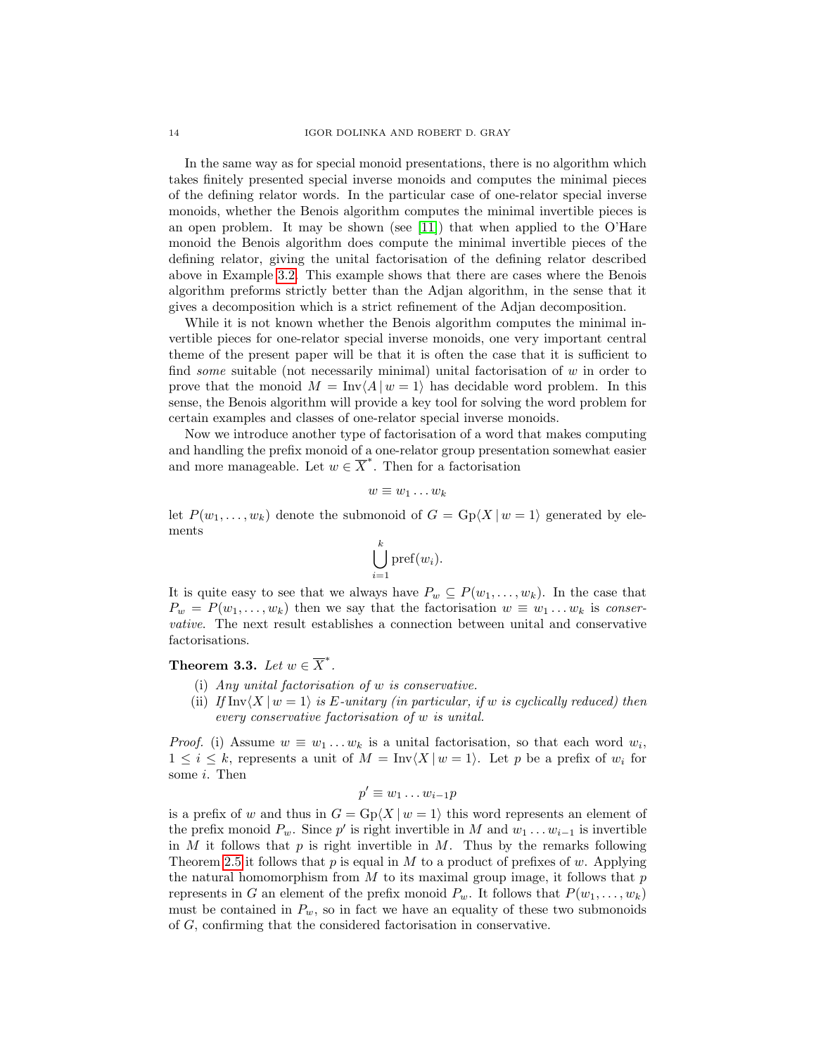In the same way as for special monoid presentations, there is no algorithm which takes finitely presented special inverse monoids and computes the minimal pieces of the defining relator words. In the particular case of one-relator special inverse monoids, whether the Benois algorithm computes the minimal invertible pieces is an open problem. It may be shown (see [\[11\]](#page-47-12)) that when applied to the O'Hare monoid the Benois algorithm does compute the minimal invertible pieces of the defining relator, giving the unital factorisation of the defining relator described above in Example [3.2.](#page-12-0) This example shows that there are cases where the Benois algorithm preforms strictly better than the Adjan algorithm, in the sense that it gives a decomposition which is a strict refinement of the Adjan decomposition.

While it is not known whether the Benois algorithm computes the minimal invertible pieces for one-relator special inverse monoids, one very important central theme of the present paper will be that it is often the case that it is sufficient to find *some* suitable (not necessarily minimal) unital factorisation of  $w$  in order to prove that the monoid  $M = Inv(A | w = 1)$  has decidable word problem. In this sense, the Benois algorithm will provide a key tool for solving the word problem for certain examples and classes of one-relator special inverse monoids.

Now we introduce another type of factorisation of a word that makes computing and handling the prefix monoid of a one-relator group presentation somewhat easier and more manageable. Let  $w \in \overline{X}^*$ . Then for a factorisation

$$
w \equiv w_1 \dots w_k
$$

let  $P(w_1, \ldots, w_k)$  denote the submonoid of  $G = \text{Gp}(X | w = 1)$  generated by elements

$$
\bigcup_{i=1}^k \text{pref}(w_i).
$$

It is quite easy to see that we always have  $P_w \subseteq P(w_1, \ldots, w_k)$ . In the case that  $P_w = P(w_1, \ldots, w_k)$  then we say that the factorisation  $w \equiv w_1 \ldots w_k$  is conservative. The next result establishes a connection between unital and conservative factorisations.

# <span id="page-13-0"></span>Theorem 3.3. Let  $w \in \overline{X}^*$ .

- (i) Any unital factorisation of w is conservative.
- (ii) If  $\text{Inv}\langle X | w = 1 \rangle$  is E-unitary (in particular, if w is cyclically reduced) then every conservative factorisation of w is unital.

*Proof.* (i) Assume  $w \equiv w_1 \ldots w_k$  is a unital factorisation, so that each word  $w_i$ ,  $1 \leq i \leq k$ , represents a unit of  $M = \text{Inv}(X | w = 1)$ . Let p be a prefix of  $w_i$  for some i. Then

$$
p' \equiv w_1 \dots w_{i-1} p
$$

is a prefix of w and thus in  $G = \text{Gp}(X | w = 1)$  this word represents an element of the prefix monoid  $P_w$ . Since p' is right invertible in M and  $w_1 \dots w_{i-1}$  is invertible in  $M$  it follows that  $p$  is right invertible in  $M$ . Thus by the remarks following Theorem [2.5](#page-7-0) it follows that p is equal in M to a product of prefixes of w. Applying the natural homomorphism from  $M$  to its maximal group image, it follows that  $p$ represents in G an element of the prefix monoid  $P_w$ . It follows that  $P(w_1, \ldots, w_k)$ must be contained in  $P_w$ , so in fact we have an equality of these two submonoids of G, confirming that the considered factorisation in conservative.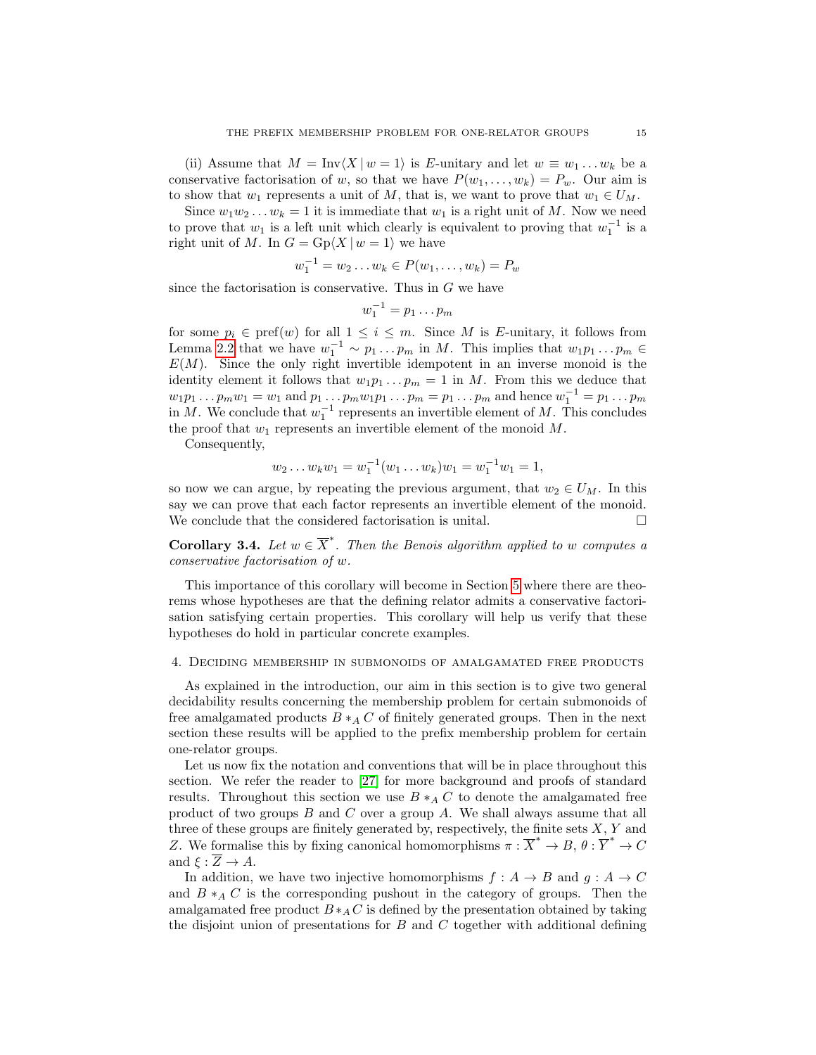(ii) Assume that  $M = Inv\langle X | w = 1 \rangle$  is E-unitary and let  $w \equiv w_1 ... w_k$  be a conservative factorisation of w, so that we have  $P(w_1, \ldots, w_k) = P_w$ . Our aim is to show that  $w_1$  represents a unit of M, that is, we want to prove that  $w_1 \in U_M$ .

Since  $w_1w_2...w_k = 1$  it is immediate that  $w_1$  is a right unit of M. Now we need to prove that  $w_1$  is a left unit which clearly is equivalent to proving that  $w_1^{-1}$  is a right unit of M. In  $G = \text{Gp}(X \mid w = 1)$  we have

$$
w_1^{-1} = w_2 \dots w_k \in P(w_1, \dots, w_k) = P_w
$$

since the factorisation is conservative. Thus in  $G$  we have

$$
w_1^{-1} = p_1 \dots p_m
$$

for some  $p_i \in \text{pref}(w)$  for all  $1 \leq i \leq m$ . Since M is E-unitary, it follows from Lemma [2.2](#page-6-0) that we have  $w_1^{-1} \sim p_1 \ldots p_m$  in M. This implies that  $w_1 p_1 \ldots p_m \in$  $E(M)$ . Since the only right invertible idempotent in an inverse monoid is the identity element it follows that  $w_1p_1 \tldots p_m = 1$  in M. From this we deduce that  $w_1p_1...p_m w_1 = w_1$  and  $p_1...p_m w_1p_1...p_m = p_1...p_m$  and hence  $w_1^{-1} = p_1...p_m$ in M. We conclude that  $w_1^{-1}$  represents an invertible element of M. This concludes the proof that  $w_1$  represents an invertible element of the monoid M.

Consequently,

$$
w_2 \dots w_k w_1 = w_1^{-1}(w_1 \dots w_k) w_1 = w_1^{-1} w_1 = 1,
$$

so now we can argue, by repeating the previous argument, that  $w_2 \in U_M$ . In this say we can prove that each factor represents an invertible element of the monoid. We conclude that the considered factorisation is unital.

**Corollary 3.4.** Let  $w \in \overline{X}^*$ . Then the Benois algorithm applied to w computes a conservative factorisation of w.

This importance of this corollary will become in Section [5](#page-21-0) where there are theorems whose hypotheses are that the defining relator admits a conservative factorisation satisfying certain properties. This corollary will help us verify that these hypotheses do hold in particular concrete examples.

#### <span id="page-14-0"></span>4. Deciding membership in submonoids of amalgamated free products

As explained in the introduction, our aim in this section is to give two general decidability results concerning the membership problem for certain submonoids of free amalgamated products  $B *_A C$  of finitely generated groups. Then in the next section these results will be applied to the prefix membership problem for certain one-relator groups.

Let us now fix the notation and conventions that will be in place throughout this section. We refer the reader to [\[27\]](#page-48-3) for more background and proofs of standard results. Throughout this section we use  $B *_A C$  to denote the amalgamated free product of two groups  $B$  and  $C$  over a group  $A$ . We shall always assume that all three of these groups are finitely generated by, respectively, the finite sets  $X, Y$  and Z. We formalise this by fixing canonical homomorphisms  $\pi : \overline{X}^* \to B$ ,  $\theta : \overline{Y}^* \to C$ and  $\xi : \overline{Z} \to A$ .

In addition, we have two injective homomorphisms  $f : A \rightarrow B$  and  $g : A \rightarrow C$ and  $B \ast_A C$  is the corresponding pushout in the category of groups. Then the amalgamated free product  $B *_A C$  is defined by the presentation obtained by taking the disjoint union of presentations for  $B$  and  $C$  together with additional defining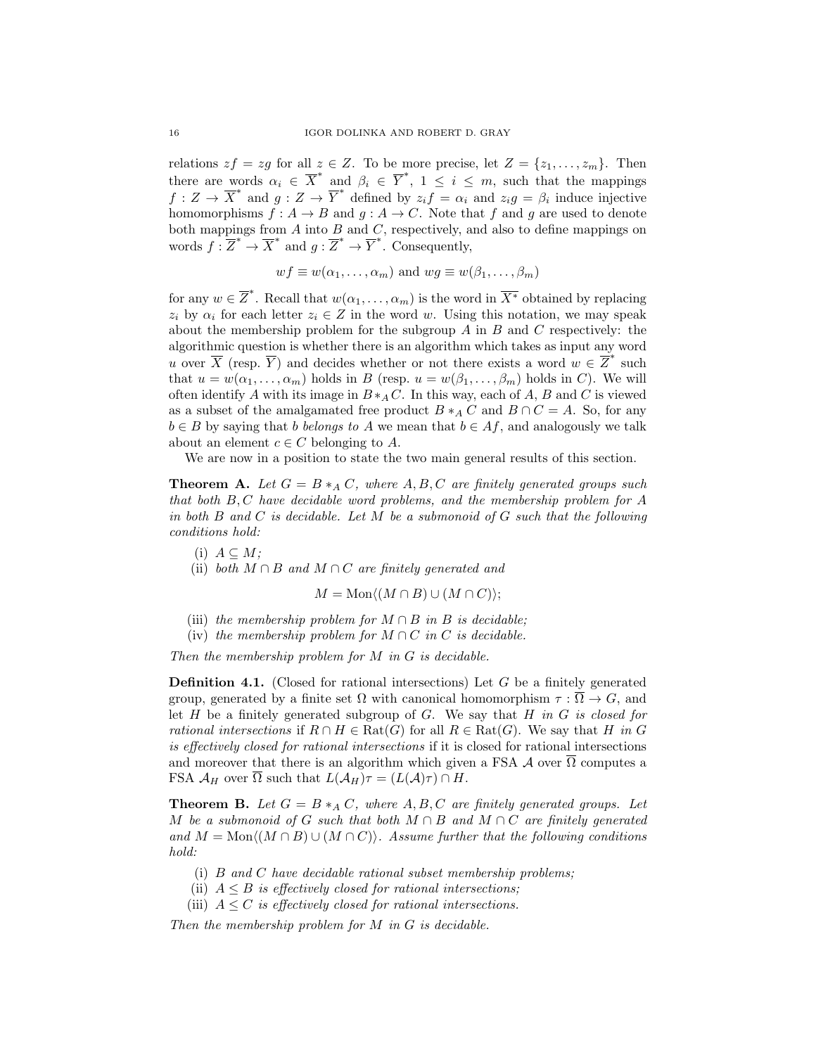relations  $zf = zg$  for all  $z \in Z$ . To be more precise, let  $Z = \{z_1, \ldots, z_m\}$ . Then there are words  $\alpha_i \in \overline{X}^*$  and  $\beta_i \in \overline{Y}^*$ ,  $1 \leq i \leq m$ , such that the mappings  $f: Z \to \overline{X}^*$  and  $g: Z \to \overline{Y}^*$  defined by  $z_i \overline{f} = \alpha_i$  and  $z_i g = \beta_i$  induce injective homomorphisms  $f : A \to B$  and  $g : A \to C$ . Note that f and g are used to denote both mappings from  $A$  into  $B$  and  $C$ , respectively, and also to define mappings on words  $f: \overline{Z}^* \to \overline{X}^*$  and  $g: \overline{Z}^* \to \overline{Y}^*$ . Consequently,

$$
wf \equiv w(\alpha_1, \ldots, \alpha_m)
$$
 and  $wg \equiv w(\beta_1, \ldots, \beta_m)$ 

for any  $w \in \overline{Z}^*$ . Recall that  $w(\alpha_1, \ldots, \alpha_m)$  is the word in  $\overline{X^*}$  obtained by replacing  $z_i$  by  $\alpha_i$  for each letter  $z_i \in Z$  in the word w. Using this notation, we may speak about the membership problem for the subgroup  $A$  in  $B$  and  $C$  respectively: the algorithmic question is whether there is an algorithm which takes as input any word u over  $\overline{X}$  (resp.  $\overline{Y}$ ) and decides whether or not there exists a word  $w \in \overline{Z}^*$  such that  $u = w(\alpha_1, \ldots, \alpha_m)$  holds in B (resp.  $u = w(\beta_1, \ldots, \beta_m)$ ) holds in C). We will often identify A with its image in  $B*_AC$ . In this way, each of A, B and C is viewed as a subset of the amalgamated free product  $B *_A C$  and  $B \cap C = A$ . So, for any  $b \in B$  by saying that b belongs to A we mean that  $b \in Af$ , and analogously we talk about an element  $c \in C$  belonging to A.

We are now in a position to state the two main general results of this section.

<span id="page-15-0"></span>**Theorem A.** Let  $G = B *_A C$ , where  $A, B, C$  are finitely generated groups such that both  $B, C$  have decidable word problems, and the membership problem for  $A$ in both  $B$  and  $C$  is decidable. Let  $M$  be a submonoid of  $G$  such that the following conditions hold:

- (i)  $A \subseteq M$ ;
- (ii) both  $M \cap B$  and  $M \cap C$  are finitely generated and

$$
M = \text{Mon}\langle (M \cap B) \cup (M \cap C) \rangle;
$$

- (iii) the membership problem for  $M \cap B$  in B is decidable:
- (iv) the membership problem for  $M \cap C$  in C is decidable.

Then the membership problem for M in G is decidable.

**Definition 4.1.** (Closed for rational intersections) Let  $G$  be a finitely generated group, generated by a finite set  $\Omega$  with canonical homomorphism  $\tau : \overline{\Omega} \to G$ , and let  $H$  be a finitely generated subgroup of  $G$ . We say that  $H$  in  $G$  is closed for rational intersections if  $R \cap H \in \text{Rat}(G)$  for all  $R \in \text{Rat}(G)$ . We say that H in G is effectively closed for rational intersections if it is closed for rational intersections and moreover that there is an algorithm which given a FSA  $\mathcal A$  over  $\overline{\Omega}$  computes a FSA  $\mathcal{A}_H$  over  $\overline{\Omega}$  such that  $L(\mathcal{A}_H)\tau = (L(\mathcal{A})\tau) \cap H$ .

<span id="page-15-1"></span>**Theorem B.** Let  $G = B *_{A} C$ , where A, B, C are finitely generated groups. Let M be a submonoid of G such that both  $M \cap B$  and  $M \cap C$  are finitely generated and  $M = \text{Mon}\langle (M \cap B) \cup (M \cap C) \rangle$ . Assume further that the following conditions hold:

- (i) B and C have decidable rational subset membership problems;
- (ii)  $A \leq B$  is effectively closed for rational intersections;
- (iii)  $A \leq C$  is effectively closed for rational intersections.

Then the membership problem for M in G is decidable.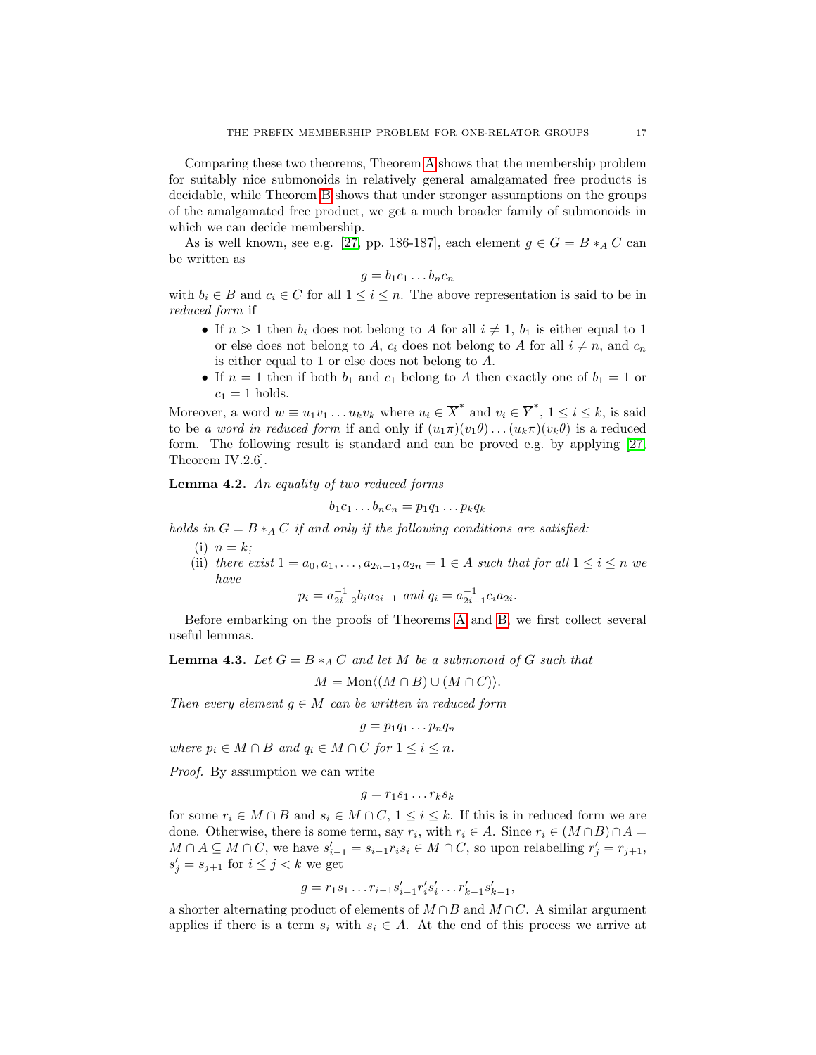Comparing these two theorems, Theorem [A](#page-15-0) shows that the membership problem for suitably nice submonoids in relatively general amalgamated free products is decidable, while Theorem [B](#page-15-1) shows that under stronger assumptions on the groups of the amalgamated free product, we get a much broader family of submonoids in which we can decide membership.

As is well known, see e.g. [\[27,](#page-48-3) pp. 186-187], each element  $g \in G = B *_A C$  can be written as

$$
g = b_1 c_1 \dots b_n c_n
$$

with  $b_i \in B$  and  $c_i \in C$  for all  $1 \leq i \leq n$ . The above representation is said to be in reduced form if

- If  $n > 1$  then  $b_i$  does not belong to A for all  $i \neq 1$ ,  $b_1$  is either equal to 1 or else does not belong to A,  $c_i$  does not belong to A for all  $i \neq n$ , and  $c_n$ is either equal to 1 or else does not belong to A.
- If  $n = 1$  then if both  $b_1$  and  $c_1$  belong to A then exactly one of  $b_1 = 1$  or  $c_1 = 1$  holds.

Moreover, a word  $w \equiv u_1v_1 \ldots u_kv_k$  where  $u_i \in \overline{X}^*$  and  $v_i \in \overline{Y}^*$ ,  $1 \le i \le k$ , is said to be a word in reduced form if and only if  $(u_1\pi)(v_1\theta)\dots(u_k\pi)(v_k\theta)$  is a reduced form. The following result is standard and can be proved e.g. by applying [\[27,](#page-48-3) Theorem IV.2.6].

<span id="page-16-1"></span>Lemma 4.2. An equality of two reduced forms

$$
b_1c_1\ldots b_nc_n=p_1q_1\ldots p_kq_k
$$

holds in  $G = B *_A C$  if and only if the following conditions are satisfied:

- (i)  $n = k$ ;
- (ii) there exist  $1 = a_0, a_1, \ldots, a_{2n-1}, a_{2n} = 1 \in A$  such that for all  $1 \leq i \leq n$  we have

$$
p_i = a_{2i-2}^{-1} b_i a_{2i-1} \text{ and } q_i = a_{2i-1}^{-1} c_i a_{2i}.
$$

Before embarking on the proofs of Theorems [A](#page-15-0) and [B,](#page-15-1) we first collect several useful lemmas.

<span id="page-16-0"></span>**Lemma 4.3.** Let  $G = B *_{A} C$  and let M be a submonoid of G such that

$$
M = \text{Mon}\langle (M \cap B) \cup (M \cap C) \rangle.
$$

Then every element  $g \in M$  can be written in reduced form

$$
g=p_1q_1\ldots p_nq_n
$$

where  $p_i \in M \cap B$  and  $q_i \in M \cap C$  for  $1 \leq i \leq n$ .

Proof. By assumption we can write

$$
g = r_1 s_1 \dots r_k s_k
$$

for some  $r_i \in M \cap B$  and  $s_i \in M \cap C$ ,  $1 \leq i \leq k$ . If this is in reduced form we are done. Otherwise, there is some term, say  $r_i$ , with  $r_i \in A$ . Since  $r_i \in (M \cap B) \cap A =$  $M \cap A \subseteq M \cap C$ , we have  $s'_{i-1} = s_{i-1}r_is_i \in M \cap C$ , so upon relabelling  $r'_j = r_{j+1}$ ,  $s'_j = s_{j+1}$  for  $i \leq j < k$  we get

$$
g = r_1 s_1 \dots r_{i-1} s'_{i-1} r'_i s'_i \dots r'_{k-1} s'_{k-1},
$$

a shorter alternating product of elements of  $M \cap B$  and  $M \cap C$ . A similar argument applies if there is a term  $s_i$  with  $s_i \in A$ . At the end of this process we arrive at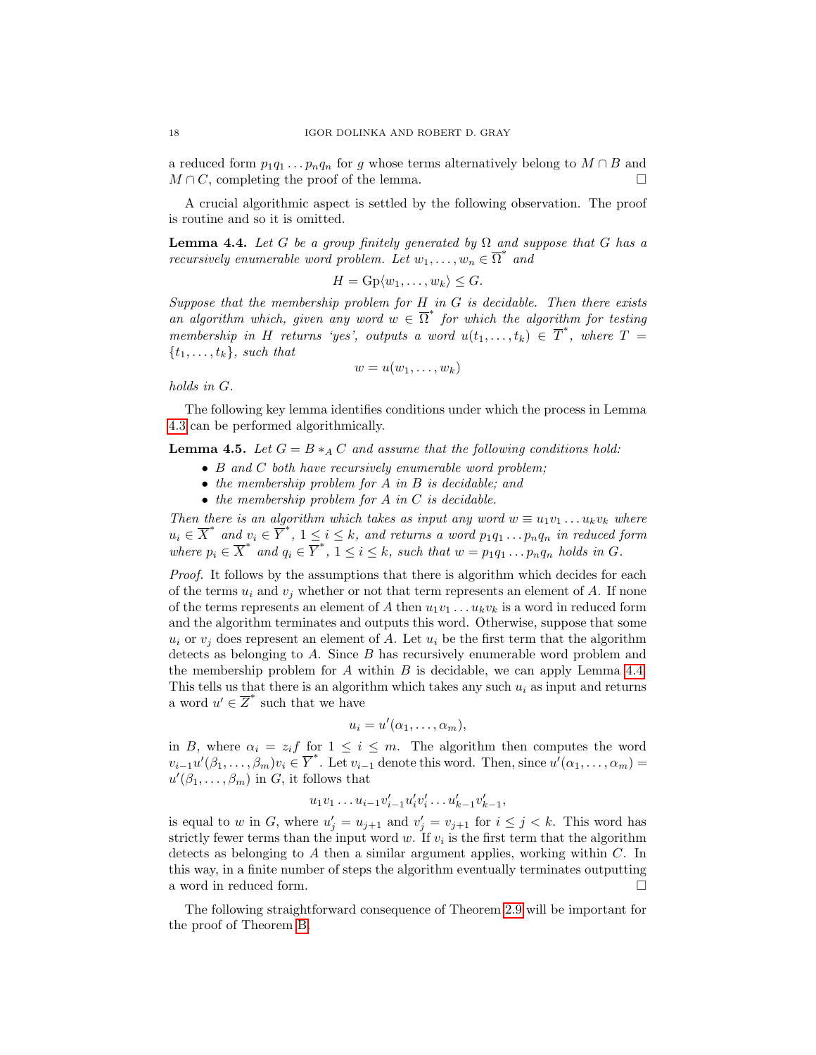a reduced form  $p_1q_1 \tldots p_nq_n$  for g whose terms alternatively belong to  $M \cap B$  and  $M \cap C$ , completing the proof of the lemma.

A crucial algorithmic aspect is settled by the following observation. The proof is routine and so it is omitted.

<span id="page-17-0"></span>**Lemma 4.4.** Let G be a group finitely generated by  $\Omega$  and suppose that G has a recursively enumerable word problem. Let  $w_1, \ldots, w_n \in \overline{\Omega}^*$  and

$$
H = \mathrm{Gp}\langle w_1, \ldots, w_k \rangle \leq G.
$$

Suppose that the membership problem for  $H$  in  $G$  is decidable. Then there exists an algorithm which, given any word  $w \in \overline{\Omega}^*$  for which the algorithm for testing membership in H returns 'yes', outputs a word  $u(t_1,\ldots,t_k) \in \overline{T}^*$ , where  $T =$  $\{t_1, \ldots, t_k\}$ , such that

$$
w=u(w_1,\ldots,w_k)
$$

holds in G.

The following key lemma identifies conditions under which the process in Lemma [4.3](#page-16-0) can be performed algorithmically.

<span id="page-17-1"></span>**Lemma 4.5.** Let  $G = B *_{A} C$  and assume that the following conditions hold:

- B and C both have recursively enumerable word problem;
- the membership problem for A in B is decidable; and
- $\bullet$  the membership problem for A in C is decidable.

Then there is an algorithm which takes as input any word  $w \equiv u_1v_1 \ldots u_kv_k$  where  $u_i \in \overline{X}^*$  and  $v_i \in \overline{Y}^*$ ,  $1 \leq i \leq k$ , and returns a word  $p_1q_1 \ldots p_nq_n$  in reduced form where  $p_i \in \overline{X}^*$  and  $q_i \in \overline{Y}^*$ ,  $1 \leq i \leq k$ , such that  $w = p_1q_1 \ldots p_nq_n$  holds in  $G$ .

Proof. It follows by the assumptions that there is algorithm which decides for each of the terms  $u_i$  and  $v_j$  whether or not that term represents an element of A. If none of the terms represents an element of A then  $u_1v_1 \ldots u_kv_k$  is a word in reduced form and the algorithm terminates and outputs this word. Otherwise, suppose that some  $u_i$  or  $v_i$  does represent an element of A. Let  $u_i$  be the first term that the algorithm detects as belonging to  $A$ . Since  $B$  has recursively enumerable word problem and the membership problem for A within B is decidable, we can apply Lemma  $4.4$ . This tells us that there is an algorithm which takes any such  $u_i$  as input and returns a word  $u' \in \overline{Z}^*$  such that we have

$$
u_i = u'(\alpha_1, \ldots, \alpha_m),
$$

in B, where  $\alpha_i = z_i f$  for  $1 \leq i \leq m$ . The algorithm then computes the word  $v_{i-1}u'(\beta_1,\ldots,\beta_m)v_i\in \overline{Y}^*$ . Let  $v_{i-1}$  denote this word. Then, since  $u'(\alpha_1,\ldots,\alpha_m)=$  $u'(\beta_1,\ldots,\beta_m)$  in G, it follows that

$$
u_1v_1 \ldots u_{i-1}v'_{i-1}u'_{i}v'_{i} \ldots u'_{k-1}v'_{k-1},
$$

is equal to w in G, where  $u'_j = u_{j+1}$  and  $v'_j = v_{j+1}$  for  $i \leq j < k$ . This word has strictly fewer terms than the input word  $w$ . If  $v_i$  is the first term that the algorithm detects as belonging to A then a similar argument applies, working within C. In this way, in a finite number of steps the algorithm eventually terminates outputting a word in reduced form.  $\hfill \square$ 

The following straightforward consequence of Theorem [2.9](#page-8-0) will be important for the proof of Theorem [B.](#page-15-1)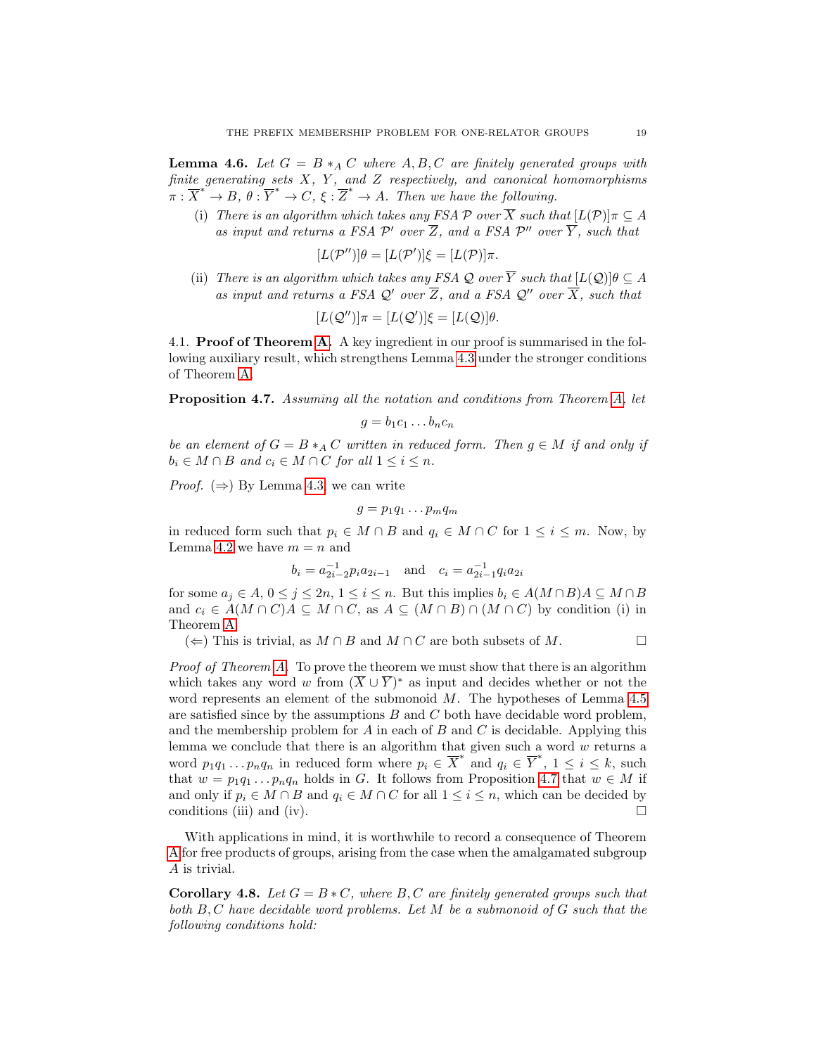<span id="page-18-1"></span>**Lemma 4.6.** Let  $G = B *_{A} C$  where  $A, B, C$  are finitely generated groups with finite generating sets  $X$ ,  $Y$ , and  $Z$  respectively, and canonical homomorphisms  $\overline{x}^* \to B, \overline{\theta} : \overline{Y}^* \to C, \overline{\xi} : \overline{Z}^* \to A$ . Then we have the following.

(i) There is an algorithm which takes any FSA  $\mathcal P$  over  $\overline X$  such that  $[L(\mathcal{P})]_{\pi} \subset A$ as input and returns a FSA  $\mathcal{P}'$  over  $\overline{Z}$ , and a FSA  $\mathcal{P}''$  over  $\overline{Y}$ , such that

$$
[L(\mathcal{P}'')] \theta = [L(\mathcal{P}')]\xi = [L(\mathcal{P})]\pi.
$$

(ii) There is an algorithm which takes any FSA Q over  $\overline{Y}$  such that  $[L(Q)]\theta \subseteq A$ as input and returns a FSA Q' over  $\overline{Z}$ , and a FSA Q'' over  $\overline{X}$ , such that

$$
[L(\mathcal{Q}'')] \pi = [L(\mathcal{Q}')] \xi = [L(\mathcal{Q})] \theta.
$$

4.1. Proof of Theorem [A.](#page-15-0) A key ingredient in our proof is summarised in the following auxiliary result, which strengthens Lemma [4.3](#page-16-0) under the stronger conditions of Theorem [A.](#page-15-0)

<span id="page-18-0"></span>**Proposition 4.7.** Assuming all the notation and conditions from Theorem [A,](#page-15-0) let

$$
g = b_1 c_1 \dots b_n c_n
$$

be an element of  $G = B*_A C$  written in reduced form. Then  $g \in M$  if and only if  $b_i \in M \cap B$  and  $c_i \in M \cap C$  for all  $1 \leq i \leq n$ .

*Proof.* ( $\Rightarrow$ ) By Lemma [4.3,](#page-16-0) we can write

$$
g=p_1q_1\ldots p_mq_m
$$

in reduced form such that  $p_i \in M \cap B$  and  $q_i \in M \cap C$  for  $1 \leq i \leq m$ . Now, by Lemma [4.2](#page-16-1) we have  $m = n$  and

$$
b_i = a_{2i-2}^{-1} p_i a_{2i-1}
$$
 and  $c_i = a_{2i-1}^{-1} q_i a_{2i}$ 

for some  $a_j \in A$ ,  $0 \le j \le 2n$ ,  $1 \le i \le n$ . But this implies  $b_i \in A(M \cap B)A \subseteq M \cap B$ and  $c_i \in A(M \cap C)A \subseteq M \cap C$ , as  $A \subseteq (M \cap B) \cap (M \cap C)$  by condition (i) in Theorem [A.](#page-15-0)

(  $\Leftarrow$ ) This is trivial, as  $M \cap B$  and  $M \cap C$  are both subsets of M.  $\Box$ 

Proof of Theorem [A.](#page-15-0) To prove the theorem we must show that there is an algorithm which takes any word w from  $(\overline{X} \cup \overline{Y})^*$  as input and decides whether or not the word represents an element of the submonoid  $M$ . The hypotheses of Lemma [4.5](#page-17-1) are satisfied since by the assumptions  $B$  and  $C$  both have decidable word problem, and the membership problem for A in each of B and C is decidable. Applying this lemma we conclude that there is an algorithm that given such a word  $w$  returns a word  $p_1q_1 \ldots p_nq_n$  in reduced form where  $p_i \in \overline{X}^*$  and  $q_i \in \overline{Y}^*, 1 \leq i \leq k$ , such that  $w = p_1q_1 \tldots p_nq_n$  holds in G. It follows from Proposition [4.7](#page-18-0) that  $w \in M$  if and only if  $p_i \in M \cap B$  and  $q_i \in M \cap C$  for all  $1 \leq i \leq n$ , which can be decided by conditions (iii) and (iv).  $\Box$ 

With applications in mind, it is worthwhile to record a consequence of Theorem [A](#page-15-0) for free products of groups, arising from the case when the amalgamated subgroup A is trivial.

<span id="page-18-2"></span>Corollary 4.8. Let  $G = B * C$ , where  $B, C$  are finitely generated groups such that both B, C have decidable word problems. Let M be a submonoid of G such that the following conditions hold: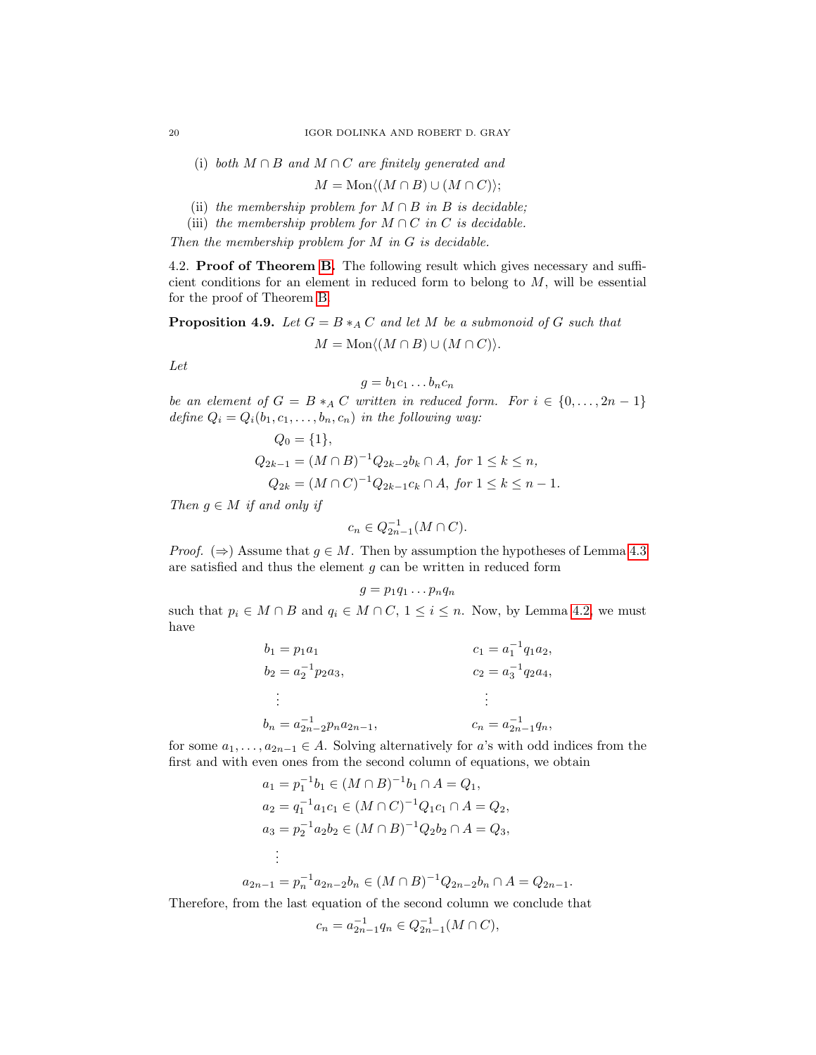(i) both  $M \cap B$  and  $M \cap C$  are finitely generated and

$$
M = \text{Mon}\langle (M \cap B) \cup (M \cap C) \rangle;
$$

- (ii) the membership problem for  $M \cap B$  in B is decidable;
- (iii) the membership problem for  $M \cap C$  in C is decidable.

Then the membership problem for  $M$  in  $G$  is decidable.

4.2. Proof of Theorem [B.](#page-15-1) The following result which gives necessary and sufficient conditions for an element in reduced form to belong to  $M$ , will be essential for the proof of Theorem [B.](#page-15-1)

<span id="page-19-0"></span>**Proposition 4.9.** Let  $G = B *_{A} C$  and let M be a submonoid of G such that  $M = \text{Mon}\langle (M \cap B) \cup (M \cap C) \rangle.$ 

Let

$$
g = b_1 c_1 \dots b_n c_n
$$

be an element of  $G = B *_A C$  written in reduced form. For  $i \in \{0, ..., 2n-1\}$ define  $Q_i = Q_i(b_1, c_1, \ldots, b_n, c_n)$  in the following way:

$$
Q_0 = \{1\},
$$
  
\n
$$
Q_{2k-1} = (M \cap B)^{-1} Q_{2k-2} b_k \cap A, \text{ for } 1 \le k \le n,
$$
  
\n
$$
Q_{2k} = (M \cap C)^{-1} Q_{2k-1} c_k \cap A, \text{ for } 1 \le k \le n-1.
$$

Then  $g \in M$  if and only if

$$
c_n \in Q_{2n-1}^{-1}(M \cap C).
$$

*Proof.* ( $\Rightarrow$ ) Assume that  $q \in M$ . Then by assumption the hypotheses of Lemma [4.3](#page-16-0) are satisfied and thus the element  $g$  can be written in reduced form

$$
g = p_1 q_1 \dots p_n q_n
$$
 such that  $p_i \in M \cap B$  and  $q_i \in M \cap C$ ,  $1 \le i \le n$ . Now, by Lemma 4.2, we must have

| $b_1=p_1a_1$                        | $c_1 = a_1^{-1} q_1 a_2,$                                 |
|-------------------------------------|-----------------------------------------------------------|
| $b_2 = a_2^{-1} p_2 a_3,$           | $c_2 = a_3^{-1} q_2 a_4,$                                 |
| 그렇게 아니다                             | $\mathcal{L}(\mathcal{L})$ and $\mathcal{L}(\mathcal{L})$ |
| $b_n = a_{2n-2}^{-1} p_n a_{2n-1},$ | $c_n = a_{2n-1}^{-1} q_n,$                                |

for some  $a_1, \ldots, a_{2n-1} \in A$ . Solving alternatively for a's with odd indices from the first and with even ones from the second column of equations, we obtain

$$
a_1 = p_1^{-1}b_1 \in (M \cap B)^{-1}b_1 \cap A = Q_1,
$$
  
\n
$$
a_2 = q_1^{-1}a_1c_1 \in (M \cap C)^{-1}Q_1c_1 \cap A = Q_2,
$$
  
\n
$$
a_3 = p_2^{-1}a_2b_2 \in (M \cap B)^{-1}Q_2b_2 \cap A = Q_3,
$$
  
\n
$$
\vdots
$$
  
\n
$$
a_{2n-1} = p_n^{-1}a_{2n-2}b_n \in (M \cap B)^{-1}Q_{2n-2}b_n \cap A = Q_{2n-1}.
$$

Therefore, from the last equation of the second column we conclude that

$$
c_n = a_{2n-1}^{-1} q_n \in Q_{2n-1}^{-1}(M \cap C),
$$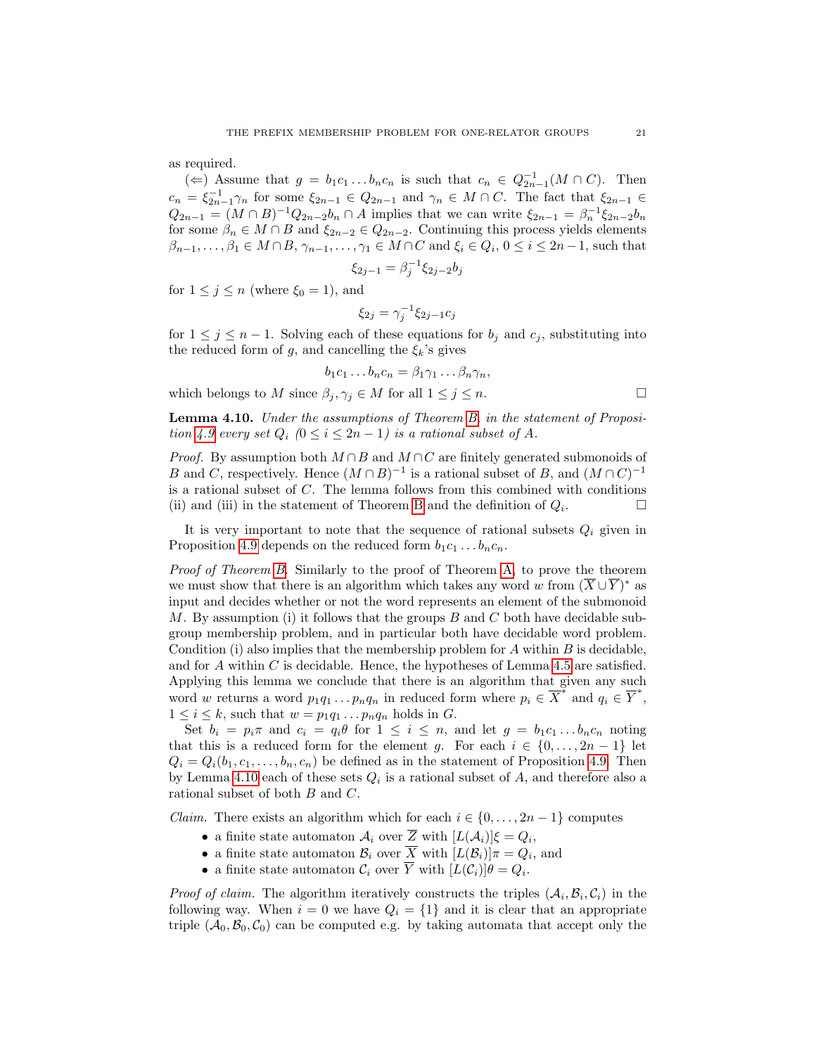as required.

(←) Assume that  $g = b_1 c_1 ... b_n c_n$  is such that  $c_n \in Q_{2n-1}^{-1}(M \cap C)$ . Then  $c_n = \xi_{2n-1}^{-1} \gamma_n$  for some  $\xi_{2n-1} \in Q_{2n-1}$  and  $\gamma_n \in M \cap C$ . The fact that  $\xi_{2n-1} \in$  $Q_{2n-1} = (M \cap B)^{-1} Q_{2n-2} b_n \cap A$  implies that we can write  $\xi_{2n-1} = \beta_n^{-1} \xi_{2n-2} b_n$ for some  $\beta_n \in M \cap B$  and  $\xi_{2n-2} \in Q_{2n-2}$ . Continuing this process yields elements  $\beta_{n-1}, \ldots, \beta_1 \in M \cap B, \gamma_{n-1}, \ldots, \gamma_1 \in M \cap C$  and  $\xi_i \in Q_i, 0 \leq i \leq 2n-1$ , such that

$$
\xi_{2j-1} = \beta_j^{-1} \xi_{2j-2} b_j
$$

for  $1 \leq j \leq n$  (where  $\xi_0 = 1$ ), and

$$
\xi_{2j}=\gamma_j^{-1}\xi_{2j-1}c_j
$$

for  $1 \leq j \leq n-1$ . Solving each of these equations for  $b_j$  and  $c_j$ , substituting into the reduced form of g, and cancelling the  $\xi_k$ 's gives

$$
b_1c_1 \ldots b_nc_n = \beta_1\gamma_1 \ldots \beta_n\gamma_n,
$$

which belongs to M since  $\beta_j, \gamma_j \in M$  for all  $1 \leq j \leq n$ .

<span id="page-20-0"></span>Lemma 4.10. Under the assumptions of Theorem [B,](#page-15-1) in the statement of Proposi-tion [4.9](#page-19-0) every set  $Q_i$   $(0 \le i \le 2n-1)$  is a rational subset of A.

*Proof.* By assumption both  $M \cap B$  and  $M \cap C$  are finitely generated submonoids of B and C, respectively. Hence  $(M \cap B)^{-1}$  is a rational subset of B, and  $(M \cap C)^{-1}$ is a rational subset of C. The lemma follows from this combined with conditions (ii) and (iii) in the statement of Theorem [B](#page-15-1) and the definition of  $Q_i$ . . — П

It is very important to note that the sequence of rational subsets  $Q_i$  given in Proposition [4.9](#page-19-0) depends on the reduced form  $b_1c_1 \ldots b_nc_n$ .

Proof of Theorem [B.](#page-15-1) Similarly to the proof of Theorem [A,](#page-15-0) to prove the theorem we must show that there is an algorithm which takes any word w from  $(\overline{X} \cup \overline{Y})^*$  as input and decides whether or not the word represents an element of the submonoid M. By assumption (i) it follows that the groups  $B$  and  $C$  both have decidable subgroup membership problem, and in particular both have decidable word problem. Condition (i) also implies that the membership problem for  $A$  within  $B$  is decidable, and for  $A$  within  $C$  is decidable. Hence, the hypotheses of Lemma [4.5](#page-17-1) are satisfied. Applying this lemma we conclude that there is an algorithm that given any such word w returns a word  $p_1q_1 \ldots p_nq_n$  in reduced form where  $p_i \in \overline{X}^*$  and  $q_i \in \overline{Y}^*$ ,  $1 \leq i \leq k$ , such that  $w = p_1q_1 \dots p_nq_n$  holds in G.

Set  $b_i = p_i \pi$  and  $c_i = q_i \theta$  for  $1 \leq i \leq n$ , and let  $g = b_1 c_1 \dots b_n c_n$  noting that this is a reduced form for the element g. For each  $i \in \{0, \ldots, 2n-1\}$  let  $Q_i = Q_i(b_1, c_1, \ldots, b_n, c_n)$  be defined as in the statement of Proposition [4.9.](#page-19-0) Then by Lemma [4.10](#page-20-0) each of these sets  $Q_i$  is a rational subset of  $A$ , and therefore also a rational subset of both B and C.

*Claim.* There exists an algorithm which for each  $i \in \{0, \ldots, 2n-1\}$  computes

- a finite state automaton  $\mathcal{A}_i$  over  $\overline{Z}$  with  $[L(\mathcal{A}_i)]\xi = Q_i$ ,
- a finite state automaton  $\mathcal{B}_i$  over X with  $[L(\mathcal{B}_i)]\pi = Q_i$ , and
- a finite state automaton  $\mathcal{C}_i$  over Y with  $[L(\mathcal{C}_i)]\theta = Q_i$ .

*Proof of claim.* The algorithm iteratively constructs the triples  $(\mathcal{A}_i, \mathcal{B}_i, \mathcal{C}_i)$  in the following way. When  $i = 0$  we have  $Q_i = \{1\}$  and it is clear that an appropriate triple  $(A_0, B_0, C_0)$  can be computed e.g. by taking automata that accept only the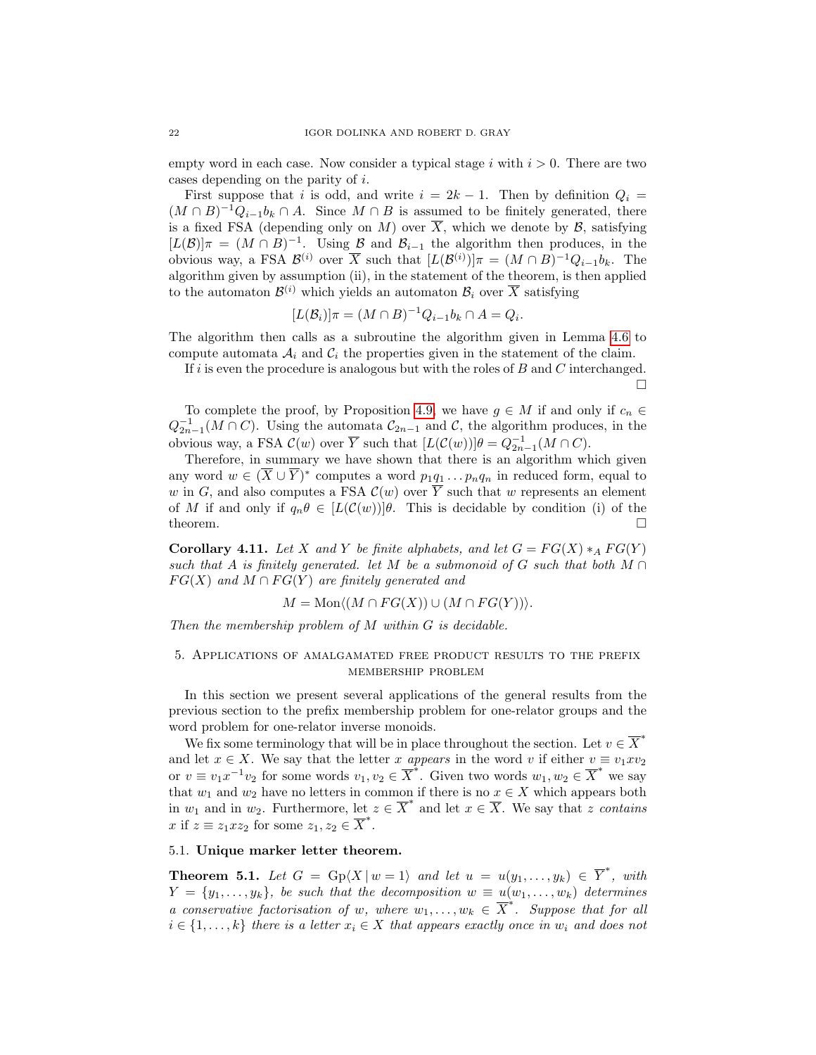empty word in each case. Now consider a typical stage i with  $i > 0$ . There are two cases depending on the parity of i.

First suppose that i is odd, and write  $i = 2k - 1$ . Then by definition  $Q_i =$  $(M \cap B)^{-1}Q_{i-1}b_k \cap A$ . Since  $M \cap B$  is assumed to be finitely generated, there is a fixed FSA (depending only on M) over  $\overline{X}$ , which we denote by  $\mathcal{B}$ , satisfying  $[L(\mathcal{B})]$  $\pi = (M \cap B)^{-1}$ . Using  $\mathcal{B}$  and  $\mathcal{B}_{i-1}$  the algorithm then produces, in the obvious way, a FSA  $\mathcal{B}^{(i)}$  over  $\overline{X}$  such that  $[L(\mathcal{B}^{(i)})]\pi = (M \cap B)^{-1}Q_{i-1}b_k$ . The algorithm given by assumption (ii), in the statement of the theorem, is then applied to the automaton  $\mathcal{B}^{(i)}$  which yields an automaton  $\mathcal{B}_i$  over  $\overline{X}$  satisfying

$$
[L(\mathcal{B}_i)]\pi = (M \cap B)^{-1}Q_{i-1}b_k \cap A = Q_i.
$$

The algorithm then calls as a subroutine the algorithm given in Lemma [4.6](#page-18-1) to compute automata  $A_i$  and  $C_i$  the properties given in the statement of the claim.

If i is even the procedure is analogous but with the roles of  $B$  and  $C$  interchanged. П

To complete the proof, by Proposition [4.9,](#page-19-0) we have  $g \in M$  if and only if  $c_n \in$  $Q_{2n-1}^{-1}(M \cap C)$ . Using the automata  $\mathcal{C}_{2n-1}$  and  $\mathcal{C}$ , the algorithm produces, in the obvious way, a FSA  $\mathcal{C}(w)$  over  $\overline{Y}$  such that  $[L(\mathcal{C}(w))] \theta = Q_{2n-1}^{-1}(M \cap C)$ .

Therefore, in summary we have shown that there is an algorithm which given any word  $w \in (\overline{X} \cup \overline{Y})^*$  computes a word  $p_1q_1 \ldots p_nq_n$  in reduced form, equal to w in G, and also computes a FSA  $\mathcal{C}(w)$  over  $\overline{Y}$  such that w represents an element of M if and only if  $q_n\theta \in [L(\mathcal{C}(w))]$  f. This is decidable by condition (i) of the theorem.  $\Box$ 

Corollary 4.11. Let X and Y be finite alphabets, and let  $G = FG(X) * _A FG(Y)$ such that A is finitely generated. let M be a submonoid of G such that both  $M \cap$  $FG(X)$  and  $M \cap FG(Y)$  are finitely generated and

$$
M = \text{Mon}\langle (M \cap FG(X)) \cup (M \cap FG(Y)) \rangle.
$$

Then the membership problem of M within G is decidable.

# <span id="page-21-0"></span>5. Applications of amalgamated free product results to the prefix membership problem

In this section we present several applications of the general results from the previous section to the prefix membership problem for one-relator groups and the word problem for one-relator inverse monoids.

We fix some terminology that will be in place throughout the section. Let  $v \in \overline{X}^*$ and let  $x \in X$ . We say that the letter x appears in the word v if either  $v \equiv v_1 x v_2$ or  $v \equiv v_1 x^{-1} v_2$  for some words  $v_1, v_2 \in \overline{X}^*$ . Given two words  $w_1, w_2 \in \overline{X}^*$  we say that  $w_1$  and  $w_2$  have no letters in common if there is no  $x \in X$  which appears both in  $w_1$  and in  $w_2$ . Furthermore, let  $z \in \overline{X}^*$  and let  $x \in \overline{X}$ . We say that z contains x if  $z \equiv z_1 x z_2$  for some  $z_1, z_2 \in \overline{X}^*$ .

# 5.1. Unique marker letter theorem.

<span id="page-21-1"></span>**Theorem 5.1.** Let  $G = \text{Gp}(X \mid w = 1)$  and let  $u = u(y_1, \ldots, y_k) \in \overline{Y}^*$ , with  $Y = \{y_1, \ldots, y_k\}$ , be such that the decomposition  $w \equiv u(w_1, \ldots, w_k)$  determines a conservative factorisation of w, where  $w_1, \ldots, w_k \in \overline{X}^*$ . Suppose that for all  $i \in \{1, \ldots, k\}$  there is a letter  $x_i \in X$  that appears exactly once in  $w_i$  and does not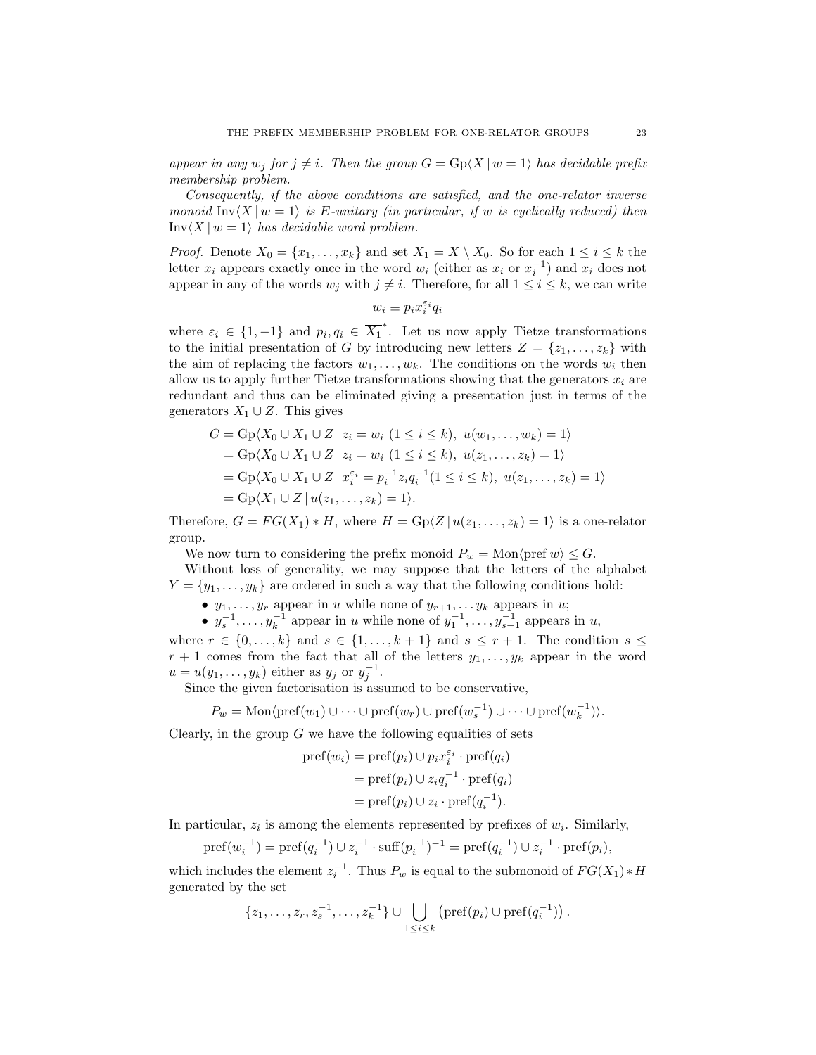appear in any  $w_j$  for  $j \neq i$ . Then the group  $G = \text{Gp}(X | w = 1)$  has decidable prefix membership problem.

Consequently, if the above conditions are satisfied, and the one-relator inverse monoid  $\text{Inv}\langle X | w = 1 \rangle$  is E-unitary (in particular, if w is cyclically reduced) then  $\text{Inv}\langle X | w = 1 \rangle$  has decidable word problem.

*Proof.* Denote  $X_0 = \{x_1, \ldots, x_k\}$  and set  $X_1 = X \setminus X_0$ . So for each  $1 \leq i \leq k$  the letter  $x_i$  appears exactly once in the word  $w_i$  (either as  $x_i$  or  $x_i^{-1}$ ) and  $x_i$  does not appear in any of the words  $w_j$  with  $j \neq i$ . Therefore, for all  $1 \leq i \leq k$ , we can write

$$
w_i \equiv p_i x_i^{\varepsilon_i} q_i
$$

where  $\varepsilon_i \in \{1, -1\}$  and  $p_i, q_i \in \overline{X_1}^*$ . Let us now apply Tietze transformations to the initial presentation of G by introducing new letters  $Z = \{z_1, \ldots, z_k\}$  with the aim of replacing the factors  $w_1, \ldots, w_k$ . The conditions on the words  $w_i$  then allow us to apply further Tietze transformations showing that the generators  $x_i$  are redundant and thus can be eliminated giving a presentation just in terms of the generators  $X_1 \cup Z$ . This gives

$$
G = \text{Gp}(X_0 \cup X_1 \cup Z \mid z_i = w_i \ (1 \le i \le k), \ u(w_1, \dots, w_k) = 1)
$$
  
= 
$$
\text{Gp}(X_0 \cup X_1 \cup Z \mid z_i = w_i \ (1 \le i \le k), \ u(z_1, \dots, z_k) = 1)
$$
  
= 
$$
\text{Gp}(X_0 \cup X_1 \cup Z \mid x_i^{\varepsilon_i} = p_i^{-1} z_i q_i^{-1} (1 \le i \le k), \ u(z_1, \dots, z_k) = 1)
$$
  
= 
$$
\text{Gp}(X_1 \cup Z \mid u(z_1, \dots, z_k) = 1).
$$

Therefore,  $G = FG(X_1) * H$ , where  $H = Gp(Z | u(z_1, ..., z_k) = 1)$  is a one-relator group.

We now turn to considering the prefix monoid  $P_w = \text{Mon} \langle \text{pref } w \rangle \leq G$ .

Without loss of generality, we may suppose that the letters of the alphabet  $Y = \{y_1, \ldots, y_k\}$  are ordered in such a way that the following conditions hold:

•  $y_1, \ldots, y_r$  appear in u while none of  $y_{r+1}, \ldots, y_k$  appears in u;

•  $y_s^{-1}, \ldots, y_k^{-1}$  appear in u while none of  $y_1^{-1}, \ldots, y_{s-1}^{-1}$  appears in u,

where  $r \in \{0, \ldots, k\}$  and  $s \in \{1, \ldots, k+1\}$  and  $s \leq r+1$ . The condition  $s \leq$  $r+1$  comes from the fact that all of the letters  $y_1, \ldots, y_k$  appear in the word  $u = u(y_1, \ldots, y_k)$  either as  $y_j$  or  $y_j^{-1}$ .

Since the given factorisation is assumed to be conservative,

$$
P_w = \text{Mon}\langle \text{pref}(w_1) \cup \cdots \cup \text{pref}(w_r) \cup \text{pref}(w_s^{-1}) \cup \cdots \cup \text{pref}(w_k^{-1})\rangle.
$$

Clearly, in the group  $G$  we have the following equalities of sets

$$
pref(w_i)=pref(p_i)\cup p_ix_i^{\varepsilon_i}\cdot pref(q_i)
$$
  
= pref(p\_i)\cup z\_iq\_i^{-1}\cdot pref(q\_i)  
=pref(p\_i)\cup z\_i\cdot pref(q\_i^{-1}).

In particular,  $z_i$  is among the elements represented by prefixes of  $w_i$ . Similarly,

$$
\text{pref}(w_i^{-1}) = \text{pref}(q_i^{-1}) \cup z_i^{-1} \cdot \text{suff}(p_i^{-1})^{-1} = \text{pref}(q_i^{-1}) \cup z_i^{-1} \cdot \text{pref}(p_i),
$$

which includes the element  $z_i^{-1}$ . Thus  $P_w$  is equal to the submonoid of  $FG(X_1) * H$ generated by the set

$$
\{z_1,\ldots,z_r,z_s^{-1},\ldots,z_k^{-1}\}\cup\bigcup_{1\leq i\leq k} \left(\text{pref}(p_i)\cup\text{pref}(q_i^{-1})\right).
$$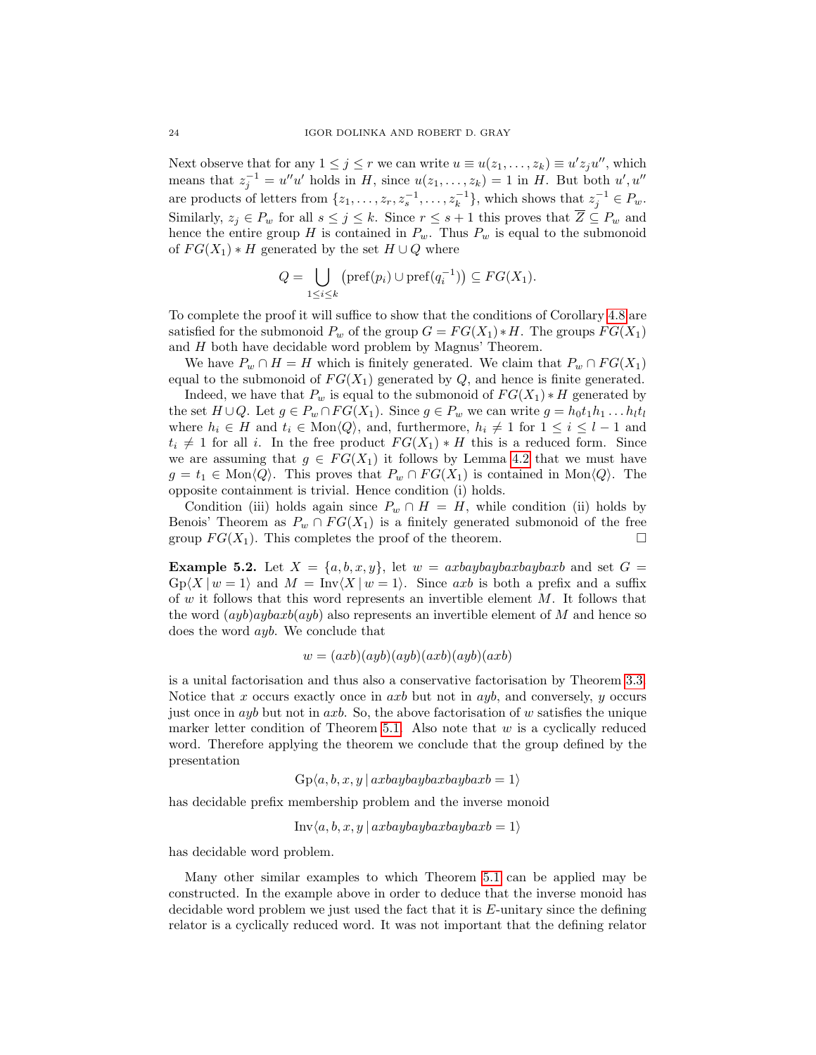Next observe that for any  $1 \leq j \leq r$  we can write  $u \equiv u(z_1, \ldots, z_k) \equiv u' z_j u''$ , which means that  $z_j^{-1} = u''u'$  holds in H, since  $u(z_1, \ldots, z_k) = 1$  in H. But both  $u', u''$ are products of letters from  $\{z_1, \ldots, z_r, z_s^{-1}, \ldots, z_k^{-1}\}$ , which shows that  $z_j^{-1} \in P_w$ . Similarly,  $z_j \in P_w$  for all  $s \leq j \leq k$ . Since  $r \leq s+1$  this proves that  $\overline{Z} \subseteq P_w$  and hence the entire group H is contained in  $P_w$ . Thus  $P_w$  is equal to the submonoid of  $FG(X_1) * H$  generated by the set  $H \cup Q$  where

$$
Q = \bigcup_{1 \leq i \leq k} \left( \text{pref}(p_i) \cup \text{pref}(q_i^{-1}) \right) \subseteq FG(X_1).
$$

To complete the proof it will suffice to show that the conditions of Corollary [4.8](#page-18-2) are satisfied for the submonoid  $P_w$  of the group  $G = FG(X_1) * H$ . The groups  $FG(X_1)$ and H both have decidable word problem by Magnus' Theorem.

We have  $P_w \cap H = H$  which is finitely generated. We claim that  $P_w \cap FG(X_1)$ equal to the submonoid of  $FG(X_1)$  generated by  $Q$ , and hence is finite generated.

Indeed, we have that  $P_w$  is equal to the submonoid of  $FG(X_1) * H$  generated by the set  $H \cup Q$ . Let  $g \in P_w \cap FG(X_1)$ . Since  $g \in P_w$  we can write  $g = h_0 t_1 h_1 \dots h_l t_l$ where  $h_i \in H$  and  $t_i \in \text{Mon}\langle Q \rangle$ , and, furthermore,  $h_i \neq 1$  for  $1 \leq i \leq l - 1$  and  $t_i \neq 1$  for all i. In the free product  $FG(X_1) * H$  this is a reduced form. Since we are assuming that  $g \in FG(X_1)$  it follows by Lemma [4.2](#page-16-1) that we must have  $g = t_1 \in \text{Mon}\langle Q \rangle$ . This proves that  $P_w \cap FG(X_1)$  is contained in Mon $\langle Q \rangle$ . The opposite containment is trivial. Hence condition (i) holds.

Condition (iii) holds again since  $P_w \cap H = H$ , while condition (ii) holds by Benois' Theorem as  $P_w \cap FG(X_1)$  is a finitely generated submonoid of the free group  $FG(X_1)$ . This completes the proof of the theorem.

<span id="page-23-0"></span>**Example 5.2.** Let  $X = \{a, b, x, y\}$ , let  $w = axbaybaybaxbaybaxb$  and set  $G =$  $Gp\langle X | w = 1 \rangle$  and  $M = Inv\langle X | w = 1 \rangle$ . Since axb is both a prefix and a suffix of  $w$  it follows that this word represents an invertible element  $M$ . It follows that the word  $(ayb)aybaxb(ayb)$  also represents an invertible element of M and hence so does the word ayb. We conclude that

$$
w = (axb)(ayb)(ayb)(axb)(ayb)(axb)
$$

is a unital factorisation and thus also a conservative factorisation by Theorem [3.3.](#page-13-0) Notice that  $x$  occurs exactly once in  $axb$  but not in  $ayb$ , and conversely,  $y$  occurs just once in ayb but not in axb. So, the above factorisation of w satisfies the unique marker letter condition of Theorem [5.1.](#page-21-1) Also note that  $w$  is a cyclically reduced word. Therefore applying the theorem we conclude that the group defined by the presentation

 $Gp\langle a, b, x, y \mid axbaybaybaxbaybaxb = 1 \rangle$ 

has decidable prefix membership problem and the inverse monoid

$$
Inv\langle a, b, x, y \mid axbaybaybaxbaybaxb = 1 \rangle
$$

has decidable word problem.

Many other similar examples to which Theorem [5.1](#page-21-1) can be applied may be constructed. In the example above in order to deduce that the inverse monoid has decidable word problem we just used the fact that it is  $E$ -unitary since the defining relator is a cyclically reduced word. It was not important that the defining relator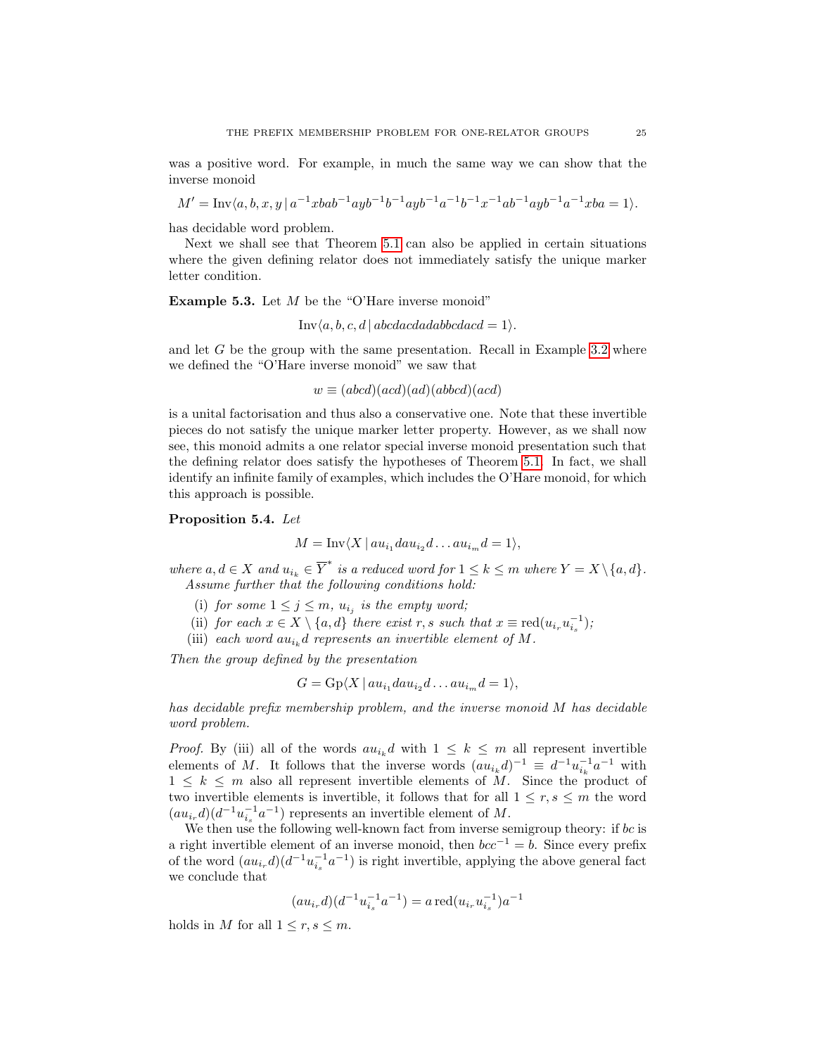was a positive word. For example, in much the same way we can show that the inverse monoid

 $M' = \text{Inv}\langle a, b, x, y \mid a^{-1}xbab^{-1}ayb^{-1}b^{-1}ayb^{-1}a^{-1}b^{-1}x^{-1}ab^{-1}ayb^{-1}a^{-1}xba = 1 \rangle.$ 

has decidable word problem.

Next we shall see that Theorem [5.1](#page-21-1) can also be applied in certain situations where the given defining relator does not immediately satisfy the unique marker letter condition.

**Example 5.3.** Let  $M$  be the "O'Hare inverse monoid"

 $Inv(a, b, c, d | abcdacdaabbcdacd = 1).$ 

and let  $G$  be the group with the same presentation. Recall in Example [3.2](#page-12-0) where we defined the "O'Hare inverse monoid" we saw that

 $w \equiv (abcd)(acd)(add)(abbcd)(acd)$ 

is a unital factorisation and thus also a conservative one. Note that these invertible pieces do not satisfy the unique marker letter property. However, as we shall now see, this monoid admits a one relator special inverse monoid presentation such that the defining relator does satisfy the hypotheses of Theorem [5.1.](#page-21-1) In fact, we shall identify an infinite family of examples, which includes the O'Hare monoid, for which this approach is possible.

<span id="page-24-0"></span>Proposition 5.4. Let

$$
M = \text{Inv}\langle X \, | \, au_{i_1}dau_{i_2}d \ldots au_{i_m}d = 1 \rangle,
$$

where  $a, d \in X$  and  $u_{i_k} \in \overline{Y}^*$  is a reduced word for  $1 \leq k \leq m$  where  $Y = X \setminus \{a, d\}.$ Assume further that the following conditions hold:

- (i) for some  $1 \leq j \leq m$ ,  $u_{i_j}$  is the empty word;
- (ii) for each  $x \in X \setminus \{a, d\}$  there exist r, s such that  $x \equiv \text{red}(u_{i_r} u_{i_s}^{-1})$ ;
- (iii) each word  $au_{i_k}d$  represents an invertible element of M.

Then the group defined by the presentation

$$
G = \mathrm{Gp}\langle X \,|\, a u_{i_1} d a u_{i_2} d \ldots a u_{i_m} d = 1 \rangle,
$$

has decidable prefix membership problem, and the inverse monoid M has decidable word problem.

*Proof.* By (iii) all of the words  $au_{i_k}d$  with  $1 \leq k \leq m$  all represent invertible elements of M. It follows that the inverse words  $(au_{i_k}d)^{-1} \equiv d^{-1}u_{i_k}^{-1}a^{-1}$  with  $1 \leq k \leq m$  also all represent invertible elements of M. Since the product of two invertible elements is invertible, it follows that for all  $1 \leq r, s \leq m$  the word  $(au_{i_r}d)(d^{-1}u_{i_s}^{-1}a^{-1})$  represents an invertible element of M.

We then use the following well-known fact from inverse semigroup theory: if  $bc$  is a right invertible element of an inverse monoid, then  $bcc^{-1} = b$ . Since every prefix of the word  $(au_{i_r}d)(d^{-1}u_{i_s}^{-1}a^{-1})$  is right invertible, applying the above general fact we conclude that

$$
(au_{i_r}d)(d^{-1}u_{i_s}^{-1}a^{-1}) = a \operatorname{red}(u_{i_r}u_{i_s}^{-1})a^{-1}
$$

holds in M for all  $1 \leq r, s \leq m$ .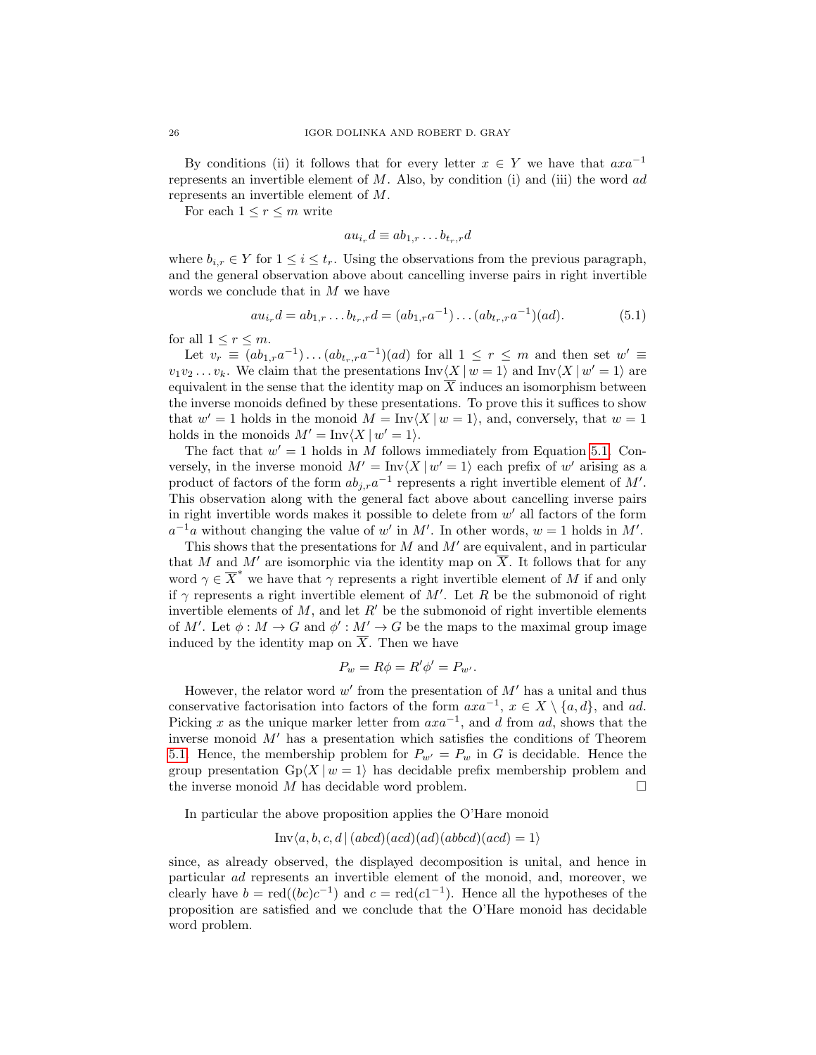By conditions (ii) it follows that for every letter  $x \in Y$  we have that  $axa^{-1}$ represents an invertible element of  $M$ . Also, by condition (i) and (iii) the word ad represents an invertible element of M.

For each  $1 \leq r \leq m$  write

$$
au_{i_r}d \equiv ab_{1,r}\dots b_{t_r,r}d
$$

where  $b_{i,r} \in Y$  for  $1 \leq i \leq t_r$ . Using the observations from the previous paragraph, and the general observation above about cancelling inverse pairs in right invertible words we conclude that in M we have

<span id="page-25-0"></span>
$$
au_{i_r}d = ab_{1,r} \dots b_{t_r,r}d = (ab_{1,r}a^{-1}) \dots (ab_{t_r,r}a^{-1})(ad).
$$
 (5.1)

for all  $1 \leq r \leq m$ .

Let  $v_r \equiv (ab_{1,r}a^{-1})\dots (ab_{t_r,r}a^{-1})(ad)$  for all  $1 \leq r \leq m$  and then set  $w' \equiv$  $v_1v_2 \ldots v_k$ . We claim that the presentations  $\text{Inv}\langle X | w = 1 \rangle$  and  $\text{Inv}\langle X | w' = 1 \rangle$  are equivalent in the sense that the identity map on  $\overline{X}$  induces an isomorphism between the inverse monoids defined by these presentations. To prove this it suffices to show that  $w' = 1$  holds in the monoid  $M = Inv\langle X | w = 1 \rangle$ , and, conversely, that  $w = 1$ holds in the monoids  $M' = \text{Inv}\langle X | w' = 1 \rangle$ .

The fact that  $w' = 1$  holds in M follows immediately from Equation [5.1.](#page-25-0) Conversely, in the inverse monoid  $M' = \text{Inv}\langle X | w' = 1 \rangle$  each prefix of w' arising as a product of factors of the form  $ab_{j,r}a^{-1}$  represents a right invertible element of M'. This observation along with the general fact above about cancelling inverse pairs in right invertible words makes it possible to delete from  $w'$  all factors of the form  $a^{-1}a$  without changing the value of w' in M'. In other words,  $w = 1$  holds in M'.

This shows that the presentations for  $M$  and  $M'$  are equivalent, and in particular that M and M' are isomorphic via the identity map on  $\overline{X}$ . It follows that for any word  $\gamma \in \overline{X}^*$  we have that  $\gamma$  represents a right invertible element of M if and only if  $\gamma$  represents a right invertible element of M'. Let R be the submonoid of right invertible elements of  $M$ , and let  $R'$  be the submonoid of right invertible elements of M'. Let  $\phi : M \to G$  and  $\phi' : M' \to G$  be the maps to the maximal group image induced by the identity map on  $\overline{X}$ . Then we have

$$
P_w = R\phi = R'\phi' = P_{w'}.
$$

However, the relator word  $w'$  from the presentation of  $M'$  has a unital and thus conservative factorisation into factors of the form  $axa^{-1}$ ,  $x \in X \setminus \{a, d\}$ , and ad. Picking x as the unique marker letter from  $axa^{-1}$ , and d from ad, shows that the inverse monoid  $M'$  has a presentation which satisfies the conditions of Theorem [5.1.](#page-21-1) Hence, the membership problem for  $P_{w'} = P_w$  in G is decidable. Hence the group presentation  $Gp\langle X | w = 1 \rangle$  has decidable prefix membership problem and the inverse monoid  $M$  has decidable word problem.

In particular the above proposition applies the O'Hare monoid

$$
Inv\langle a, b, c, d | (abcd)(acd)(ad)(abbcd)(acd) = 1 \rangle
$$

since, as already observed, the displayed decomposition is unital, and hence in particular ad represents an invertible element of the monoid, and, moreover, we clearly have  $b = \text{red}((bc)c^{-1})$  and  $c = \text{red}(c1^{-1})$ . Hence all the hypotheses of the proposition are satisfied and we conclude that the O'Hare monoid has decidable word problem.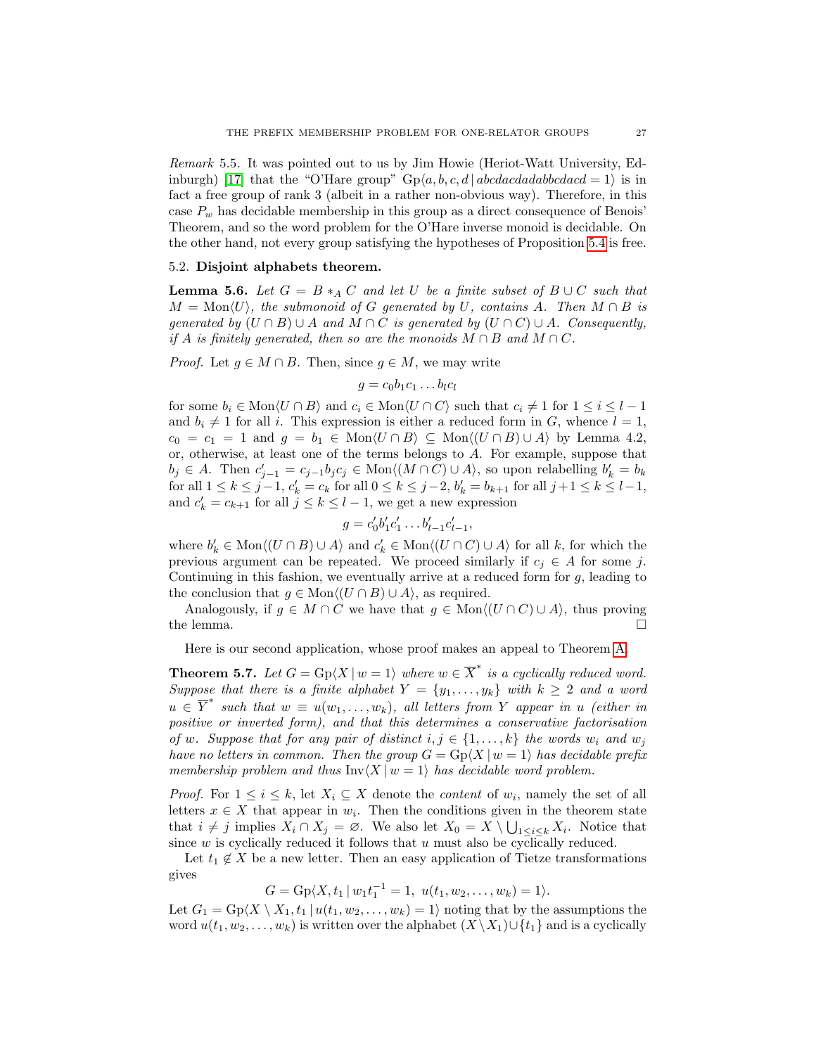Remark 5.5. It was pointed out to us by Jim Howie (Heriot-Watt University, Ed-inburgh) [\[17\]](#page-47-17) that the "O'Hare group"  $Gp\langle a, b, c, d | abcdacdaabbcdacd = 1 \rangle$  is in fact a free group of rank 3 (albeit in a rather non-obvious way). Therefore, in this case  $P_w$  has decidable membership in this group as a direct consequence of Benois' Theorem, and so the word problem for the O'Hare inverse monoid is decidable. On the other hand, not every group satisfying the hypotheses of Proposition [5.4](#page-24-0) is free.

# 5.2. Disjoint alphabets theorem.

<span id="page-26-1"></span>**Lemma 5.6.** Let  $G = B *_A C$  and let U be a finite subset of  $B \cup C$  such that  $M = \text{Mon}\langle U \rangle$ , the submonoid of G generated by U, contains A. Then  $M \cap B$  is generated by  $(U \cap B) \cup A$  and  $M \cap C$  is generated by  $(U \cap C) \cup A$ . Consequently, if A is finitely generated, then so are the monoids  $M \cap B$  and  $M \cap C$ .

*Proof.* Let  $g \in M \cap B$ . Then, since  $g \in M$ , we may write

$$
g = c_0 b_1 c_1 \dots b_l c_l
$$

for some  $b_i \in \text{Mon}\langle U \cap B \rangle$  and  $c_i \in \text{Mon}\langle U \cap C \rangle$  such that  $c_i \neq 1$  for  $1 \leq i \leq l-1$ and  $b_i \neq 1$  for all i. This expression is either a reduced form in G, whence  $l = 1$ ,  $c_0 = c_1 = 1$  and  $g = b_1 \in \text{Mon}\langle U \cap B \rangle \subseteq \text{Mon}\langle (U \cap B) \cup A \rangle$  by Lemma 4.2, or, otherwise, at least one of the terms belongs to A. For example, suppose that  $b_j \in A$ . Then  $c'_{j-1} = c_{j-1}b_jc_j \in \text{Mon}\langle (M \cap C) \cup A \rangle$ , so upon relabelling  $b'_k = b_k$ for all  $1 \le k \le j-1$ ,  $c'_k = c_k$  for all  $0 \le k \le j-2$ ,  $b'_k = b_{k+1}$  for all  $j+1 \le k \le l-1$ , and  $c'_k = c_{k+1}$  for all  $j \le k \le l-1$ , we get a new expression

$$
g = c'_0 b'_1 c'_1 \dots b'_{l-1} c'_{l-1},
$$

where  $b'_k \in \text{Mon}\langle (U \cap B) \cup A \rangle$  and  $c'_k \in \text{Mon}\langle (U \cap C) \cup A \rangle$  for all k, for which the previous argument can be repeated. We proceed similarly if  $c_i \in A$  for some j. Continuing in this fashion, we eventually arrive at a reduced form for  $g$ , leading to the conclusion that  $g \in \text{Mon}\langle (U \cap B) \cup A \rangle$ , as required.

Analogously, if  $g \in M \cap C$  we have that  $g \in \text{Mon}\langle (U \cap C) \cup A \rangle$ , thus proving the lemma.  $\Box$ 

Here is our second application, whose proof makes an appeal to Theorem [A.](#page-15-0)

<span id="page-26-0"></span>**Theorem 5.7.** Let  $G = \text{Gp}(X \mid w = 1)$  where  $w \in \overline{X}^*$  is a cyclically reduced word. Suppose that there is a finite alphabet  $Y = \{y_1, \ldots, y_k\}$  with  $k \geq 2$  and a word  $u \in \overline{Y}^*$  such that  $w \equiv u(w_1, \ldots, w_k)$ , all letters from Y appear in u (either in positive or inverted form), and that this determines a conservative factorisation of w. Suppose that for any pair of distinct  $i, j \in \{1, ..., k\}$  the words  $w_i$  and  $w_j$ have no letters in common. Then the group  $G = \text{Gp}(X \mid w = 1)$  has decidable prefix membership problem and thus  $\text{Inv}\langle X | w = 1 \rangle$  has decidable word problem.

*Proof.* For  $1 \leq i \leq k$ , let  $X_i \subseteq X$  denote the *content* of  $w_i$ , namely the set of all letters  $x \in X$  that appear in  $w_i$ . Then the conditions given in the theorem state that  $i \neq j$  implies  $X_i \cap X_j = \emptyset$ . We also let  $X_0 = X \setminus \bigcup_{1 \leq i \leq k} X_i$ . Notice that since  $w$  is cyclically reduced it follows that  $u$  must also be cyclically reduced.

Let  $t_1 \notin X$  be a new letter. Then an easy application of Tietze transformations gives

$$
G = \mathrm{Gp}\langle X, t_1 | w_1 t_1^{-1} = 1, u(t_1, w_2, \dots, w_k) = 1 \rangle.
$$

Let  $G_1 = \text{Gp}(X \setminus X_1, t_1 | u(t_1, w_2, \dots, w_k) = 1)$  noting that by the assumptions the word  $u(t_1, w_2, \ldots, w_k)$  is written over the alphabet  $(X \setminus X_1) \cup \{t_1\}$  and is a cyclically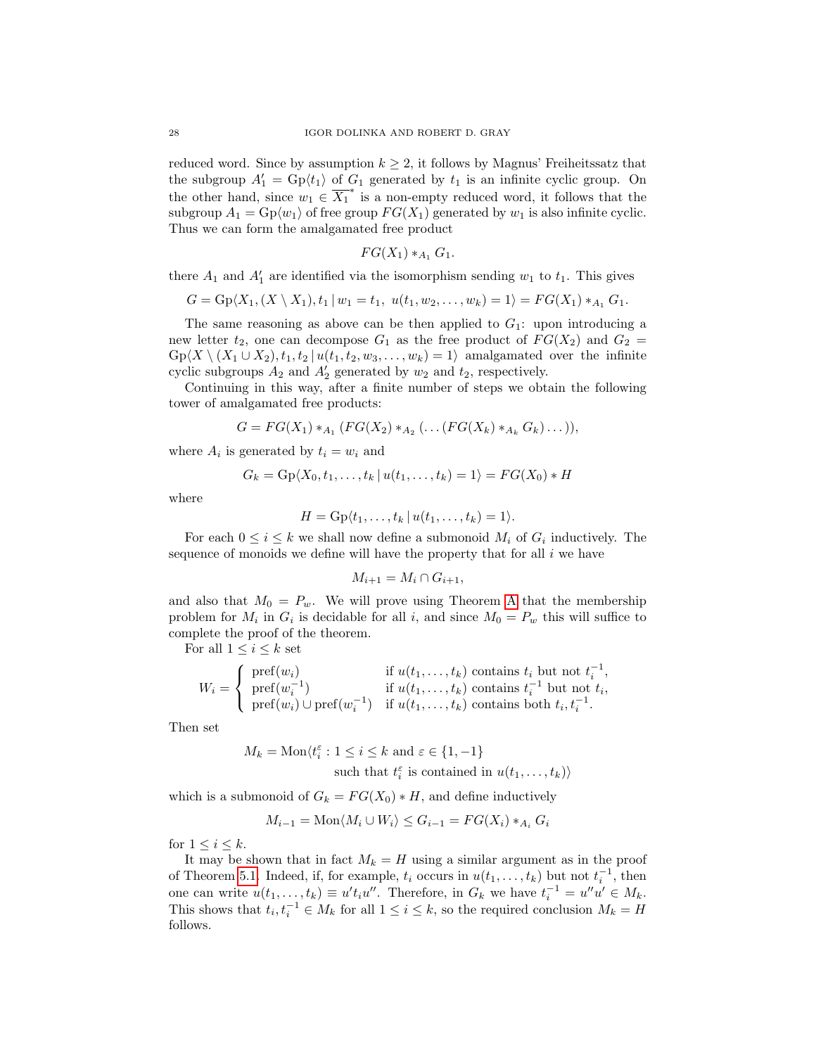reduced word. Since by assumption  $k \geq 2$ , it follows by Magnus' Freiheitssatz that the subgroup  $A'_1 = \text{Gp}(t_1)$  of  $G_1$  generated by  $t_1$  is an infinite cyclic group. On the other hand, since  $w_1 \in \overline{X_1}^*$  is a non-empty reduced word, it follows that the subgroup  $A_1 = \text{Gp}(w_1)$  of free group  $FG(X_1)$  generated by  $w_1$  is also infinite cyclic. Thus we can form the amalgamated free product

$$
FG(X_1) *_{A_1} G_1.
$$

there  $A_1$  and  $A'_1$  are identified via the isomorphism sending  $w_1$  to  $t_1$ . This gives

$$
G = \mathrm{Gp}\langle X_1, (X \setminus X_1), t_1 | w_1 = t_1, u(t_1, w_2, \dots, w_k) = 1 \rangle = FG(X_1) *_{A_1} G_1.
$$

The same reasoning as above can be then applied to  $G_1$ : upon introducing a new letter  $t_2$ , one can decompose  $G_1$  as the free product of  $FG(X_2)$  and  $G_2$  =  $\operatorname{Gp}\langle X \setminus (X_1 \cup X_2), t_1, t_2 \mid u(t_1, t_2, w_3, \ldots, w_k) = 1 \rangle$  amalgamated over the infinite cyclic subgroups  $A_2$  and  $A'_2$  generated by  $w_2$  and  $t_2$ , respectively.

Continuing in this way, after a finite number of steps we obtain the following tower of amalgamated free products:

$$
G = FG(X_1) *_{A_1} (FG(X_2) *_{A_2} (... (FG(X_k) *_{A_k} G_k)...)),
$$

where  $A_i$  is generated by  $t_i = w_i$  and

$$
G_k = \mathrm{Gp}(X_0, t_1, \ldots, t_k \mid u(t_1, \ldots, t_k) = 1) = FG(X_0) * H
$$

where

$$
H = \mathrm{Gp}\langle t_1, \ldots, t_k \mid u(t_1, \ldots, t_k) = 1 \rangle.
$$

For each  $0 \leq i \leq k$  we shall now define a submonoid  $M_i$  of  $G_i$  inductively. The sequence of monoids we define will have the property that for all  $i$  we have

$$
M_{i+1} = M_i \cap G_{i+1},
$$

and also that  $M_0 = P_w$ . We will prove using Theorem [A](#page-15-0) that the membership problem for  $M_i$  in  $G_i$  is decidable for all i, and since  $M_0 = P_w$  this will suffice to complete the proof of the theorem.

For all  $1 \leq i \leq k$  set

$$
W_i = \begin{cases} \operatorname{pref}(w_i) & \text{if } u(t_1, \ldots, t_k) \text{ contains } t_i \text{ but not } t_i^{-1}, \\ \operatorname{pref}(w_i^{-1}) & \text{if } u(t_1, \ldots, t_k) \text{ contains } t_i^{-1} \text{ but not } t_i, \\ \operatorname{pref}(w_i) \cup \operatorname{pref}(w_i^{-1}) & \text{if } u(t_1, \ldots, t_k) \text{ contains both } t_i, t_i^{-1}. \end{cases}
$$

Then set

$$
M_k = \text{Mon}\langle t_i^{\varepsilon} : 1 \le i \le k \text{ and } \varepsilon \in \{1, -1\}
$$
  
such that  $t_i^{\varepsilon}$  is contained in  $u(t_1, \dots, t_k)$ 

which is a submonoid of  $G_k = FG(X_0) * H$ , and define inductively

$$
M_{i-1} = \text{Mon}\langle M_i \cup W_i \rangle \le G_{i-1} = FG(X_i) *_{A_i} G_i
$$

for  $1 \leq i \leq k$ .

It may be shown that in fact  $M_k = H$  using a similar argument as in the proof of Theorem [5.1.](#page-21-1) Indeed, if, for example,  $t_i$  occurs in  $u(t_1,\ldots,t_k)$  but not  $t_i^{-1}$ , then one can write  $u(t_1,...,t_k) \equiv u't_iu''$ . Therefore, in  $G_k$  we have  $t_i^{-1} = u''u' \in M_k$ . This shows that  $t_i, t_i^{-1} \in M_k$  for all  $1 \leq i \leq k$ , so the required conclusion  $M_k = H$ follows.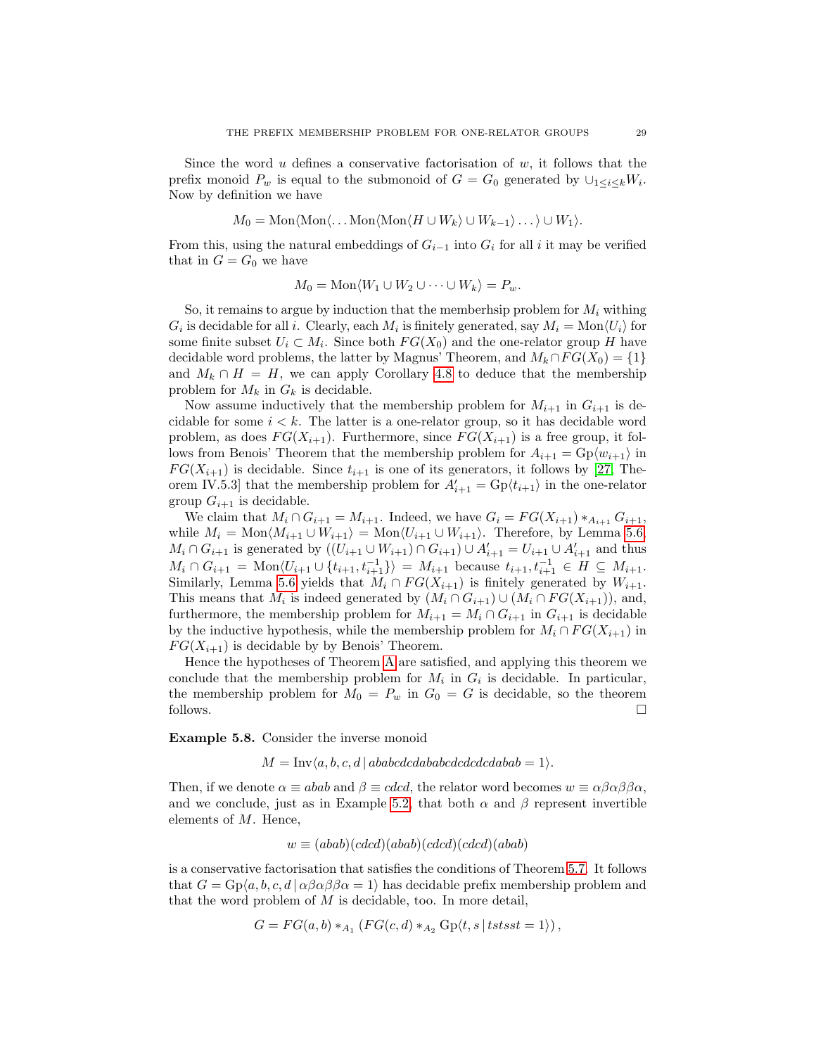Since the word u defines a conservative factorisation of  $w$ , it follows that the prefix monoid  $P_w$  is equal to the submonoid of  $G = G_0$  generated by  $\cup_{1 \leq i \leq k} W_i$ . Now by definition we have

$$
M_0=\operatorname{Mon}\langle \operatorname{Mon}\langle \ldots \operatorname{Mon}\langle \operatorname{Mon}\langle H\cup W_k\rangle \cup W_{k-1}\rangle \ldots \rangle \cup W_1\rangle.
$$

From this, using the natural embeddings of  $G_{i-1}$  into  $G_i$  for all i it may be verified that in  $G = G_0$  we have

$$
M_0 = \text{Mon}\langle W_1 \cup W_2 \cup \cdots \cup W_k \rangle = P_w.
$$

So, it remains to argue by induction that the memberhsip problem for  $M_i$  withing  $G_i$  is decidable for all i. Clearly, each  $M_i$  is finitely generated, say  $M_i = \text{Mon}\langle U_i \rangle$  for some finite subset  $U_i \subset M_i$ . Since both  $FG(X_0)$  and the one-relator group H have decidable word problems, the latter by Magnus' Theorem, and  $M_k \cap FG(X_0) = \{1\}$ and  $M_k \cap H = H$ , we can apply Corollary [4.8](#page-18-2) to deduce that the membership problem for  $M_k$  in  $G_k$  is decidable.

Now assume inductively that the membership problem for  $M_{i+1}$  in  $G_{i+1}$  is decidable for some  $i < k$ . The latter is a one-relator group, so it has decidable word problem, as does  $FG(X_{i+1})$ . Furthermore, since  $FG(X_{i+1})$  is a free group, it follows from Benois' Theorem that the membership problem for  $A_{i+1} = \text{Gp}(w_{i+1})$  in  $FG(X_{i+1})$  is decidable. Since  $t_{i+1}$  is one of its generators, it follows by [\[27,](#page-48-3) Theorem IV.5.3] that the membership problem for  $A'_{i+1} = \text{Gp}(t_{i+1})$  in the one-relator group  $G_{i+1}$  is decidable.

We claim that  $M_i \cap G_{i+1} = M_{i+1}$ . Indeed, we have  $G_i = FG(X_{i+1}) *_{A_{i+1}} G_{i+1}$ , while  $M_i = \text{Mon}\langle M_{i+1} \cup W_{i+1} \rangle = \text{Mon}\langle U_{i+1} \cup W_{i+1} \rangle$ . Therefore, by Lemma [5.6,](#page-26-1)  $M_i \cap G_{i+1}$  is generated by  $((U_{i+1} \cup W_{i+1}) \cap G_{i+1}) \cup A'_{i+1} = U_{i+1} \cup A'_{i+1}$  and thus  $M_i \cap G_{i+1} = \text{Mon}\langle U_{i+1} \cup \{t_{i+1}, t_{i+1}^{-1}\} \rangle = M_{i+1}$  because  $t_{i+1}, t_{i+1}^{-1} \in H \subseteq M_{i+1}$ . Similarly, Lemma [5.6](#page-26-1) yields that  $M_i \cap FG(X_{i+1})$  is finitely generated by  $W_{i+1}$ . This means that  $M_i$  is indeed generated by  $(M_i \cap G_{i+1}) \cup (M_i \cap FG(X_{i+1}))$ , and, furthermore, the membership problem for  $M_{i+1} = M_i \cap G_{i+1}$  in  $G_{i+1}$  is decidable by the inductive hypothesis, while the membership problem for  $M_i \cap FG(X_{i+1})$  in  $FG(X_{i+1})$  is decidable by by Benois' Theorem.

Hence the hypotheses of Theorem [A](#page-15-0) are satisfied, and applying this theorem we conclude that the membership problem for  $M_i$  in  $G_i$  is decidable. In particular, the membership problem for  $M_0 = P_w$  in  $G_0 = G$  is decidable, so the theorem follows.  $\Box$ 

Example 5.8. Consider the inverse monoid

 $M = Inv(a, b, c, d | ababcdcdababcdcd\ncdabab = 1).$ 

Then, if we denote  $\alpha \equiv abab$  and  $\beta \equiv c d c d$ , the relator word becomes  $w \equiv \alpha \beta \alpha \beta \beta \alpha$ , and we conclude, just as in Example [5.2,](#page-23-0) that both  $\alpha$  and  $\beta$  represent invertible elements of M. Hence,

$$
w \equiv (abab)(cdcd)(abab)(cdcd)(cdcd)(abab)
$$

is a conservative factorisation that satisfies the conditions of Theorem [5.7.](#page-26-0) It follows that  $G = \text{Gp}(a, b, c, d | \alpha \beta \alpha \beta \beta \alpha = 1)$  has decidable prefix membership problem and that the word problem of  $M$  is decidable, too. In more detail,

$$
G = FG(a, b) *_{A_1} (FG(c, d) *_{A_2} GP(t, s | tst s t = 1)),
$$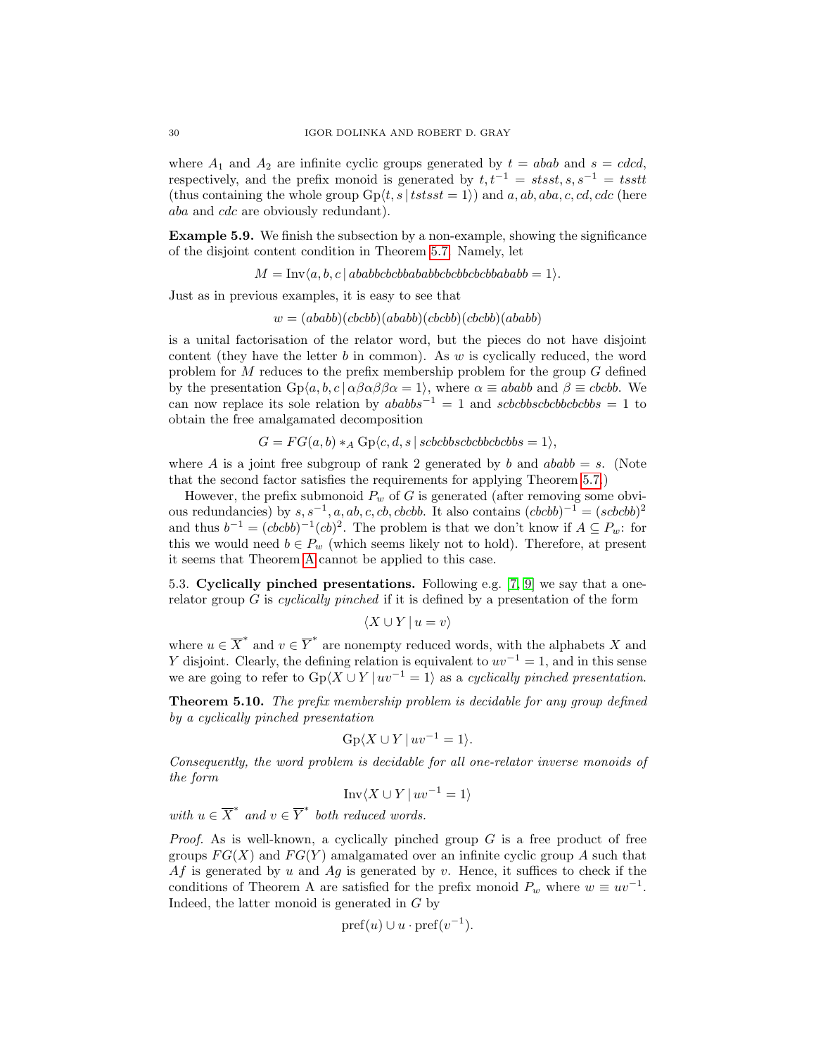where  $A_1$  and  $A_2$  are infinite cyclic groups generated by  $t = abab$  and  $s = cdcd$ , respectively, and the prefix monoid is generated by  $t, t^{-1} = stsst, s, s^{-1} = tsst$ (thus containing the whole group  $Gp(t, s | tstsst = 1)$ ) and a, ab, aba, c, cd, cdc (here aba and cdc are obviously redundant).

Example 5.9. We finish the subsection by a non-example, showing the significance of the disjoint content condition in Theorem [5.7.](#page-26-0) Namely, let

 $M = Inv(a, b, c | ababbcbcbbababbcbcbbcbbabbabab = 1).$ 

Just as in previous examples, it is easy to see that

 $w = (ababb)(cbcbb)(ababb)(cbcbb)(cbcbb)(ababb)$ 

is a unital factorisation of the relator word, but the pieces do not have disjoint content (they have the letter  $b$  in common). As  $w$  is cyclically reduced, the word problem for M reduces to the prefix membership problem for the group G defined by the presentation  $Gp\langle a, b, c | \alpha \beta \alpha \beta \beta \alpha = 1 \rangle$ , where  $\alpha \equiv ababb$  and  $\beta \equiv cbcbb$ . We can now replace its sole relation by  $ababbs^{-1} = 1$  and  $scbcbbscbbcbbbbs$  = 1 to obtain the free amalgamated decomposition

$$
G = FG(a, b) *_A \text{Gp}\langle c, d, s | \text{scbcbbscbcbbcbbs} = 1 \rangle,
$$

where A is a joint free subgroup of rank 2 generated by b and  $ababb = s$ . (Note that the second factor satisfies the requirements for applying Theorem [5.7.](#page-26-0))

However, the prefix submonoid  $P_w$  of G is generated (after removing some obvious redundancies) by  $s, s^{-1}, a, ab, c, cb, cbcbb$ . It also contains  $(cbcbb)^{-1} = (scbcbb)^2$ and thus  $b^{-1} = (cbcbb)^{-1}(cb)^2$ . The problem is that we don't know if  $A \subseteq P_w$ : for this we would need  $b \in P_w$  (which seems likely not to hold). Therefore, at present it seems that Theorem [A](#page-15-0) cannot be applied to this case.

5.3. Cyclically pinched presentations. Following e.g. [\[7,](#page-47-18) [9\]](#page-47-19) we say that a onerelator group  $G$  is *cyclically pinched* if it is defined by a presentation of the form

$$
\langle X \cup Y \, | \, u = v \rangle
$$

where  $u \in \overline{X}^*$  and  $v \in \overline{Y}^*$  are nonempty reduced words, with the alphabets X and Y disjoint. Clearly, the defining relation is equivalent to  $uv^{-1} = 1$ , and in this sense we are going to refer to  $Gp\langle X \cup Y | uv^{-1} = 1 \rangle$  as a *cyclically pinched presentation*.

<span id="page-29-0"></span>Theorem 5.10. The prefix membership problem is decidable for any group defined by a cyclically pinched presentation

$$
Gp\langle X \cup Y \, | \, uv^{-1} = 1 \rangle.
$$

Consequently, the word problem is decidable for all one-relator inverse monoids of the form

$$
\text{Inv}\langle X \cup Y \, | \, uv^{-1} = 1 \rangle
$$

with  $u \in \overline{X}^*$  and  $v \in \overline{Y}^*$  both reduced words.

*Proof.* As is well-known, a cyclically pinched group  $G$  is a free product of free groups  $FG(X)$  and  $FG(Y)$  amalgamated over an infinite cyclic group A such that Af is generated by u and Ag is generated by v. Hence, it suffices to check if the conditions of Theorem A are satisfied for the prefix monoid  $P_w$  where  $w \equiv uv^{-1}$ . Indeed, the latter monoid is generated in G by

$$
pref(u)\cup u\cdot pref(v^{-1}).
$$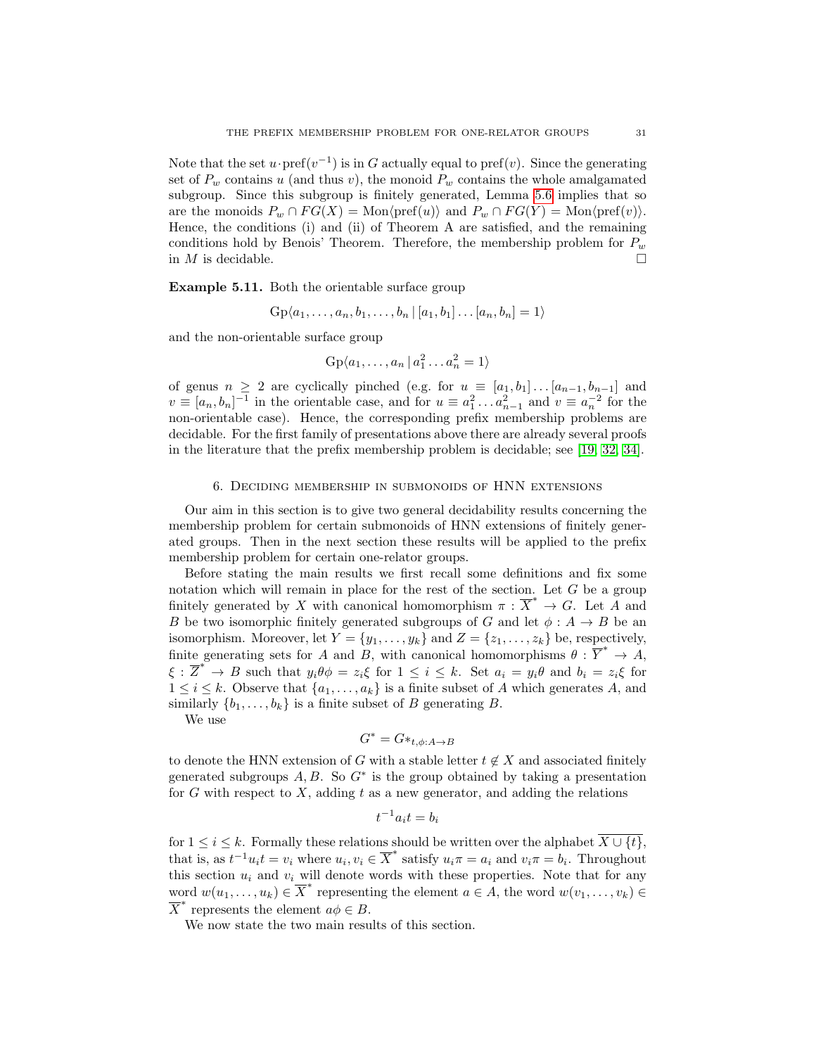Note that the set  $u \cdot \text{pref}(v^{-1})$  is in G actually equal to  $\text{pref}(v)$ . Since the generating set of  $P_w$  contains u (and thus v), the monoid  $P_w$  contains the whole amalgamated subgroup. Since this subgroup is finitely generated, Lemma [5.6](#page-26-1) implies that so are the monoids  $P_w \cap FG(X) = \text{Mon}\langle \text{pref}(u) \rangle$  and  $P_w \cap FG(Y) = \text{Mon}\langle \text{pref}(v) \rangle$ . Hence, the conditions (i) and (ii) of Theorem A are satisfied, and the remaining conditions hold by Benois' Theorem. Therefore, the membership problem for  $P_w$ in  $M$  is decidable.

<span id="page-30-1"></span>Example 5.11. Both the orientable surface group

$$
Gp\langle a_1, \ldots, a_n, b_1, \ldots, b_n | [a_1, b_1] \ldots [a_n, b_n] = 1 \rangle
$$

and the non-orientable surface group

$$
Gp\langle a_1,\ldots,a_n | a_1^2 \ldots a_n^2 = 1 \rangle
$$

of genus  $n \geq 2$  are cyclically pinched (e.g. for  $u \equiv [a_1, b_1] \dots [a_{n-1}, b_{n-1}]$  and  $v \equiv [a_n, b_n]^{-1}$  in the orientable case, and for  $u \equiv a_1^2 \dots a_{n-1}^2$  and  $v \equiv a_n^{-2}$  for the non-orientable case). Hence, the corresponding prefix membership problems are decidable. For the first family of presentations above there are already several proofs in the literature that the prefix membership problem is decidable; see [\[19,](#page-47-3) [32,](#page-48-10) [34\]](#page-48-11).

#### 6. Deciding membership in submonoids of HNN extensions

<span id="page-30-0"></span>Our aim in this section is to give two general decidability results concerning the membership problem for certain submonoids of HNN extensions of finitely generated groups. Then in the next section these results will be applied to the prefix membership problem for certain one-relator groups.

Before stating the main results we first recall some definitions and fix some notation which will remain in place for the rest of the section. Let  $G$  be a group finitely generated by X with canonical homomorphism  $\pi : \overline{X}^* \to G$ . Let A and B be two isomorphic finitely generated subgroups of G and let  $\phi: A \to B$  be an isomorphism. Moreover, let  $Y = \{y_1, \ldots, y_k\}$  and  $Z = \{z_1, \ldots, z_k\}$  be, respectively, finite generating sets for A and B, with canonical homomorphisms  $\theta : \overline{Y}^* \to A$ ,  $\xi : \overline{Z}^* \to B$  such that  $y_i \theta \phi = z_i \xi$  for  $1 \leq i \leq k$ . Set  $a_i = y_i \theta$  and  $b_i = z_i \xi$  for  $1 \leq i \leq k$ . Observe that  $\{a_1, \ldots, a_k\}$  is a finite subset of A which generates A, and similarly  $\{b_1, \ldots, b_k\}$  is a finite subset of B generating B.

We use

$$
G^* = G *_{t, \phi: A \to B}
$$

to denote the HNN extension of G with a stable letter  $t \notin X$  and associated finitely generated subgroups  $A, B$ . So  $G^*$  is the group obtained by taking a presentation for G with respect to X, adding t as a new generator, and adding the relations

$$
t^{-1}a_it=b_i
$$

for  $1 \leq i \leq k$ . Formally these relations should be written over the alphabet  $\overline{X \cup \{t\}}$ , that is, as  $t^{-1}u_it = v_i$  where  $u_i, v_i \in \overline{X}^*$  satisfy  $u_i\pi = a_i$  and  $v_i\pi = b_i$ . Throughout this section  $u_i$  and  $v_i$  will denote words with these properties. Note that for any word  $w(u_1, \ldots, u_k) \in \overline{X}^*$  representing the element  $a \in A$ , the word  $w(v_1, \ldots, v_k) \in$  $\overline{X}^*$  represents the element  $a\phi \in B$ .

We now state the two main results of this section.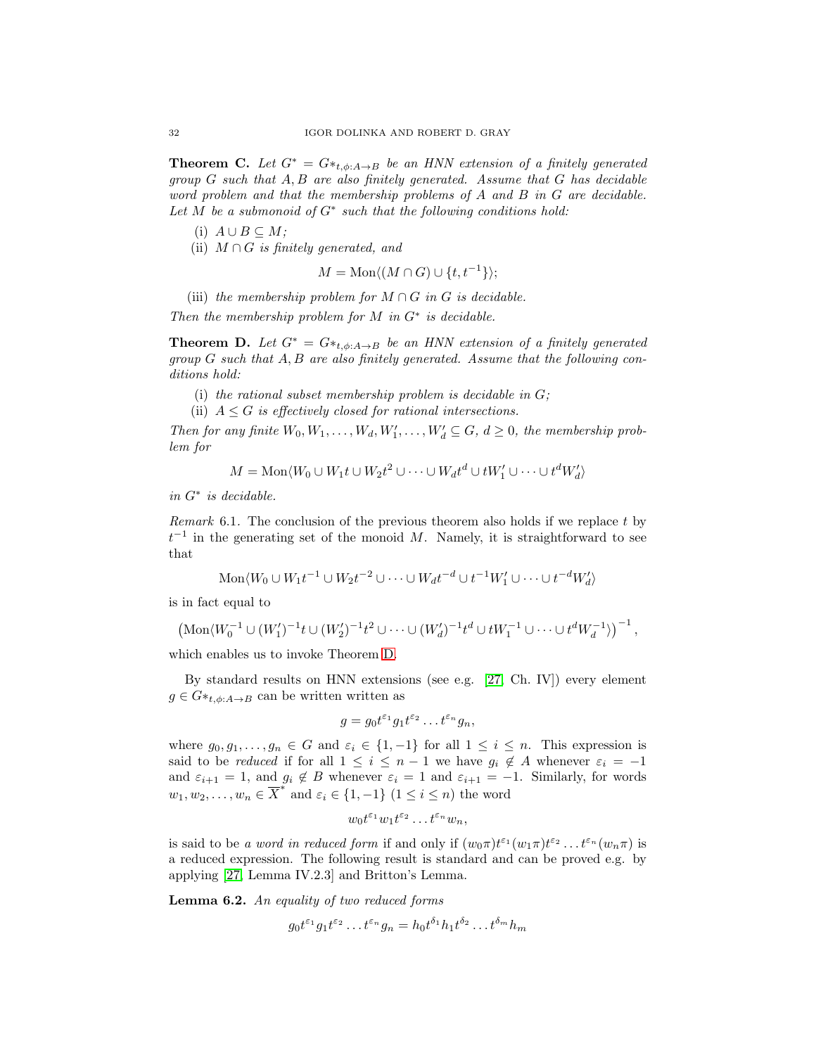<span id="page-31-0"></span>**Theorem C.** Let  $G^* = G *_{t,\phi:A\to B}$  be an HNN extension of a finitely generated group  $G$  such that  $A, B$  are also finitely generated. Assume that  $G$  has decidable word problem and that the membership problems of A and B in G are decidable. Let M be a submonoid of  $G^*$  such that the following conditions hold:

- (i)  $A ∪ B ⊂ M;$
- (ii)  $M \cap G$  is finitely generated, and

$$
M = \text{Mon}\langle (M \cap G) \cup \{t, t^{-1}\}\rangle;
$$

(iii) the membership problem for  $M \cap G$  in G is decidable.

Then the membership problem for  $M$  in  $G^*$  is decidable.

<span id="page-31-1"></span>**Theorem D.** Let  $G^* = G *_{t,\phi:A\rightarrow B}$  be an HNN extension of a finitely generated group  $G$  such that  $A, B$  are also finitely generated. Assume that the following conditions hold:

- (i) the rational subset membership problem is decidable in  $G$ ;
- (ii)  $A \leq G$  is effectively closed for rational intersections.

Then for any finite  $W_0, W_1, \ldots, W_d, W'_1, \ldots, W'_d \subseteq G, d \ge 0$ , the membership problem for

$$
M = \text{Mon}\langle W_0 \cup W_1 t \cup W_2 t^2 \cup \dots \cup W_d t^d \cup t W'_1 \cup \dots \cup t^d W'_d \rangle
$$

in G<sup>∗</sup> is decidable.

<span id="page-31-3"></span>Remark 6.1. The conclusion of the previous theorem also holds if we replace t by  $t^{-1}$  in the generating set of the monoid M. Namely, it is straightforward to see that

$$
\operatorname{Mon}\langle W_0 \cup W_1t^{-1} \cup W_2t^{-2} \cup \cdots \cup W_dt^{-d} \cup t^{-1}W'_1 \cup \cdots \cup t^{-d}W'_d \rangle
$$

is in fact equal to

$$
\left(\mathrm{Mon}\langle W_0^{-1} \cup (W_1')^{-1} \, t \cup (W_2')^{-1} \, t^2 \cup \cdots \cup (W_d')^{-1} \, t^d \cup t^W_1^{-1} \cup \cdots \cup t^d W_d^{-1} \rangle\right)^{-1},
$$

which enables us to invoke Theorem [D.](#page-31-1)

By standard results on HNN extensions (see e.g. [\[27,](#page-48-3) Ch. IV]) every element  $g \in G *_{t,\phi:A\to B}$  can be written written as

$$
g = g_0 t^{\varepsilon_1} g_1 t^{\varepsilon_2} \dots t^{\varepsilon_n} g_n,
$$

where  $g_0, g_1, \ldots, g_n \in G$  and  $\varepsilon_i \in \{1, -1\}$  for all  $1 \leq i \leq n$ . This expression is said to be reduced if for all  $1 \leq i \leq n-1$  we have  $g_i \notin A$  whenever  $\varepsilon_i = -1$ and  $\varepsilon_{i+1} = 1$ , and  $g_i \notin B$  whenever  $\varepsilon_i = 1$  and  $\varepsilon_{i+1} = -1$ . Similarly, for words  $w_1, w_2, \ldots, w_n \in \overline{X}^*$  and  $\varepsilon_i \in \{1, -1\}$   $(1 \leq i \leq n)$  the word

$$
w_0 t^{\varepsilon_1} w_1 t^{\varepsilon_2} \dots t^{\varepsilon_n} w_n,
$$

is said to be a word in reduced form if and only if  $(w_0\pi)t^{\varepsilon_1}(w_1\pi)t^{\varepsilon_2}\dots t^{\varepsilon_n}(w_n\pi)$  is a reduced expression. The following result is standard and can be proved e.g. by applying [\[27,](#page-48-3) Lemma IV.2.3] and Britton's Lemma.

<span id="page-31-2"></span>Lemma 6.2. An equality of two reduced forms

$$
g_0 t^{\varepsilon_1} g_1 t^{\varepsilon_2} \dots t^{\varepsilon_n} g_n = h_0 t^{\delta_1} h_1 t^{\delta_2} \dots t^{\delta_m} h_m
$$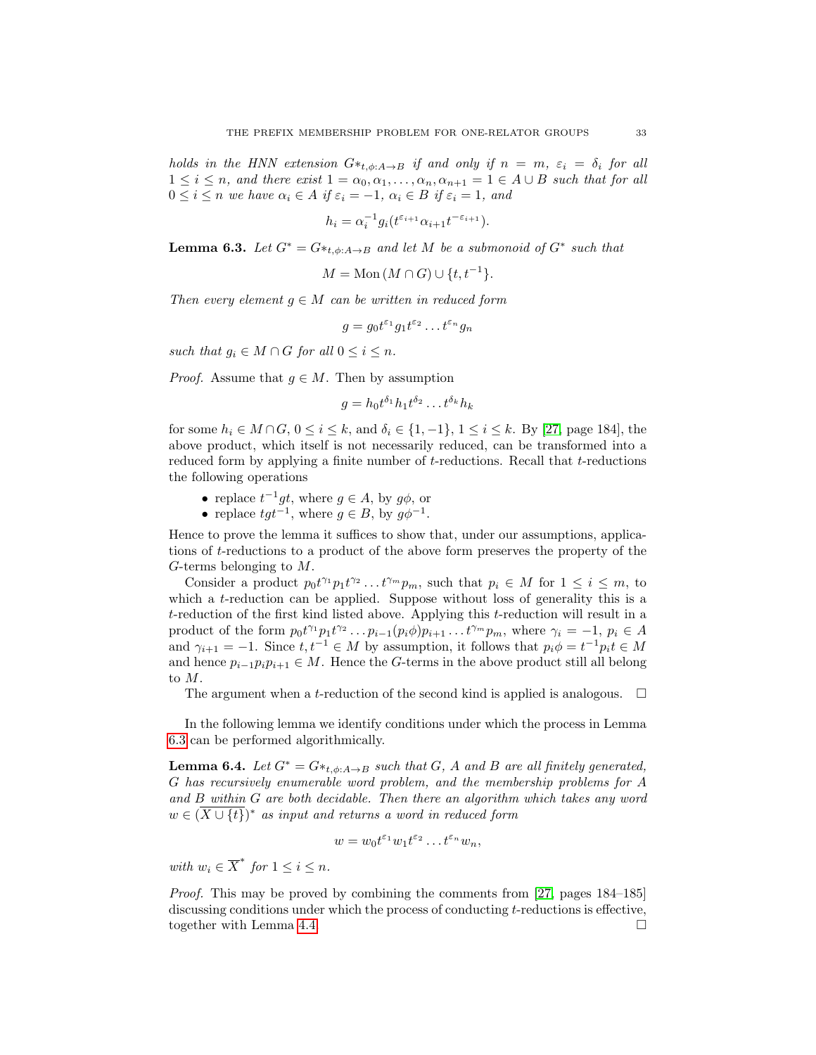holds in the HNN extension  $G^*_{t,\phi:A\to B}$  if and only if  $n = m$ ,  $\varepsilon_i = \delta_i$  for all  $1 \leq i \leq n$ , and there exist  $1 = \alpha_0, \alpha_1, \ldots, \alpha_n, \alpha_{n+1} = 1 \in A \cup B$  such that for all  $0 \leq i \leq n$  we have  $\alpha_i \in A$  if  $\varepsilon_i = -1$ ,  $\alpha_i \in B$  if  $\varepsilon_i = 1$ , and

$$
h_i = \alpha_i^{-1} g_i(t^{\varepsilon_{i+1}} \alpha_{i+1} t^{-\varepsilon_{i+1}}).
$$

<span id="page-32-0"></span>**Lemma 6.3.** Let  $G^* = G *_{t,\phi:A\to B}$  and let M be a submonoid of  $G^*$  such that

$$
M = \text{Mon}\,(M \cap G) \cup \{t, t^{-1}\}.
$$

Then every element  $g \in M$  can be written in reduced form

$$
g = g_0 t^{\varepsilon_1} g_1 t^{\varepsilon_2} \dots t^{\varepsilon_n} g_n
$$

such that  $g_i \in M \cap G$  for all  $0 \leq i \leq n$ .

*Proof.* Assume that  $g \in M$ . Then by assumption

$$
g = h_0 t^{\delta_1} h_1 t^{\delta_2} \dots t^{\delta_k} h_k
$$

for some  $h_i \in M \cap G$ ,  $0 \le i \le k$ , and  $\delta_i \in \{1, -1\}$ ,  $1 \le i \le k$ . By [\[27,](#page-48-3) page 184], the above product, which itself is not necessarily reduced, can be transformed into a reduced form by applying a finite number of t-reductions. Recall that t-reductions the following operations

- replace  $t^{-1}gt$ , where  $g \in A$ , by  $g\phi$ , or
- replace  $tgt^{-1}$ , where  $g \in B$ , by  $g\phi^{-1}$ .

Hence to prove the lemma it suffices to show that, under our assumptions, applications of t-reductions to a product of the above form preserves the property of the G-terms belonging to M.

Consider a product  $p_0 t^{\gamma_1} p_1 t^{\gamma_2} \dots t^{\gamma_m} p_m$ , such that  $p_i \in M$  for  $1 \leq i \leq m$ , to which a t-reduction can be applied. Suppose without loss of generality this is a  $t$ -reduction of the first kind listed above. Applying this  $t$ -reduction will result in a product of the form  $p_0 t^{\gamma_1} p_1 t^{\gamma_2} \dots p_{i-1}(p_i \phi) p_{i+1} \dots t^{\gamma_m} p_m$ , where  $\gamma_i = -1$ ,  $p_i \in A$ and  $\gamma_{i+1} = -1$ . Since  $t, t^{-1} \in M$  by assumption, it follows that  $p_i \phi = t^{-1} p_i t \in M$ and hence  $p_{i-1}p_ip_{i+1} \in M$ . Hence the G-terms in the above product still all belong to M.

The argument when a *t*-reduction of the second kind is applied is analogous.  $\Box$ 

In the following lemma we identify conditions under which the process in Lemma [6.3](#page-32-0) can be performed algorithmically.

<span id="page-32-1"></span>**Lemma 6.4.** Let  $G^* = G *_{t,\phi:A\to B}$  such that G, A and B are all finitely generated, G has recursively enumerable word problem, and the membership problems for A and B within G are both decidable. Then there an algorithm which takes any word  $w \in (\overline{X \cup \{t\}})^*$  as input and returns a word in reduced form

$$
w = w_0 t^{\varepsilon_1} w_1 t^{\varepsilon_2} \dots t^{\varepsilon_n} w_n,
$$

with  $w_i \in \overline{X}^*$  for  $1 \leq i \leq n$ .

Proof. This may be proved by combining the comments from [\[27,](#page-48-3) pages 184–185] discussing conditions under which the process of conducting t-reductions is effective, together with Lemma [4.4.](#page-17-0)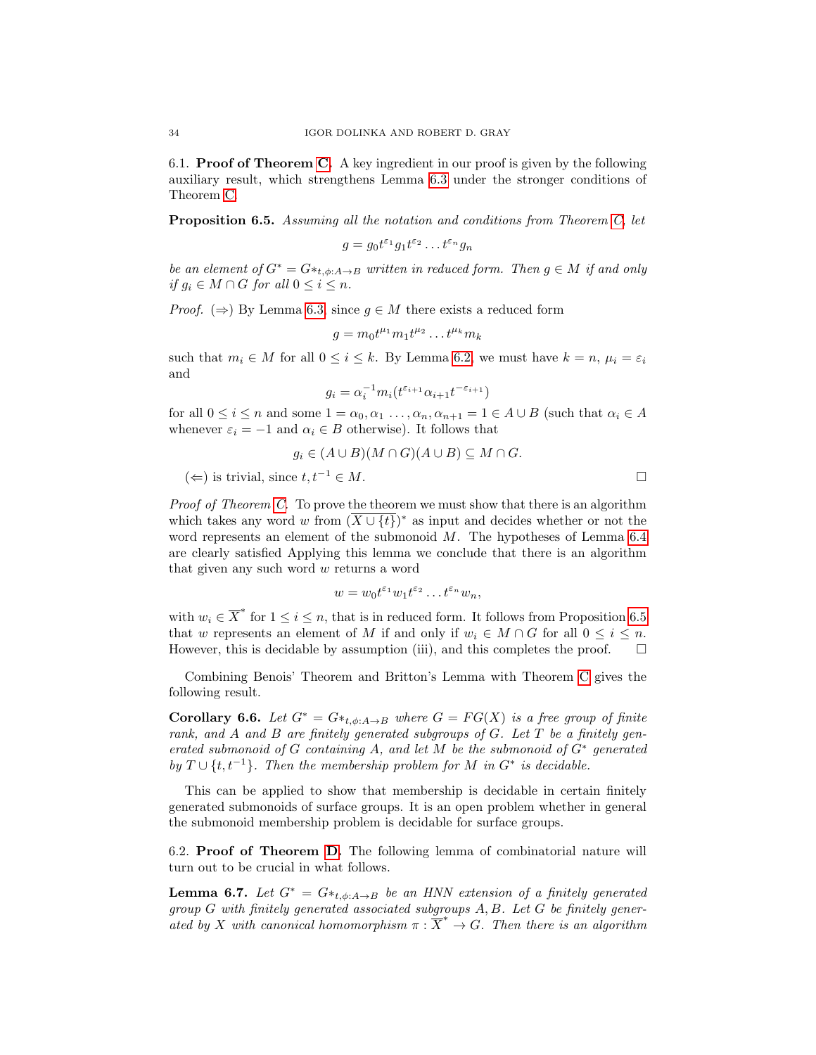6.1. Proof of Theorem [C.](#page-31-0) A key ingredient in our proof is given by the following auxiliary result, which strengthens Lemma [6.3](#page-32-0) under the stronger conditions of Theorem [C.](#page-31-0)

<span id="page-33-0"></span>Proposition 6.5. Assuming all the notation and conditions from Theorem [C,](#page-31-0) let

$$
g = g_0 t^{\varepsilon_1} g_1 t^{\varepsilon_2} \dots t^{\varepsilon_n} g_n
$$

be an element of  $G^* = G *_{t,\phi:A\to B}$  written in reduced form. Then  $g \in M$  if and only if  $g_i \in M \cap G$  for all  $0 \leq i \leq n$ .

*Proof.* ( $\Rightarrow$ ) By Lemma [6.3,](#page-32-0) since  $q \in M$  there exists a reduced form

$$
g = m_0 t^{\mu_1} m_1 t^{\mu_2} \dots t^{\mu_k} m_k
$$

such that  $m_i \in M$  for all  $0 \le i \le k$ . By Lemma [6.2,](#page-31-2) we must have  $k = n$ ,  $\mu_i = \varepsilon_i$ and

$$
g_i = \alpha_i^{-1} m_i(t^{\varepsilon_{i+1}} \alpha_{i+1} t^{-\varepsilon_{i+1}})
$$

for all  $0 \le i \le n$  and some  $1 = \alpha_0, \alpha_1, \ldots, \alpha_n, \alpha_{n+1} = 1 \in A \cup B$  (such that  $\alpha_i \in A$ whenever  $\varepsilon_i = -1$  and  $\alpha_i \in B$  otherwise). It follows that

$$
g_i \in (A \cup B)(M \cap G)(A \cup B) \subseteq M \cap G.
$$

 $(\Leftarrow)$  is trivial, since  $t, t^{-1} \in M$ .

Proof of Theorem [C.](#page-31-0) To prove the theorem we must show that there is an algorithm which takes any word w from  $(\overline{X \cup \{t\}})^*$  as input and decides whether or not the word represents an element of the submonoid  $M$ . The hypotheses of Lemma [6.4](#page-32-1) are clearly satisfied Applying this lemma we conclude that there is an algorithm that given any such word w returns a word

$$
w = w_0 t^{\varepsilon_1} w_1 t^{\varepsilon_2} \dots t^{\varepsilon_n} w_n,
$$

with  $w_i \in \overline{X}^*$  for  $1 \leq i \leq n$ , that is in reduced form. It follows from Proposition [6.5](#page-33-0) that w represents an element of M if and only if  $w_i \in M \cap G$  for all  $0 \leq i \leq n$ . However, this is decidable by assumption (iii), and this completes the proof.  $\Box$ 

Combining Benois' Theorem and Britton's Lemma with Theorem [C](#page-31-0) gives the following result.

Corollary 6.6. Let  $G^* = G *_{t,\phi:A\to B}$  where  $G = FG(X)$  is a free group of finite rank, and A and B are finitely generated subgroups of  $G$ . Let  $T$  be a finitely generated submonoid of  $G$  containing  $A$ , and let  $M$  be the submonoid of  $G^*$  generated by  $T \cup \{t, t^{-1}\}$ . Then the membership problem for M in  $G^*$  is decidable.

This can be applied to show that membership is decidable in certain finitely generated submonoids of surface groups. It is an open problem whether in general the submonoid membership problem is decidable for surface groups.

6.2. Proof of Theorem [D.](#page-31-1) The following lemma of combinatorial nature will turn out to be crucial in what follows.

<span id="page-33-1"></span>**Lemma 6.7.** Let  $G^* = G *_{t,\phi:A\to B}$  be an HNN extension of a finitely generated group G with finitely generated associated subgroups A, B. Let G be finitely generated by X with canonical homomorphism  $\pi : \overline{X}^* \to G$ . Then there is an algorithm

$$
\Box
$$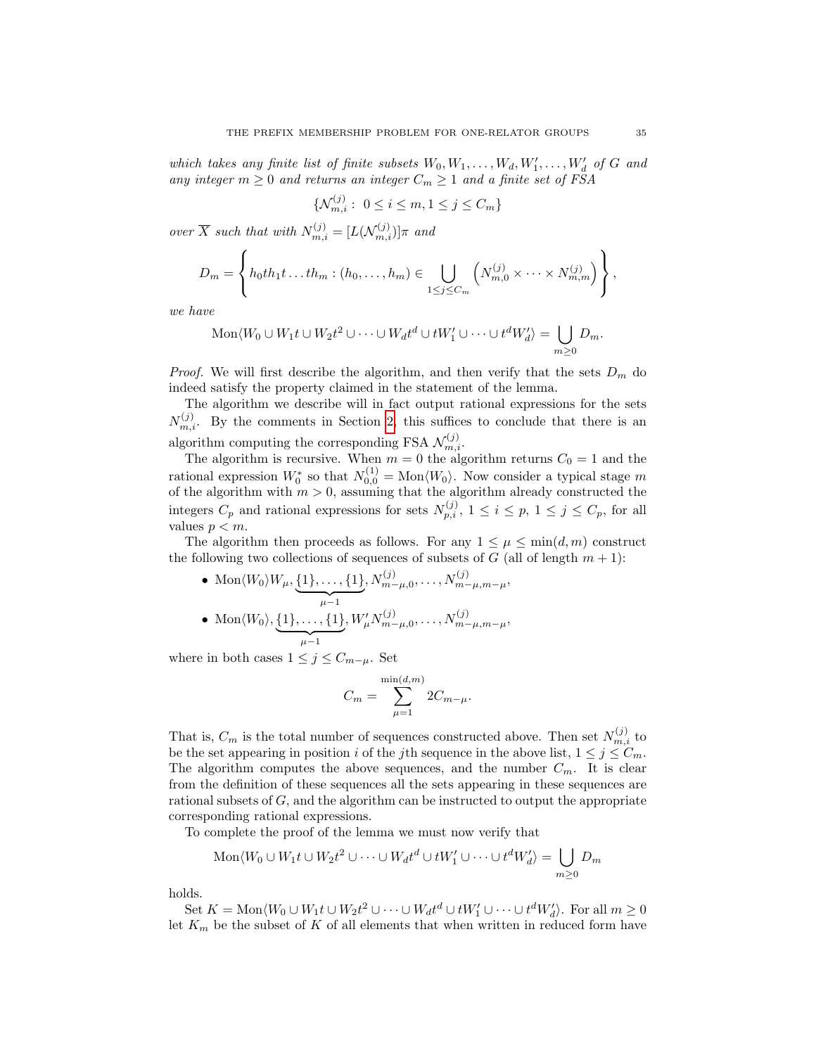which takes any finite list of finite subsets  $W_0, W_1, \ldots, W_d, W'_1, \ldots, W'_d$  of G and any integer  $m \geq 0$  and returns an integer  $C_m \geq 1$  and a finite set of FSA

$$
\{\mathcal{N}_{m,i}^{(j)}: \ 0 \le i \le m, 1 \le j \le C_m\}
$$

over  $\overline{X}$  such that with  $N_{m,i}^{(j)} = [L(\mathcal{N}_{m,i}^{(j)})] \pi$  and

$$
D_m = \left\{ h_0th_1t \dots th_m : (h_0, \dots, h_m) \in \bigcup_{1 \leq j \leq C_m} \left( N_{m,0}^{(j)} \times \dots \times N_{m,m}^{(j)} \right) \right\},\,
$$

we have

$$
\operatorname{Mon}\langle W_0 \cup W_1t \cup W_2t^2 \cup \cdots \cup W_dt^d \cup tW'_1 \cup \cdots \cup t^dW'_d \rangle = \bigcup_{m \geq 0} D_m.
$$

*Proof.* We will first describe the algorithm, and then verify that the sets  $D_m$  do indeed satisfy the property claimed in the statement of the lemma.

The algorithm we describe will in fact output rational expressions for the sets  $N_{m,i}^{(j)}$ . By the comments in Section [2,](#page-4-0) this suffices to conclude that there is an algorithm computing the corresponding FSA  $\mathcal{N}_{m,i}^{(j)}$ .

The algorithm is recursive. When  $m = 0$  the algorithm returns  $C_0 = 1$  and the rational expression  $W_0^*$  so that  $N_{0,0}^{(1)} = \text{Mon}\langle W_0 \rangle$ . Now consider a typical stage m of the algorithm with  $m > 0$ , assuming that the algorithm already constructed the integers  $C_p$  and rational expressions for sets  $N_{p,i}^{(j)}$ ,  $1 \leq i \leq p, 1 \leq j \leq C_p$ , for all values  $p < m$ .

The algorithm then proceeds as follows. For any  $1 \leq \mu \leq \min(d, m)$  construct the following two collections of sequences of subsets of G (all of length  $m + 1$ ):

• Mon $\langle W_0 \rangle W_\mu$ ,  $\{1\}, \ldots, \{1\}$  $\frac{\mu-1}{\mu-1}$  $, N_{m-\mu,0}^{(j)}, \ldots, N_{m-\mu,m-\mu}^{(j)},$  $\bullet \; \operatorname{Mon}\langle W_0\rangle, \{1\}, \ldots, \{1\}$  $\mu-1$  $, W'_{\mu} N^{(j)}_{m-\mu,0}, \ldots, N^{(j)}_{m-\mu,m-\mu},$ 

where in both cases  $1 \leq j \leq C_{m-\mu}$ . Set

$$
C_m = \sum_{\mu=1}^{\min(d,m)} 2C_{m-\mu}.
$$

That is,  $C_m$  is the total number of sequences constructed above. Then set  $N_{m,i}^{(j)}$  to be the set appearing in position i of the jth sequence in the above list,  $1 \leq j \leq C_m$ . The algorithm computes the above sequences, and the number  $C_m$ . It is clear from the definition of these sequences all the sets appearing in these sequences are rational subsets of G, and the algorithm can be instructed to output the appropriate corresponding rational expressions.

To complete the proof of the lemma we must now verify that

$$
Mon\langle W_0 \cup W_1t \cup W_2t^2 \cup \cdots \cup W_dt^d \cup tW'_1 \cup \cdots \cup t^dW'_d \rangle = \bigcup_{m \geq 0} D_m
$$

holds.

Set  $K = \text{Mon}\langle W_0 \cup W_1t \cup W_2t^2 \cup \cdots \cup W_dt^d \cup tW'_1 \cup \cdots \cup t^dW'_d \rangle$ . For all  $m \geq 0$ let  $K_m$  be the subset of K of all elements that when written in reduced form have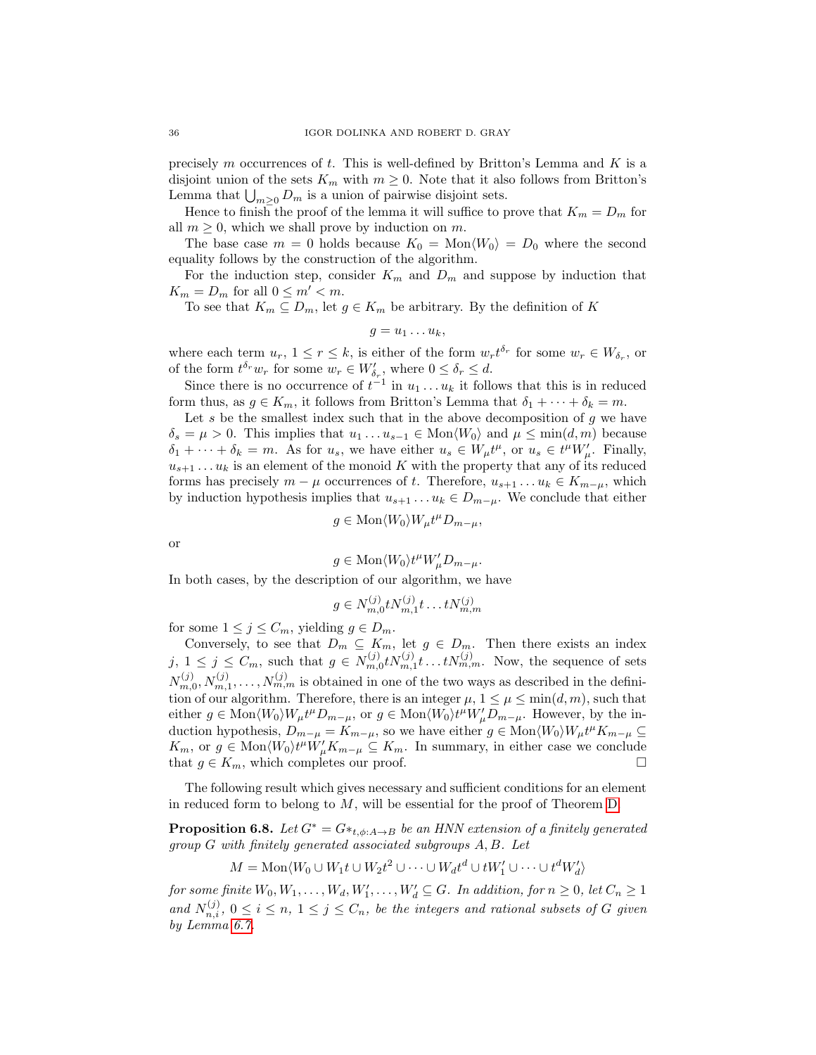precisely m occurrences of t. This is well-defined by Britton's Lemma and  $K$  is a disjoint union of the sets  $K_m$  with  $m \geq 0$ . Note that it also follows from Britton's Lemma that  $\bigcup_{m\geq 0} D_m$  is a union of pairwise disjoint sets.

Hence to finish the proof of the lemma it will suffice to prove that  $K_m = D_m$  for all  $m \geq 0$ , which we shall prove by induction on m.

The base case  $m = 0$  holds because  $K_0 = \text{Mon}\langle W_0 \rangle = D_0$  where the second equality follows by the construction of the algorithm.

For the induction step, consider  $K_m$  and  $D_m$  and suppose by induction that  $K_m = D_m$  for all  $0 \leq m' < m$ .

To see that  $K_m \subseteq D_m$ , let  $g \in K_m$  be arbitrary. By the definition of K

$$
g=u_1\ldots u_k,
$$

where each term  $u_r$ ,  $1 \le r \le k$ , is either of the form  $w_r t^{\delta_r}$  for some  $w_r \in W_{\delta_r}$ , or of the form  $t^{\delta_r}w_r$  for some  $w_r \in W'_{\delta_r}$ , where  $0 \leq \delta_r \leq d$ .

Since there is no occurrence of  $t^{-1}$  in  $u_1 \ldots u_k$  it follows that this is in reduced form thus, as  $g \in K_m$ , it follows from Britton's Lemma that  $\delta_1 + \cdots + \delta_k = m$ .

Let s be the smallest index such that in the above decomposition of  $g$  we have  $\delta_s = \mu > 0$ . This implies that  $u_1 \dots u_{s-1} \in \text{Mon}\langle W_0 \rangle$  and  $\mu \le \min(d, m)$  because  $\delta_1 + \cdots + \delta_k = m$ . As for  $u_s$ , we have either  $u_s \in W_\mu t^\mu$ , or  $u_s \in t^\mu W'_\mu$ . Finally,  $u_{s+1} \ldots u_k$  is an element of the monoid K with the property that any of its reduced forms has precisely  $m - \mu$  occurrences of t. Therefore,  $u_{s+1} \dots u_k \in K_{m-\mu}$ , which by induction hypothesis implies that  $u_{s+1} \ldots u_k \in D_{m-\mu}$ . We conclude that either

$$
g \in \text{Mon}\langle W_0 \rangle W_\mu t^\mu D_{m-\mu},
$$

or

$$
g \in \text{Mon}\langle W_0 \rangle t^{\mu} W'_{\mu} D_{m-\mu}.
$$

In both cases, by the description of our algorithm, we have

$$
g \in N_{m,0}^{(j)} t N_{m,1}^{(j)} t \dots t N_{m,m}^{(j)}
$$

for some  $1 \leq j \leq C_m$ , yielding  $g \in D_m$ .

Conversely, to see that  $D_m \subseteq K_m$ , let  $g \in D_m$ . Then there exists an index  $j, 1 \leq j \leq C_m$ , such that  $g \in N_{m,0}^{(j)} t N_{m,1}^{(j)} t \ldots t N_{m,m}^{(j)}$ . Now, the sequence of sets  $N_{m,0}^{(j)}, N_{m,1}^{(j)}, \ldots, N_{m,m}^{(j)}$  is obtained in one of the two ways as described in the definition of our algorithm. Therefore, there is an integer  $\mu$ ,  $1 \leq \mu \leq \min(d, m)$ , such that either  $g \in \text{Mon}\langle W_0 \rangle W_\mu t^\mu D_{m-\mu}$ , or  $g \in \text{Mon}\langle W_0 \rangle t^\mu W_\mu D_{m-\mu}$ . However, by the induction hypothesis,  $D_{m-\mu} = K_{m-\mu}$ , so we have either  $g \in \text{Mon}(W_0)W_\mu t^\mu K_{m-\mu} \subseteq$  $K_m$ , or  $g \in \text{Mon}\langle W_0 \rangle t^{\mu} W_{\mu}' K_{m-\mu} \subseteq K_m$ . In summary, in either case we conclude that  $g \in K_m$ , which completes our proof.

The following result which gives necessary and sufficient conditions for an element in reduced form to belong to  $M$ , will be essential for the proof of Theorem [D.](#page-31-1)

<span id="page-35-0"></span>**Proposition 6.8.** Let  $G^* = G *_{t,\phi:A\to B}$  be an HNN extension of a finitely generated group G with finitely generated associated subgroups A, B. Let

$$
M = \text{Mon}\langle W_0 \cup W_1 t \cup W_2 t^2 \cup \cdots \cup W_d t^d \cup t W'_1 \cup \cdots \cup t^d W'_d \rangle
$$

for some finite  $W_0, W_1, \ldots, W_d, W'_1, \ldots, W'_d \subseteq G$ . In addition, for  $n \geq 0$ , let  $C_n \geq 1$ and  $N_{n,i}^{(j)}$ ,  $0 \leq i \leq n, 1 \leq j \leq C_n$ , be the integers and rational subsets of G given by Lemma [6.7.](#page-33-1)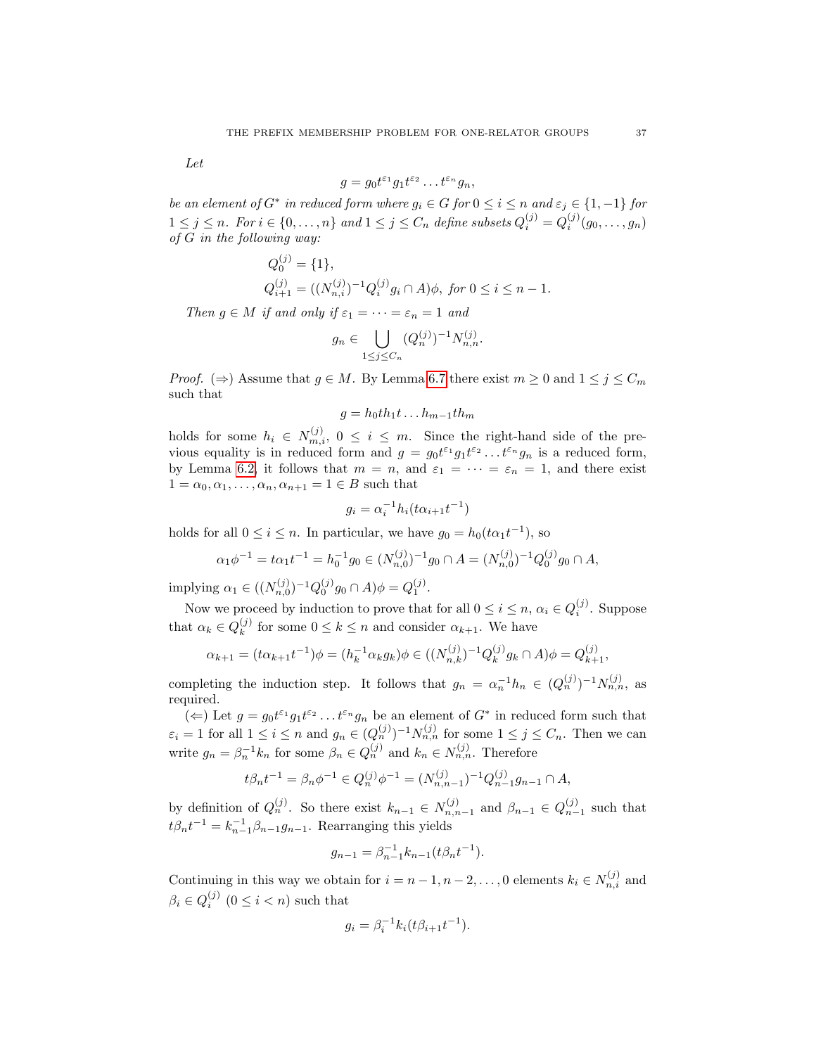Let

$$
g = g_0 t^{\varepsilon_1} g_1 t^{\varepsilon_2} \dots t^{\varepsilon_n} g_n,
$$

be an element of  $G^*$  in reduced form where  $g_i \in G$  for  $0 \le i \le n$  and  $\varepsilon_j \in \{1, -1\}$  for  $1 \leq j \leq n$ . For  $i \in \{0, ..., n\}$  and  $1 \leq j \leq C_n$  define subsets  $Q_i^{(j)} = Q_i^{(j)}(g_0, ..., g_n)$ of G in the following way:

$$
Q_0^{(j)} = \{1\},
$$
  
\n
$$
Q_{i+1}^{(j)} = ((N_{n,i}^{(j)})^{-1} Q_i^{(j)} g_i \cap A) \phi, \text{ for } 0 \le i \le n-1.
$$

Then  $g \in M$  if and only if  $\varepsilon_1 = \cdots = \varepsilon_n = 1$  and

 $\sim$ 

$$
g_n \in \bigcup_{1 \le j \le C_n} (Q_n^{(j)})^{-1} N_{n,n}^{(j)}.
$$

*Proof.* ( $\Rightarrow$ ) Assume that  $g \in M$ . By Lemma [6.7](#page-33-1) there exist  $m \geq 0$  and  $1 \leq j \leq C_m$ such that

$$
g = h_0th_1t \dots h_{m-1}th_m
$$

holds for some  $h_i \in N_{m,i}^{(j)}$ ,  $0 \le i \le m$ . Since the right-hand side of the previous equality is in reduced form and  $g = g_0 t^{\varepsilon_1} g_1 t^{\varepsilon_2} \dots t^{\varepsilon_n} g_n$  is a reduced form, by Lemma [6.2,](#page-31-2) it follows that  $m = n$ , and  $\varepsilon_1 = \cdots = \varepsilon_n = 1$ , and there exist  $1 = \alpha_0, \alpha_1, \ldots, \alpha_n, \alpha_{n+1} = 1 \in B$  such that

$$
g_i = \alpha_i^{-1} h_i(t\alpha_{i+1}t^{-1})
$$

holds for all  $0 \le i \le n$ . In particular, we have  $g_0 = h_0(t\alpha_1 t^{-1})$ , so

$$
\alpha_1 \phi^{-1} = t \alpha_1 t^{-1} = h_0^{-1} g_0 \in (N_{n,0}^{(j)})^{-1} g_0 \cap A = (N_{n,0}^{(j)})^{-1} Q_0^{(j)} g_0 \cap A,
$$

implying  $\alpha_1 \in ((N_{n,0}^{(j)})^{-1}Q_0^{(j)}g_0 \cap A)\phi = Q_1^{(j)}$ .

Now we proceed by induction to prove that for all  $0 \leq i \leq n$ ,  $\alpha_i \in Q_i^{(j)}$ . Suppose that  $\alpha_k \in Q_k^{(j)}$  $\binom{0}{k}$  for some  $0 \leq k \leq n$  and consider  $\alpha_{k+1}$ . We have

$$
\alpha_{k+1} = (t\alpha_{k+1}t^{-1})\phi = (h_k^{-1}\alpha_k g_k)\phi \in ((N_{n,k}^{(j)})^{-1}Q_k^{(j)}g_k \cap A)\phi = Q_{k+1}^{(j)},
$$

completing the induction step. It follows that  $g_n = \alpha_n^{-1} h_n \in (Q_n^{(j)})^{-1} N_{n,n}^{(j)}$ , as required.

( $\Leftarrow$ ) Let  $g = g_0 t^{\varepsilon_1} g_1 t^{\varepsilon_2} \dots t^{\varepsilon_n} g_n$  be an element of  $G^*$  in reduced form such that  $\varepsilon_i = 1$  for all  $1 \leq i \leq n$  and  $g_n \in (Q_n^{(j)})^{-1} N_{n,n}^{(j)}$  for some  $1 \leq j \leq C_n$ . Then we can write  $g_n = \beta_n^{-1} k_n$  for some  $\beta_n \in Q_n^{(j)}$  and  $k_n \in N_{n,n}^{(j)}$ . Therefore

$$
t\beta_n t^{-1} = \beta_n \phi^{-1} \in Q_n^{(j)} \phi^{-1} = (N_{n,n-1}^{(j)})^{-1} Q_{n-1}^{(j)} g_{n-1} \cap A,
$$

by definition of  $Q_n^{(j)}$ . So there exist  $k_{n-1} \in N_{n,n-1}^{(j)}$  and  $\beta_{n-1} \in Q_{n-1}^{(j)}$  such that  $t\beta_n t^{-1} = k_{n-1}^{-1}\beta_{n-1}g_{n-1}$ . Rearranging this yields

$$
g_{n-1} = \beta_{n-1}^{-1} k_{n-1} (t \beta_n t^{-1}).
$$

Continuing in this way we obtain for  $i = n - 1, n - 2, \ldots, 0$  elements  $k_i \in N_{n,i}^{(j)}$  and  $\beta_i \in Q_i^{(j)}$   $(0 \leq i < n)$  such that

$$
g_i = \beta_i^{-1} k_i (t \beta_{i+1} t^{-1}).
$$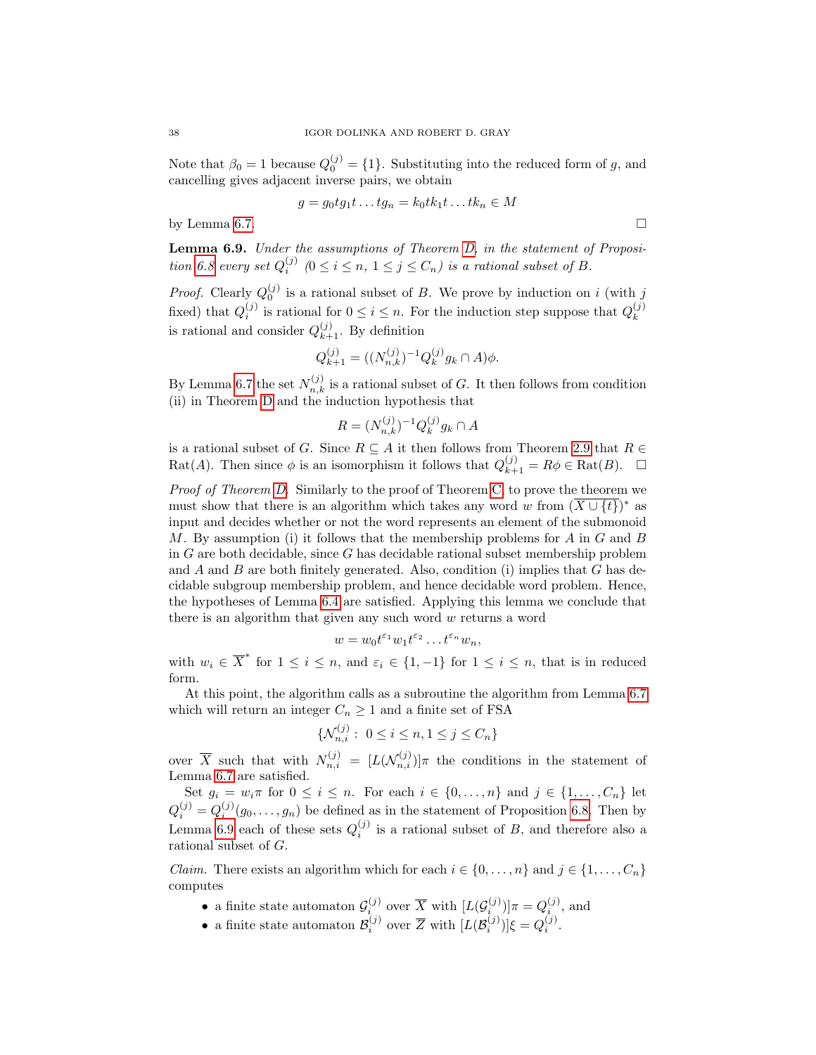Note that  $\beta_0 = 1$  because  $Q_0^{(j)} = \{1\}$ . Substituting into the reduced form of g, and cancelling gives adjacent inverse pairs, we obtain

$$
g = g_0 t g_1 t \dots t g_n = k_0 t k_1 t \dots t k_n \in M
$$

by Lemma [6.7.](#page-33-1)  $\Box$ 

<span id="page-37-0"></span>Lemma 6.9. Under the assumptions of Theorem [D,](#page-31-1) in the statement of Proposi-tion [6.8](#page-35-0) every set  $Q_i^{(j)}$   $(0 \le i \le n, 1 \le j \le C_n)$  is a rational subset of B.

*Proof.* Clearly  $Q_0^{(j)}$  is a rational subset of B. We prove by induction on i (with j fixed) that  $Q_i^{(j)}$  is rational for  $0 \leq i \leq n$ . For the induction step suppose that  $Q_k^{(j)}$ k is rational and consider  $Q_{k+1}^{(j)}$ . By definition

$$
Q_{k+1}^{(j)} = ((N_{n,k}^{(j)})^{-1} Q_k^{(j)} g_k \cap A) \phi.
$$

By Lemma [6.7](#page-33-1) the set  $N_{n,k}^{(j)}$  is a rational subset of G. It then follows from condition (ii) in Theorem [D](#page-31-1) and the induction hypothesis that

$$
R = (N_{n,k}^{(j)})^{-1} Q_k^{(j)} g_k \cap A
$$

is a rational subset of G. Since  $R \subseteq A$  it then follows from Theorem [2.9](#page-8-0) that  $R \in$ Rat(A). Then since  $\phi$  is an isomorphism it follows that  $Q_{k+1}^{(j)} = R\phi \in \text{Rat}(B)$ .  $\Box$ 

Proof of Theorem [D.](#page-31-1) Similarly to the proof of Theorem [C,](#page-31-0) to prove the theorem we must show that there is an algorithm which takes any word w from  $(\overline{X \cup \{t\}})^*$  as input and decides whether or not the word represents an element of the submonoid M. By assumption (i) it follows that the membership problems for A in G and B in  $G$  are both decidable, since  $G$  has decidable rational subset membership problem and  $A$  and  $B$  are both finitely generated. Also, condition (i) implies that  $G$  has decidable subgroup membership problem, and hence decidable word problem. Hence, the hypotheses of Lemma [6.4](#page-32-1) are satisfied. Applying this lemma we conclude that there is an algorithm that given any such word w returns a word

$$
w = w_0 t^{\varepsilon_1} w_1 t^{\varepsilon_2} \dots t^{\varepsilon_n} w_n,
$$

with  $w_i \in \overline{X}^*$  for  $1 \leq i \leq n$ , and  $\varepsilon_i \in \{1, -1\}$  for  $1 \leq i \leq n$ , that is in reduced form.

At this point, the algorithm calls as a subroutine the algorithm from Lemma [6.7](#page-33-1) which will return an integer  $C_n \geq 1$  and a finite set of FSA

$$
\{\mathcal{N}_{n,i}^{(j)}: \ 0 \le i \le n, 1 \le j \le C_n\}
$$

over  $\overline{X}$  such that with  $N_{n,i}^{(j)} = [L(\mathcal{N}_{n,i}^{(j)})] \pi$  the conditions in the statement of Lemma [6.7](#page-33-1) are satisfied.

Set  $g_i = w_i \pi$  for  $0 \leq i \leq n$ . For each  $i \in \{0, \ldots, n\}$  and  $j \in \{1, \ldots, C_n\}$  let  $Q_i^{(j)} = Q_i^{(j)}(g_0, \ldots, g_n)$  be defined as in the statement of Proposition [6.8.](#page-35-0) Then by Lemma [6.9](#page-37-0) each of these sets  $Q_i^{(j)}$  is a rational subset of B, and therefore also a rational subset of G.

*Claim.* There exists an algorithm which for each  $i \in \{0, ..., n\}$  and  $j \in \{1, ..., C_n\}$ computes

- a finite state automaton  $\mathcal{G}_i^{(j)}$  over  $\overline{X}$  with  $[L(\mathcal{G}_i^{(j)})]\pi = Q_i^{(j)}$ , and
- a finite state automaton  $\mathcal{B}_i^{(j)}$  over  $\overline{Z}$  with  $[L(\mathcal{B}_i^{(j)})]\xi = Q_i^{(j)}$ .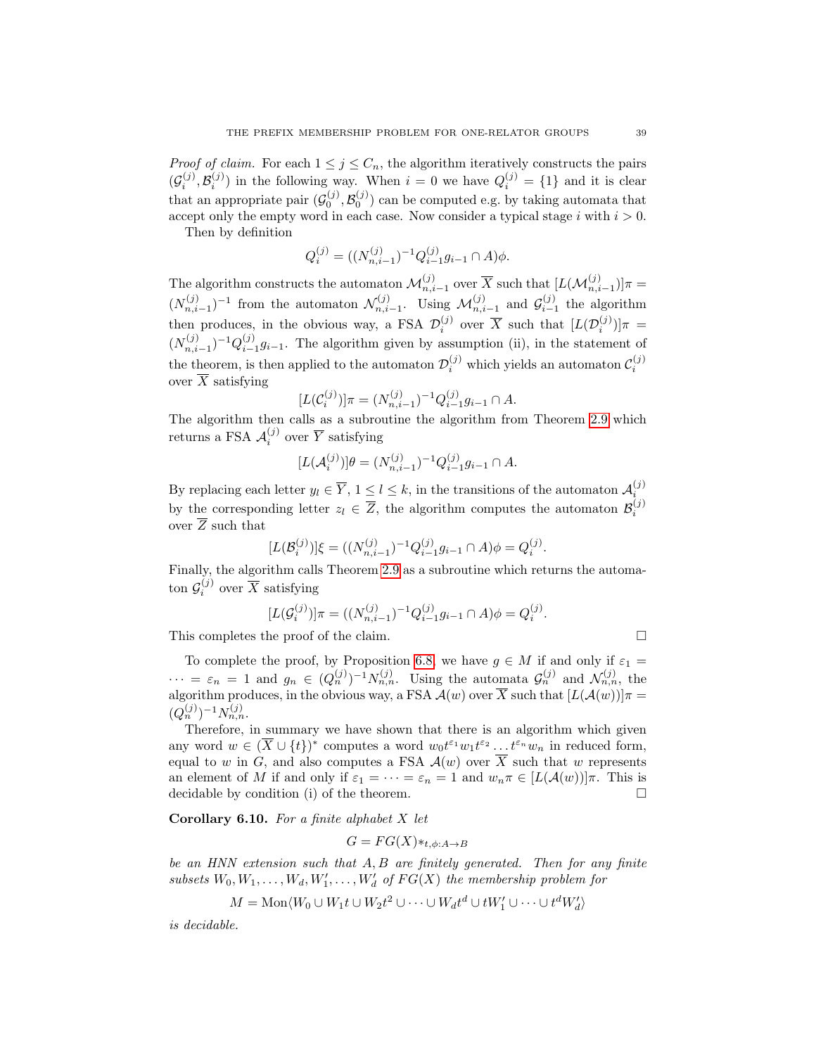*Proof of claim.* For each  $1 \leq j \leq C_n$ , the algorithm iteratively constructs the pairs  $(\mathcal{G}_i^{(j)}, \mathcal{B}_i^{(j)})$  in the following way. When  $i = 0$  we have  $Q_i^{(j)} = \{1\}$  and it is clear that an appropriate pair  $(\mathcal{G}_0^{(j)}, \mathcal{B}_0^{(j)})$  can be computed e.g. by taking automata that accept only the empty word in each case. Now consider a typical stage i with  $i > 0$ .

Then by definition

$$
Q_i^{(j)} = ((N_{n,i-1}^{(j)})^{-1} Q_{i-1}^{(j)} g_{i-1} \cap A) \phi.
$$

The algorithm constructs the automaton  $\mathcal{M}_{n,i-1}^{(j)}$  over  $\overline{X}$  such that  $[L(\mathcal{M}_{n,i-1}^{(j)})]\pi =$  $(N_{n,i-1}^{(j)})^{-1}$  from the automaton  $\mathcal{N}_{n,i-1}^{(j)}$ . Using  $\mathcal{M}_{n,i-1}^{(j)}$  and  $\mathcal{G}_{i-1}^{(j)}$  the algorithm then produces, in the obvious way, a FSA  $\mathcal{D}_i^{(j)}$  over  $\overline{X}$  such that  $[L(\mathcal{D}_i^{(j)})] \pi =$  $(N_{n,i-1}^{(j)})^{-1}Q_{i-1}^{(j)}g_{i-1}$ . The algorithm given by assumption (ii), in the statement of the theorem, is then applied to the automaton  $\mathcal{D}_i^{(j)}$  which yields an automaton  $\mathcal{C}_i^{(j)}$ over  $\overline{X}$  satisfying

$$
[L(\mathcal{C}_i^{(j)})] \pi = (N_{n,i-1}^{(j)})^{-1} Q_{i-1}^{(j)} g_{i-1} \cap A.
$$

The algorithm then calls as a subroutine the algorithm from Theorem [2.9](#page-8-0) which returns a FSA  $\mathcal{A}_i^{(j)}$  over  $\overline{Y}$  satisfying

$$
[L(\mathcal{A}_i^{(j)})]\theta = (N_{n,i-1}^{(j)})^{-1}Q_{i-1}^{(j)}g_{i-1} \cap A.
$$

By replacing each letter  $y_l \in \overline{Y}$ ,  $1 \leq l \leq k$ , in the transitions of the automaton  $\mathcal{A}_i^{(j)}$ by the corresponding letter  $z_l \in \overline{Z}$ , the algorithm computes the automaton  $\mathcal{B}_i^{(j)}$ over  $\overline{Z}$  such that

$$
[L(\mathcal{B}_{i}^{(j)})]\xi = ((N_{n,i-1}^{(j)})^{-1}Q_{i-1}^{(j)}g_{i-1} \cap A)\phi = Q_{i}^{(j)}.
$$

Finally, the algorithm calls Theorem [2.9](#page-8-0) as a subroutine which returns the automaton  $\mathcal{G}_i^{(j)}$  over  $\overline{X}$  satisfying

$$
[L(\mathcal{G}_i^{(j)})]\pi = ((N_{n,i-1}^{(j)})^{-1}Q_{i-1}^{(j)}g_{i-1} \cap A)\phi = Q_i^{(j)}.
$$

This completes the proof of the claim.

To complete the proof, by Proposition [6.8,](#page-35-0) we have  $g \in M$  if and only if  $\varepsilon_1 =$  $\cdots = \varepsilon_n = 1$  and  $g_n \in (Q_n^{(j)})^{-1} N_{n,n}^{(j)}$ . Using the automata  $\mathcal{G}_n^{(j)}$  and  $\mathcal{N}_{n,n}^{(j)}$ , the algorithm produces, in the obvious way, a FSA  $\mathcal{A}(w)$  over X such that  $[L(\mathcal{A}(w))]$  $\pi$  =  $(Q_n^{(j)})^{-1}N_{n,n}^{(j)}.$ 

Therefore, in summary we have shown that there is an algorithm which given any word  $w \in (\overline{X} \cup \{t\})^*$  computes a word  $w_0 t^{\varepsilon_1} w_1 t^{\varepsilon_2} \dots t^{\varepsilon_n} w_n$  in reduced form, equal to w in G, and also computes a FSA  $\mathcal{A}(w)$  over  $\overline{X}$  such that w represents an element of M if and only if  $\varepsilon_1 = \cdots = \varepsilon_n = 1$  and  $w_n \pi \in [L(\mathcal{A}(w))] \pi$ . This is decidable by condition (i) of the theorem.

<span id="page-38-0"></span>**Corollary 6.10.** For a finite alphabet  $X$  let

$$
G = FG(X) *_{t, \phi: A \to B}
$$

be an HNN extension such that A, B are finitely generated. Then for any finite subsets  $W_0, W_1, \ldots, W_d, W'_1, \ldots, W'_d$  of  $FG(X)$  the membership problem for

$$
M = \text{Mon}\langle W_0 \cup W_1 t \cup W_2 t^2 \cup \cdots \cup W_d t^d \cup t W'_1 \cup \cdots \cup t^d W'_d \rangle
$$

is decidable.

$$
\qquad \qquad \Box
$$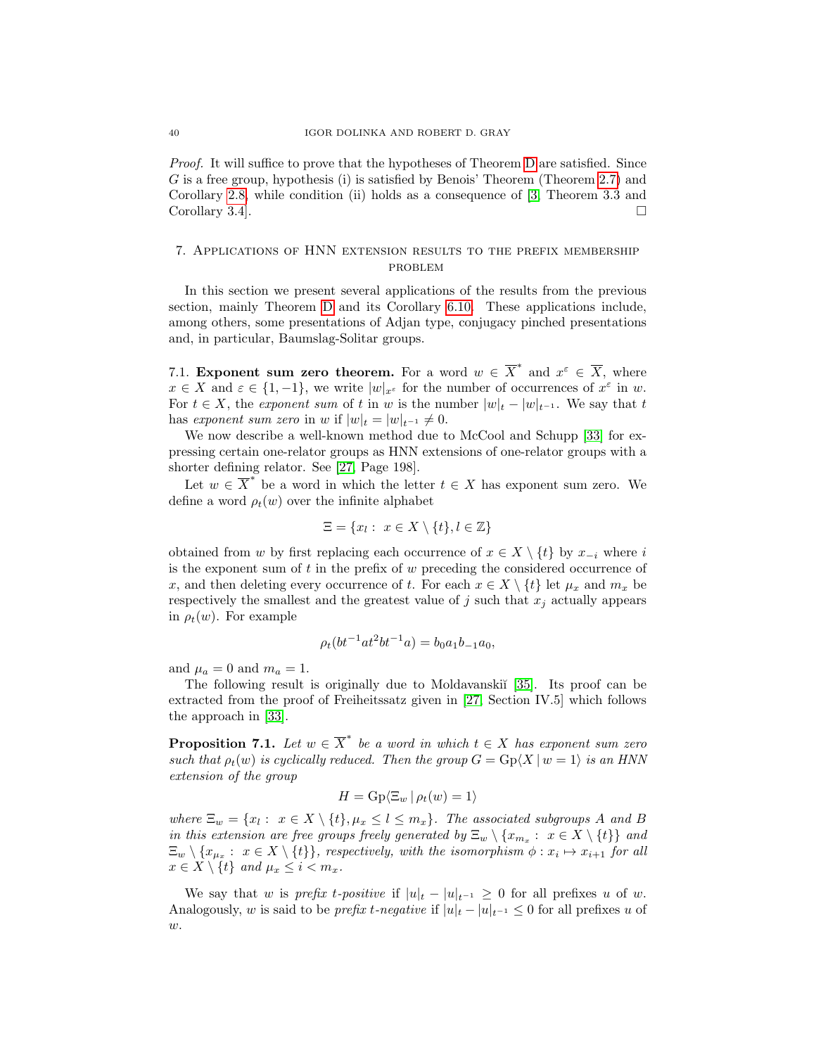Proof. It will suffice to prove that the hypotheses of Theorem [D](#page-31-1) are satisfied. Since G is a free group, hypothesis (i) is satisfied by Benois' Theorem (Theorem [2.7\)](#page-7-1) and Corollary [2.8,](#page-8-1) while condition (ii) holds as a consequence of [\[3,](#page-47-15) Theorem 3.3 and Corollary 3.4]. □

# <span id="page-39-0"></span>7. Applications of HNN extension results to the prefix membership problem

In this section we present several applications of the results from the previous section, mainly Theorem [D](#page-31-1) and its Corollary [6.10.](#page-38-0) These applications include, among others, some presentations of Adjan type, conjugacy pinched presentations and, in particular, Baumslag-Solitar groups.

7.1. Exponent sum zero theorem. For a word  $w \in \overline{X}^*$  and  $x^{\varepsilon} \in \overline{X}$ , where  $x \in X$  and  $\varepsilon \in \{1, -1\}$ , we write  $|w|_{x^{\varepsilon}}$  for the number of occurrences of  $x^{\varepsilon}$  in w. For  $t \in X$ , the exponent sum of t in w is the number  $|w|_{t} - |w|_{t-1}$ . We say that t has exponent sum zero in w if  $|w|_t = |w|_{t^{-1}} \neq 0$ .

We now describe a well-known method due to McCool and Schupp [\[33\]](#page-48-2) for expressing certain one-relator groups as HNN extensions of one-relator groups with a shorter defining relator. See [\[27,](#page-48-3) Page 198].

Let  $w \in \overline{X}^*$  be a word in which the letter  $t \in X$  has exponent sum zero. We define a word  $\rho_t(w)$  over the infinite alphabet

$$
\Xi = \{x_l : x \in X \setminus \{t\}, l \in \mathbb{Z}\}
$$

obtained from w by first replacing each occurrence of  $x \in X \setminus \{t\}$  by  $x_{-i}$  where i is the exponent sum of  $t$  in the prefix of  $w$  preceding the considered occurrence of x, and then deleting every occurrence of t. For each  $x \in X \setminus \{t\}$  let  $\mu_x$  and  $m_x$  be respectively the smallest and the greatest value of  $j$  such that  $x_j$  actually appears in  $\rho_t(w)$ . For example

$$
\rho_t(bt^{-1}at^2bt^{-1}a) = b_0a_1b_{-1}a_0,
$$

and  $\mu_a = 0$  and  $m_a = 1$ .

The following result is originally due to Moldavanski $\tilde{a}$  [\[35\]](#page-48-4). Its proof can be extracted from the proof of Freiheitssatz given in [\[27,](#page-48-3) Section IV.5] which follows the approach in [\[33\]](#page-48-2).

<span id="page-39-1"></span>**Proposition 7.1.** Let  $w \in \overline{X}^*$  be a word in which  $t \in X$  has exponent sum zero such that  $\rho_t(w)$  is cyclically reduced. Then the group  $G = \text{Gp}(X \mid w = 1)$  is an HNN extension of the group

$$
H = \mathrm{Gp}\langle \Xi_w | \rho_t(w) = 1 \rangle
$$

where  $\Xi_w = \{x_l : x \in X \setminus \{t\}, \mu_x \leq l \leq m_x\}$ . The associated subgroups A and B in this extension are free groups freely generated by  $\Xi_w \setminus {\{x_{m_x} : x \in X \setminus \{t\}}\}$  and  $\Xi_w \setminus \{x_{\mu_x} : x \in X \setminus \{t\} \},$  respectively, with the isomorphism  $\phi : x_i \mapsto x_{i+1}$  for all  $x \in X \setminus \{t\}$  and  $\mu_x \leq i < m_x$ .

We say that w is prefix t-positive if  $|u|_t - |u|_{t^{-1}} \geq 0$  for all prefixes u of w. Analogously, w is said to be *prefix t-negative* if  $|u|_t - |u|_{t^{-1}} \leq 0$  for all prefixes u of  $w$ .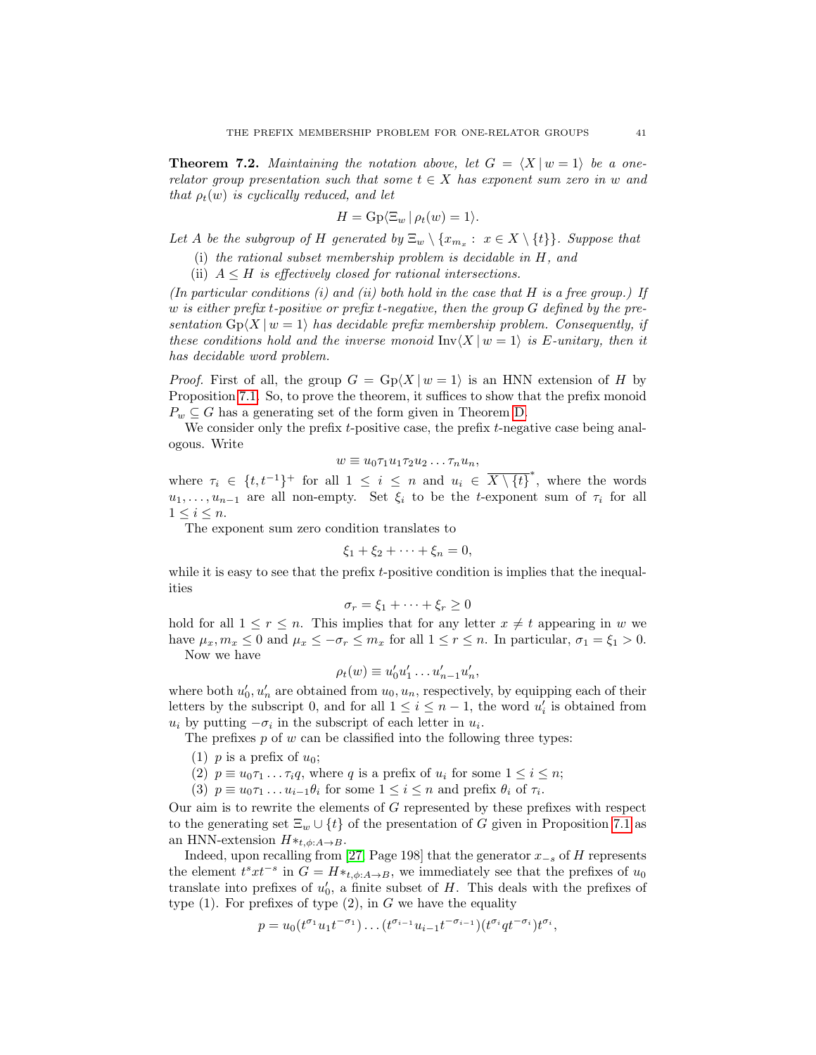<span id="page-40-0"></span>**Theorem 7.2.** Maintaining the notation above, let  $G = \langle X | w = 1 \rangle$  be a onerelator group presentation such that some  $t \in X$  has exponent sum zero in w and that  $\rho_t(w)$  is cyclically reduced, and let

$$
H = \operatorname{Gp}\langle \Xi_w | \rho_t(w) = 1 \rangle.
$$

Let A be the subgroup of H generated by  $\Xi_w \setminus \{x_{m_x} : x \in X \setminus \{t\}\}\$ . Suppose that

(i) the rational subset membership problem is decidable in H, and

(ii)  $A \leq H$  is effectively closed for rational intersections.

(In particular conditions  $(i)$  and  $(ii)$  both hold in the case that H is a free group.) If w is either prefix t-positive or prefix t-negative, then the group  $G$  defined by the presentation  $Gp\langle X | w = 1 \rangle$  has decidable prefix membership problem. Consequently, if these conditions hold and the inverse monoid  $\text{Inv}\langle X | w = 1 \rangle$  is E-unitary, then it has decidable word problem.

*Proof.* First of all, the group  $G = Gp\langle X | w = 1 \rangle$  is an HNN extension of H by Proposition [7.1.](#page-39-1) So, to prove the theorem, it suffices to show that the prefix monoid  $P_w \subseteq G$  has a generating set of the form given in Theorem [D.](#page-31-1)

We consider only the prefix  $t$ -positive case, the prefix  $t$ -negative case being analogous. Write

$$
w \equiv u_0 \tau_1 u_1 \tau_2 u_2 \dots \tau_n u_n,
$$

where  $\tau_i \in \{t, t^{-1}\}^+$  for all  $1 \leq i \leq n$  and  $u_i \in \overline{X \setminus \{t\}}^*$ , where the words  $u_1, \ldots, u_{n-1}$  are all non-empty. Set  $\xi_i$  to be the t-exponent sum of  $\tau_i$  for all  $1 \leq i \leq n$ .

The exponent sum zero condition translates to

$$
\xi_1 + \xi_2 + \dots + \xi_n = 0,
$$

while it is easy to see that the prefix t-positive condition is implies that the inequalities

$$
\sigma_r = \xi_1 + \dots + \xi_r \ge 0
$$

hold for all  $1 \leq r \leq n$ . This implies that for any letter  $x \neq t$  appearing in w we have  $\mu_x, m_x \leq 0$  and  $\mu_x \leq -\sigma_r \leq m_x$  for all  $1 \leq r \leq n$ . In particular,  $\sigma_1 = \xi_1 > 0$ . Now we have

$$
\rho_t(w) \equiv u'_0 u'_1 \dots u'_{n-1} u'_n,
$$

where both  $u'_0, u'_n$  are obtained from  $u_0, u_n$ , respectively, by equipping each of their letters by the subscript 0, and for all  $1 \leq i \leq n-1$ , the word  $u'_{i}$  is obtained from  $u_i$  by putting  $-\sigma_i$  in the subscript of each letter in  $u_i$ .

The prefixes  $p$  of  $w$  can be classified into the following three types:

- (1) p is a prefix of  $u_0$ ;
- (2)  $p \equiv u_0 \tau_1 \ldots \tau_i q$ , where q is a prefix of  $u_i$  for some  $1 \leq i \leq n$ ;
- (3)  $p \equiv u_0 \tau_1 \ldots u_{i-1} \theta_i$  for some  $1 \leq i \leq n$  and prefix  $\theta_i$  of  $\tau_i$ .

Our aim is to rewrite the elements of G represented by these prefixes with respect to the generating set  $\Xi_w \cup \{t\}$  of the presentation of G given in Proposition [7.1](#page-39-1) as an HNN-extension  $H*_{{t, \phi}:A \to B}$ .

Indeed, upon recalling from [\[27,](#page-48-3) Page 198] that the generator  $x_{-s}$  of H represents the element  $t^s x t^{-s}$  in  $G = H *_{t,\phi:A\to B}$ , we immediately see that the prefixes of  $u_0$ translate into prefixes of  $u'_0$ , a finite subset of H. This deals with the prefixes of type  $(1)$ . For prefixes of type  $(2)$ , in G we have the equality

$$
p = u_0(t^{\sigma_1}u_1t^{-\sigma_1})\dots(t^{\sigma_{i-1}}u_{i-1}t^{-\sigma_{i-1}})(t^{\sigma_i}qt^{-\sigma_i})t^{\sigma_i},
$$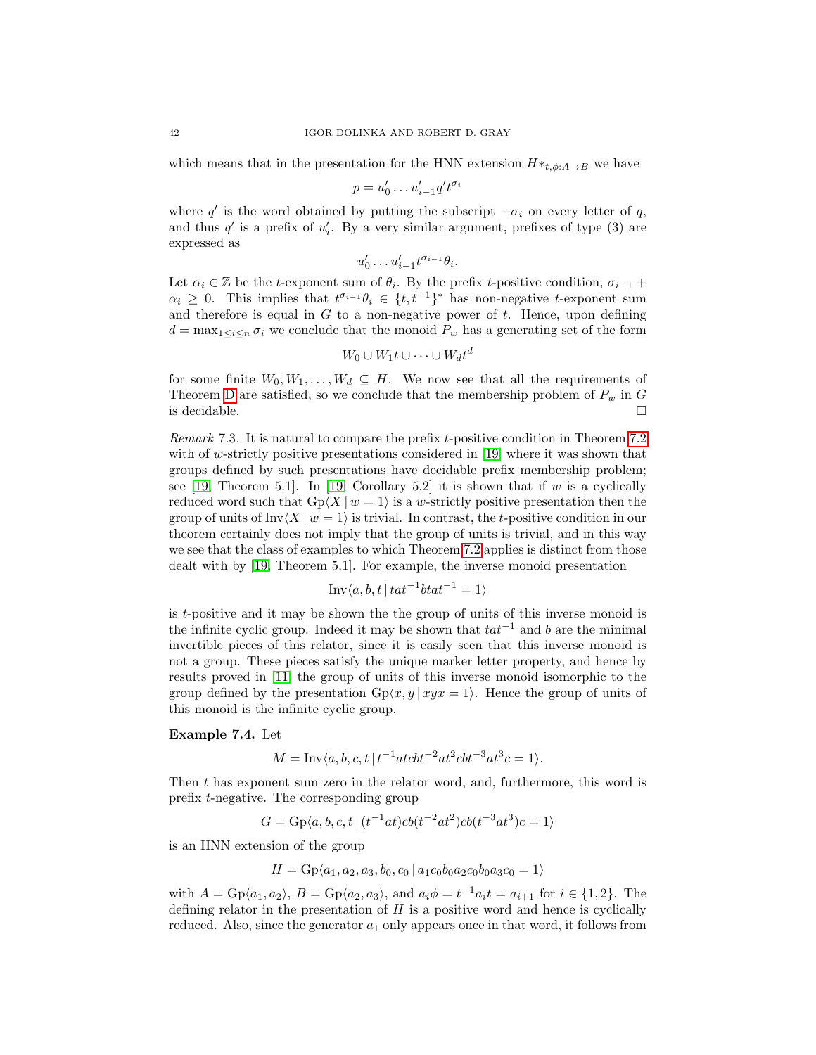which means that in the presentation for the HNN extension  $H*_{{t,\phi}:A\to B}$  we have

$$
p = u'_0 \dots u'_{i-1} q' t^{\sigma_i}
$$

where q' is the word obtained by putting the subscript  $-\sigma_i$  on every letter of q, and thus  $q'$  is a prefix of  $u'_i$ . By a very similar argument, prefixes of type (3) are expressed as

$$
u'_0 \dots u'_{i-1} t^{\sigma_{i-1}} \theta_i.
$$

Let  $\alpha_i \in \mathbb{Z}$  be the t-exponent sum of  $\theta_i$ . By the prefix t-positive condition,  $\sigma_{i-1}$  +  $\alpha_i \geq 0$ . This implies that  $t^{\sigma_{i-1}}\theta_i \in \{t, t^{-1}\}^*$  has non-negative t-exponent sum and therefore is equal in  $G$  to a non-negative power of  $t$ . Hence, upon defining  $d = \max_{1 \leq i \leq n} \sigma_i$  we conclude that the monoid  $P_w$  has a generating set of the form

$$
W_0 \cup W_1 t \cup \cdots \cup W_d t^d
$$

for some finite  $W_0, W_1, \ldots, W_d \subseteq H$ . We now see that all the requirements of Theorem [D](#page-31-1) are satisfied, so we conclude that the membership problem of  $P_w$  in G is decidable.

Remark 7.3. It is natural to compare the prefix t-positive condition in Theorem [7.2](#page-40-0) with of w-strictly positive presentations considered in [\[19\]](#page-47-3) where it was shown that groups defined by such presentations have decidable prefix membership problem; see [\[19,](#page-47-3) Theorem 5.1]. In [19, Corollary 5.2] it is shown that if  $w$  is a cyclically reduced word such that  $Gp\langle X | w = 1 \rangle$  is a w-strictly positive presentation then the group of units of Inv $\langle X | w = 1 \rangle$  is trivial. In contrast, the t-positive condition in our theorem certainly does not imply that the group of units is trivial, and in this way we see that the class of examples to which Theorem [7.2](#page-40-0) applies is distinct from those dealt with by [\[19,](#page-47-3) Theorem 5.1]. For example, the inverse monoid presentation

$$
Inv\langle a, b, t | tat^{-1}btat^{-1} = 1 \rangle
$$

is t-positive and it may be shown the the group of units of this inverse monoid is the infinite cyclic group. Indeed it may be shown that  $tat^{-1}$  and b are the minimal invertible pieces of this relator, since it is easily seen that this inverse monoid is not a group. These pieces satisfy the unique marker letter property, and hence by results proved in [\[11\]](#page-47-12) the group of units of this inverse monoid isomorphic to the group defined by the presentation  $Gp\langle x, y | xyx = 1 \rangle$ . Hence the group of units of this monoid is the infinite cyclic group.

## Example 7.4. Let

$$
M = Inv\langle a, b, c, t | t^{-1}atcbt^{-2}at^2cbt^{-3}at^3c = 1 \rangle.
$$

Then t has exponent sum zero in the relator word, and, furthermore, this word is prefix t-negative. The corresponding group

$$
G = \text{Gp}\langle a, b, c, t \mid (t^{-1}at)cb(t^{-2}at^2)cb(t^{-3}at^3)c = 1 \rangle
$$

is an HNN extension of the group

$$
H = \mathrm{Gp}\langle a_1, a_2, a_3, b_0, c_0 \, | \, a_1 c_0 b_0 a_2 c_0 b_0 a_3 c_0 = 1 \rangle
$$

with  $A = \text{Gp}(a_1, a_2), B = \text{Gp}(a_2, a_3), \text{ and } a_i \phi = t^{-1} a_i t = a_{i+1} \text{ for } i \in \{1, 2\}.$  The defining relator in the presentation of  $H$  is a positive word and hence is cyclically reduced. Also, since the generator  $a_1$  only appears once in that word, it follows from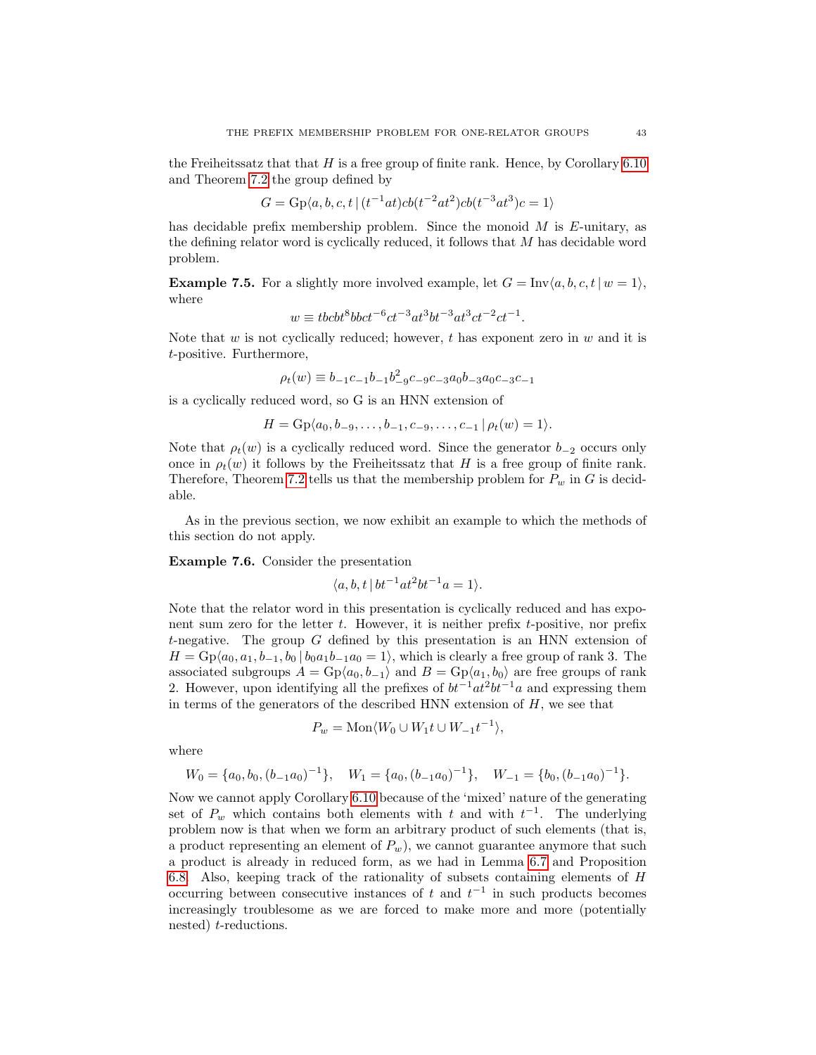the Freiheitssatz that that  $H$  is a free group of finite rank. Hence, by Corollary [6.10](#page-38-0) and Theorem [7.2](#page-40-0) the group defined by

$$
G = \text{Gp}\langle a, b, c, t \mid (t^{-1}at)cb(t^{-2}at^2)cb(t^{-3}at^3)c = 1 \rangle
$$

has decidable prefix membership problem. Since the monoid  $M$  is  $E$ -unitary, as the defining relator word is cyclically reduced, it follows that M has decidable word problem.

**Example 7.5.** For a slightly more involved example, let  $G = \text{Inv}\langle a, b, c, t | w = 1 \rangle$ , where

$$
w \equiv t b c b t^8 b b c t^{-6} c t^{-3} a t^3 b t^{-3} a t^3 c t^{-2} c t^{-1}.
$$

Note that  $w$  is not cyclically reduced; however,  $t$  has exponent zero in  $w$  and it is t-positive. Furthermore,

$$
\rho_t(w) \equiv b_{-1}c_{-1}b_{-1}b_{-9}^2c_{-9}c_{-3}a_0b_{-3}a_0c_{-3}c_{-1}
$$

is a cyclically reduced word, so G is an HNN extension of

$$
H = \mathcal{G}_P\langle a_0, b_{-9}, \ldots, b_{-1}, c_{-9}, \ldots, c_{-1} | \rho_t(w) = 1 \rangle.
$$

Note that  $\rho_t(w)$  is a cyclically reduced word. Since the generator  $b_{-2}$  occurs only once in  $\rho_t(w)$  it follows by the Freiheitssatz that H is a free group of finite rank. Therefore, Theorem [7.2](#page-40-0) tells us that the membership problem for  $P_w$  in G is decidable.

As in the previous section, we now exhibit an example to which the methods of this section do not apply.

Example 7.6. Consider the presentation

$$
\langle a, b, t \, | \, bt^{-1}at^2bt^{-1}a = 1 \rangle.
$$

Note that the relator word in this presentation is cyclically reduced and has exponent sum zero for the letter  $t$ . However, it is neither prefix  $t$ -positive, nor prefix t-negative. The group  $G$  defined by this presentation is an HNN extension of  $H = \text{Gp}(a_0, a_1, b_{-1}, b_0 | b_0 a_1 b_{-1} a_0 = 1)$ , which is clearly a free group of rank 3. The associated subgroups  $A = \text{Gp}(a_0, b_{-1})$  and  $B = \text{Gp}(a_1, b_0)$  are free groups of rank 2. However, upon identifying all the prefixes of  $bt^{-1}at^2bt^{-1}a$  and expressing them in terms of the generators of the described HNN extension of  $H$ , we see that

$$
P_w = \text{Mon}\langle W_0 \cup W_1 t \cup W_{-1} t^{-1} \rangle,
$$

where

$$
W_0 = \{a_0, b_0, (b_{-1}a_0)^{-1}\}, \quad W_1 = \{a_0, (b_{-1}a_0)^{-1}\}, \quad W_{-1} = \{b_0, (b_{-1}a_0)^{-1}\}.
$$

Now we cannot apply Corollary [6.10](#page-38-0) because of the 'mixed' nature of the generating set of  $P_w$  which contains both elements with t and with  $t^{-1}$ . The underlying problem now is that when we form an arbitrary product of such elements (that is, a product representing an element of  $P_w$ ), we cannot guarantee anymore that such a product is already in reduced form, as we had in Lemma [6.7](#page-33-1) and Proposition [6.8.](#page-35-0) Also, keeping track of the rationality of subsets containing elements of H occurring between consecutive instances of t and  $t^{-1}$  in such products becomes increasingly troublesome as we are forced to make more and more (potentially nested) t-reductions.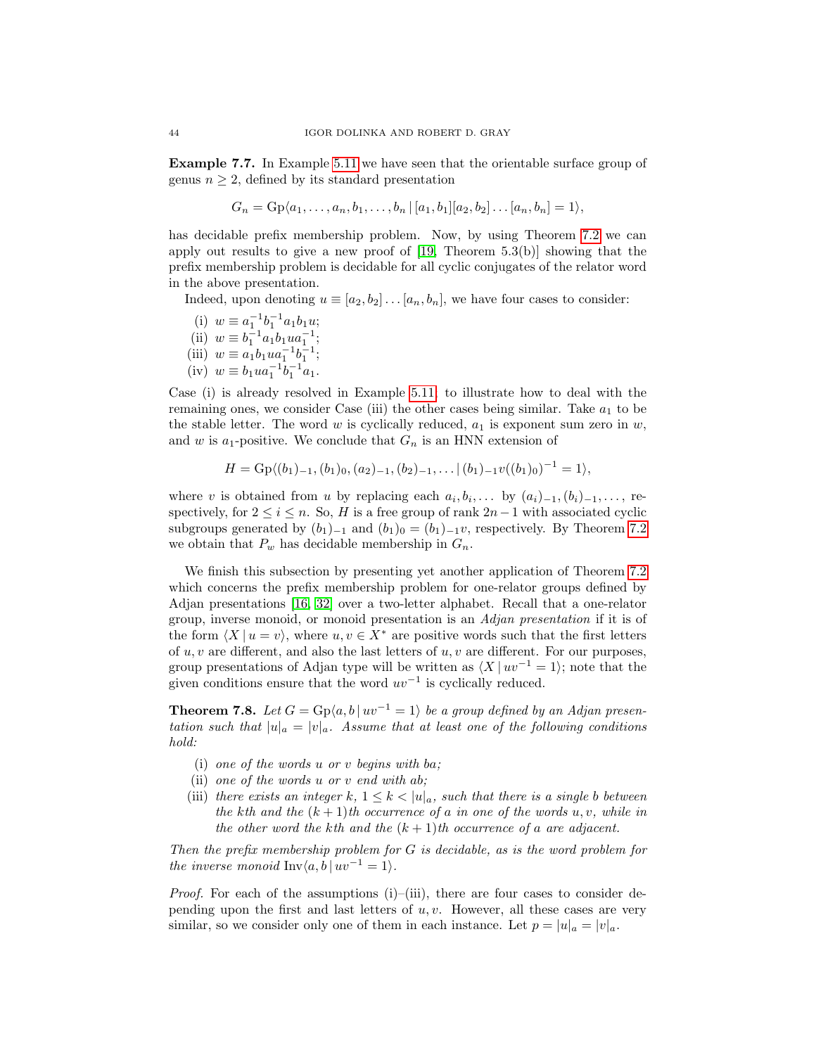Example 7.7. In Example [5.11](#page-30-1) we have seen that the orientable surface group of genus  $n \geq 2$ , defined by its standard presentation

$$
G_n = \mathrm{Gp}\langle a_1, \ldots, a_n, b_1, \ldots, b_n | [a_1, b_1][a_2, b_2] \ldots [a_n, b_n] = 1 \rangle,
$$

has decidable prefix membership problem. Now, by using Theorem [7.2](#page-40-0) we can apply out results to give a new proof of [\[19,](#page-47-3) Theorem 5.3(b)] showing that the prefix membership problem is decidable for all cyclic conjugates of the relator word in the above presentation.

Indeed, upon denoting  $u \equiv [a_2, b_2] \dots [a_n, b_n]$ , we have four cases to consider:

- (i)  $w \equiv a_1^{-1}b_1^{-1}a_1b_1u;$ (ii)  $w \equiv b_1^{-1} a_1 b_1 u a_1^{-1}$ ; (iii)  $w \equiv a_1 b_1 u a_1^{-1} b_1^{-1}$ ;
- (iv)  $w \equiv b_1 u a_1^{-1} b_1^{-1} a_1$ .

Case (i) is already resolved in Example [5.11;](#page-30-1) to illustrate how to deal with the remaining ones, we consider Case (iii) the other cases being similar. Take  $a_1$  to be the stable letter. The word  $w$  is cyclically reduced,  $a_1$  is exponent sum zero in  $w$ , and w is  $a_1$ -positive. We conclude that  $G_n$  is an HNN extension of

$$
H = \mathrm{Gp}\langle (b_1)_{-1}, (b_1)_0, (a_2)_{-1}, (b_2)_{-1}, \ldots | (b_1)_{-1} v((b_1)_0)^{-1} = 1 \rangle,
$$

where v is obtained from u by replacing each  $a_i, b_i, \ldots$  by  $(a_i)_{-1}, (b_i)_{-1}, \ldots$ , respectively, for  $2 \le i \le n$ . So, H is a free group of rank  $2n-1$  with associated cyclic subgroups generated by  $(b_1)_{-1}$  and  $(b_1)_0 = (b_1)_{-1}v$ , respectively. By Theorem [7.2](#page-40-0) we obtain that  $P_w$  has decidable membership in  $G_n$ .

We finish this subsection by presenting yet another application of Theorem [7.2](#page-40-0) which concerns the prefix membership problem for one-relator groups defined by Adjan presentations [\[16,](#page-47-7) [32\]](#page-48-10) over a two-letter alphabet. Recall that a one-relator group, inverse monoid, or monoid presentation is an Adjan presentation if it is of the form  $\langle X | u = v \rangle$ , where  $u, v \in X^*$  are positive words such that the first letters of  $u, v$  are different, and also the last letters of  $u, v$  are different. For our purposes, group presentations of Adjan type will be written as  $\langle X | uv^{-1} = 1 \rangle$ ; note that the given conditions ensure that the word  $uv^{-1}$  is cyclically reduced.

<span id="page-43-0"></span>**Theorem 7.8.** Let  $G = \text{Gp}(a, b | uv^{-1} = 1)$  be a group defined by an Adjan presentation such that  $|u|_a = |v|_a$ . Assume that at least one of the following conditions hold:

- (i) one of the words u or v begins with ba;
- (ii) one of the words u or v end with ab;
- (iii) there exists an integer k,  $1 \leq k < |u|_a$ , such that there is a single b between the kth and the  $(k+1)$ th occurrence of a in one of the words  $u, v$ , while in the other word the kth and the  $(k + 1)$ th occurrence of a are adjacent.

Then the prefix membership problem for G is decidable, as is the word problem for the inverse monoid Inv $\langle a, b | w^{-1} = 1 \rangle$ .

*Proof.* For each of the assumptions (i)–(iii), there are four cases to consider depending upon the first and last letters of  $u, v$ . However, all these cases are very similar, so we consider only one of them in each instance. Let  $p = |u|_a = |v|_a$ .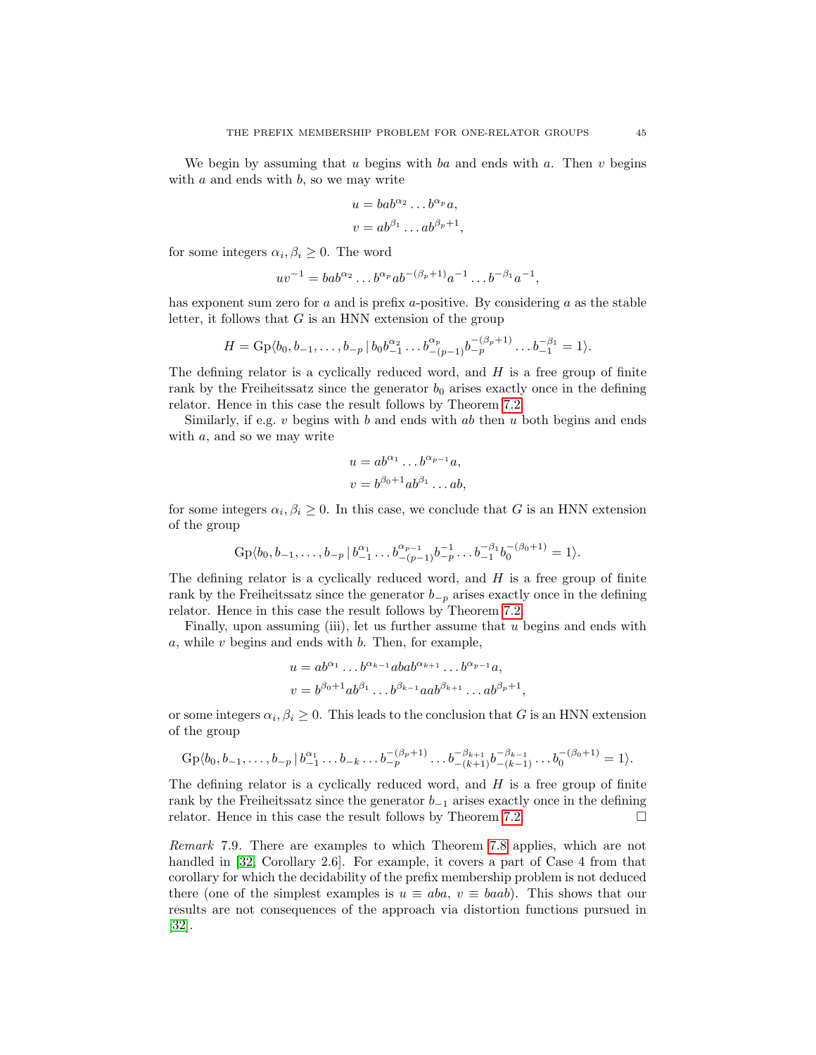We begin by assuming that u begins with ba and ends with a. Then v begins with  $a$  and ends with  $b$ , so we may write

$$
u = bab^{\alpha_2} \dots b^{\alpha_p} a,
$$
  

$$
v = ab^{\beta_1} \dots ab^{\beta_p+1},
$$

for some integers  $\alpha_i, \beta_i \geq 0$ . The word

$$
uv^{-1} = bab^{\alpha_2} \dots b^{\alpha_p} ab^{-(\beta_p+1)} a^{-1} \dots b^{-\beta_1} a^{-1},
$$

has exponent sum zero for  $a$  and is prefix  $a$ -positive. By considering  $a$  as the stable letter, it follows that  $G$  is an HNN extension of the group

$$
H = \mathrm{Gp}\langle b_0, b_{-1}, \ldots, b_{-p} \, | \, b_0 b_{-1}^{\alpha_2} \ldots b_{-(p-1)}^{\alpha_p} b_{-p}^{-(\beta_p+1)} \ldots b_{-1}^{-\beta_1} = 1 \rangle.
$$

The defining relator is a cyclically reduced word, and  $H$  is a free group of finite rank by the Freiheitssatz since the generator  $b_0$  arises exactly once in the defining relator. Hence in this case the result follows by Theorem [7.2.](#page-40-0)

Similarly, if e.g.  $v$  begins with  $b$  and ends with  $ab$  then  $u$  both begins and ends with a, and so we may write

$$
u = ab^{\alpha_1} \dots b^{\alpha_{p-1}} a,
$$
  

$$
v = b^{\beta_0 + 1} ab^{\beta_1} \dots ab,
$$

for some integers  $\alpha_i, \beta_i \geq 0$ . In this case, we conclude that G is an HNN extension of the group

$$
Gp\langle b_0, b_{-1}, \ldots, b_{-p} | b_{-1}^{\alpha_1} \ldots b_{-(p-1)}^{\alpha_{p-1}} b_{-p}^{-1} \ldots b_{-1}^{-\beta_1} b_0^{-(\beta_0+1)} = 1 \rangle.
$$

The defining relator is a cyclically reduced word, and  $H$  is a free group of finite rank by the Freiheitssatz since the generator  $b_{-p}$  arises exactly once in the defining relator. Hence in this case the result follows by Theorem [7.2.](#page-40-0)

Finally, upon assuming (iii), let us further assume that  $u$  begins and ends with  $a$ , while  $v$  begins and ends with  $b$ . Then, for example,

$$
u = ab^{\alpha_1} \dots b^{\alpha_{k-1}} abab^{\alpha_{k+1}} \dots b^{\alpha_{p-1}} a,
$$
  

$$
v = b^{\beta_0 + 1} ab^{\beta_1} \dots b^{\beta_{k-1}} aab^{\beta_{k+1}} \dots ab^{\beta_p + 1}
$$

,

or some integers  $\alpha_i, \beta_i \geq 0$ . This leads to the conclusion that G is an HNN extension of the group

$$
Gp\langle b_0, b_{-1}, \ldots, b_{-p} | b_{-1}^{\alpha_1} \ldots b_{-k} \ldots b_{-p}^{-(\beta_p+1)} \ldots b_{-(k+1)}^{-\beta_{k+1}} b_{-(k-1)}^{-\beta_{k-1}} \ldots b_0^{-(\beta_0+1)} = 1 \rangle.
$$

The defining relator is a cyclically reduced word, and  $H$  is a free group of finite rank by the Freiheitssatz since the generator  $b_{-1}$  arises exactly once in the defining relator. Hence in this case the result follows by Theorem [7.2.](#page-40-0)

Remark 7.9. There are examples to which Theorem [7.8](#page-43-0) applies, which are not handled in [\[32,](#page-48-10) Corollary 2.6]. For example, it covers a part of Case 4 from that corollary for which the decidability of the prefix membership problem is not deduced there (one of the simplest examples is  $u \equiv aba, v \equiv baab$ ). This shows that our results are not consequences of the approach via distortion functions pursued in [\[32\]](#page-48-10).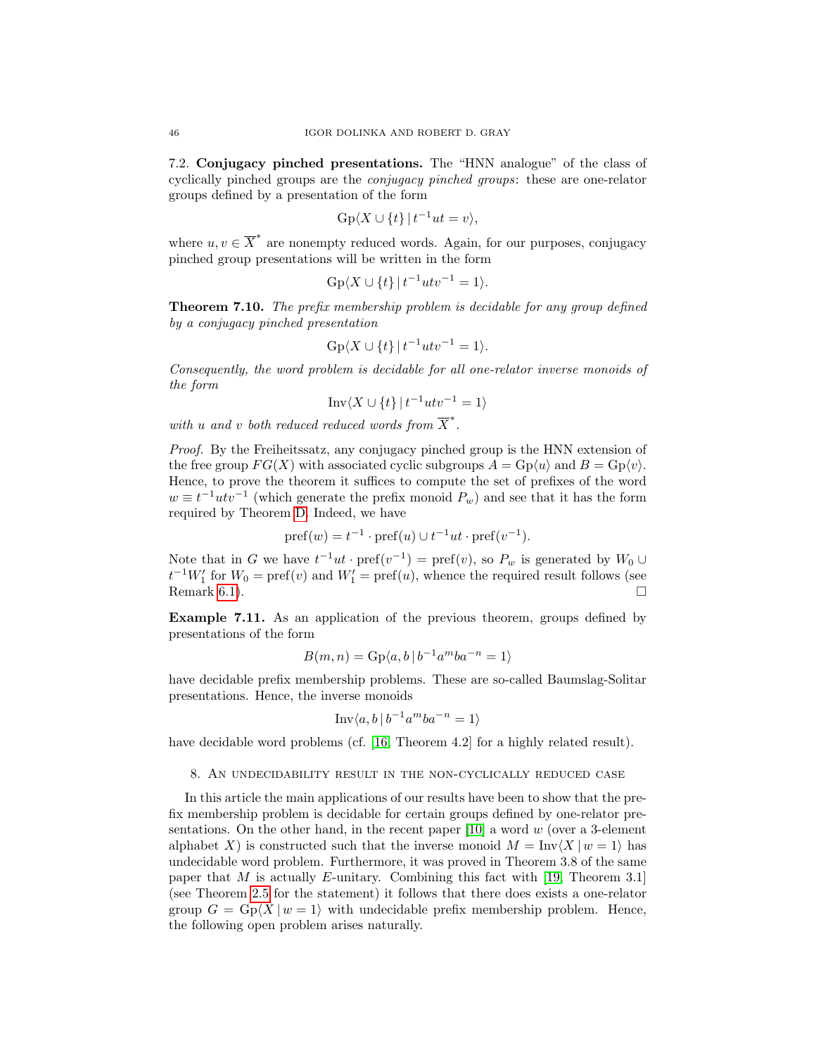7.2. Conjugacy pinched presentations. The "HNN analogue" of the class of cyclically pinched groups are the conjugacy pinched groups: these are one-relator groups defined by a presentation of the form

$$
Gp\langle X \cup \{t\} | t^{-1}ut = v \rangle,
$$

where  $u, v \in \overline{X}^*$  are nonempty reduced words. Again, for our purposes, conjugacy pinched group presentations will be written in the form

$$
Gp\langle X \cup \{t\} | t^{-1}utv^{-1} = 1 \rangle.
$$

<span id="page-45-0"></span>Theorem 7.10. The prefix membership problem is decidable for any group defined by a conjugacy pinched presentation

$$
Gp\langle X \cup \{t\} | t^{-1}utv^{-1} = 1 \rangle.
$$

Consequently, the word problem is decidable for all one-relator inverse monoids of the form

$$
Inv\langle X \cup \{t\} | t^{-1}utv^{-1} = 1 \rangle
$$

with u and v both reduced reduced words from  $\overline{X}^*$ .

Proof. By the Freiheitssatz, any conjugacy pinched group is the HNN extension of the free group  $FG(X)$  with associated cyclic subgroups  $A = Gp\langle u \rangle$  and  $B = Gp\langle v \rangle$ . Hence, to prove the theorem it suffices to compute the set of prefixes of the word  $w \equiv t^{-1}utv^{-1}$  (which generate the prefix monoid  $P_w$ ) and see that it has the form required by Theorem [D.](#page-31-1) Indeed, we have

$$
pref(w)=t^{-1}\cdot pref(u)\cup t^{-1}ut\cdot pref(v^{-1}).
$$

Note that in G we have  $t^{-1}ut \cdot \text{pref}(v^{-1}) = \text{pref}(v)$ , so  $P_w$  is generated by  $W_0 \cup$  $t^{-1}W_1'$  for  $W_0 = \text{pref}(v)$  and  $W_1' = \text{pref}(u)$ , whence the required result follows (see Remark [6.1\)](#page-31-3).

Example 7.11. As an application of the previous theorem, groups defined by presentations of the form

$$
B(m, n) = \operatorname{Gp}\langle a, b \, | \, b^{-1}a^mba^{-n} = 1 \rangle
$$

have decidable prefix membership problems. These are so-called Baumslag-Solitar presentations. Hence, the inverse monoids

$$
\text{Inv}\langle a, b \, | \, b^{-1}a^mba^{-n} = 1 \rangle
$$

have decidable word problems (cf. [\[16,](#page-47-7) Theorem 4.2] for a highly related result).

### <span id="page-45-1"></span>8. An undecidability result in the non-cyclically reduced case

In this article the main applications of our results have been to show that the prefix membership problem is decidable for certain groups defined by one-relator presentations. On the other hand, in the recent paper  $[10]$  a word w (over a 3-element alphabet X) is constructed such that the inverse monoid  $M = \text{Inv}(X | w = 1)$  has undecidable word problem. Furthermore, it was proved in Theorem 3.8 of the same paper that M is actually E-unitary. Combining this fact with [\[19,](#page-47-3) Theorem 3.1] (see Theorem [2.5](#page-7-0) for the statement) it follows that there does exists a one-relator group  $G = \text{Gp}(X \mid w = 1)$  with undecidable prefix membership problem. Hence, the following open problem arises naturally.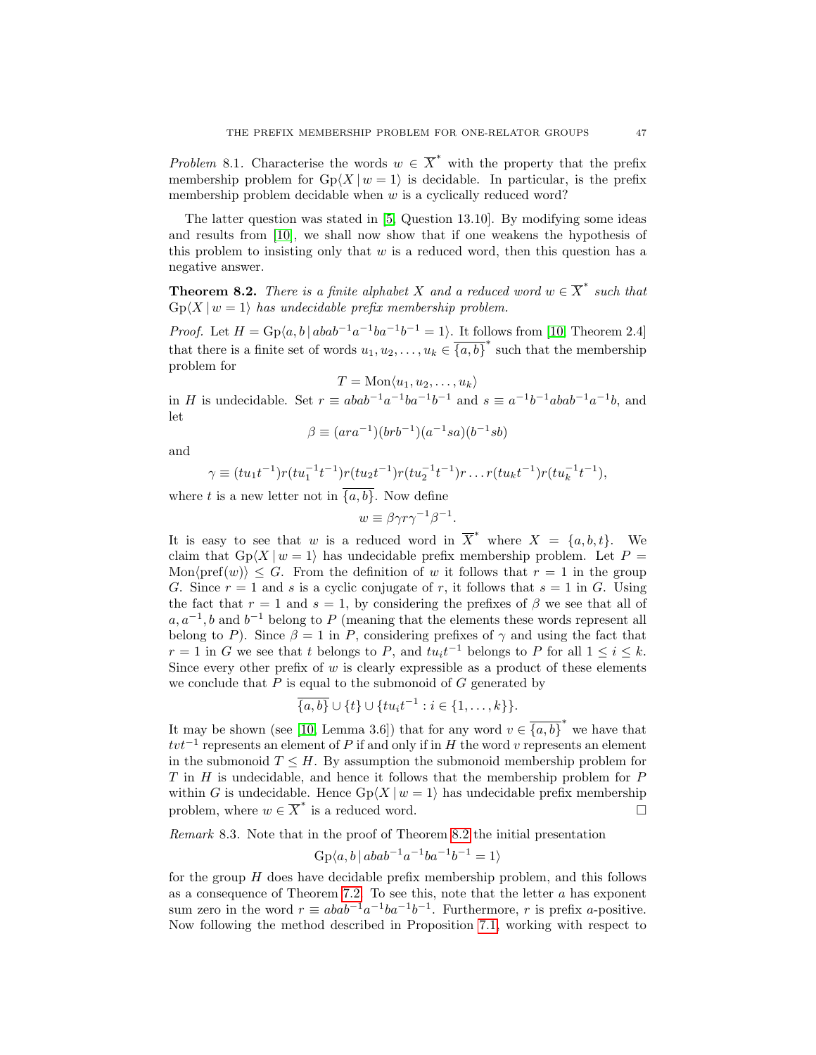Problem 8.1. Characterise the words  $w \in \overline{X}^*$  with the property that the prefix membership problem for  $Gp(X | w = 1)$  is decidable. In particular, is the prefix membership problem decidable when  $w$  is a cyclically reduced word?

The latter question was stated in [\[5,](#page-47-9) Question 13.10]. By modifying some ideas and results from [\[10\]](#page-47-4), we shall now show that if one weakens the hypothesis of this problem to insisting only that  $w$  is a reduced word, then this question has a negative answer.

<span id="page-46-0"></span>**Theorem 8.2.** There is a finite alphabet X and a reduced word  $w \in \overline{X}^*$  such that  $Gp\langle X | w = 1 \rangle$  has undecidable prefix membership problem.

*Proof.* Let  $H = \text{Gp}(a, b \mid abab^{-1}a^{-1}ba^{-1}b^{-1} = 1)$ . It follows from [\[10,](#page-47-4) Theorem 2.4] that there is a finite set of words  $u_1, u_2, \ldots, u_k \in \overline{\{a, b\}}^*$  such that the membership problem for

$$
T = \text{Mon}\langle u_1, u_2, \dots, u_k \rangle
$$

in H is undecidable. Set  $r \equiv abab^{-1}a^{-1}ba^{-1}b^{-1}$  and  $s \equiv a^{-1}b^{-1}abab^{-1}a^{-1}b$ , and let

$$
\beta \equiv (ara^{-1})(brb^{-1})(a^{-1}sa)(b^{-1}sb)
$$

and

$$
\gamma \equiv (tu_1t^{-1})r(tu_1^{-1}t^{-1})r(tu_2t^{-1})r(tu_2^{-1}t^{-1})r \dots r(tu_kt^{-1})r(tu_k^{-1}t^{-1}),
$$

where t is a new letter not in  $\overline{\{a,b\}}$ . Now define

$$
w \equiv \beta \gamma r \gamma^{-1} \beta^{-1}.
$$

It is easy to see that w is a reduced word in  $\overline{X}^*$  where  $X = \{a, b, t\}$ . We claim that  $Gp\langle X | w = 1 \rangle$  has undecidable prefix membership problem. Let  $P =$ Mon $\langle \text{pref}(w) \rangle \leq G$ . From the definition of w it follows that  $r=1$  in the group G. Since  $r = 1$  and s is a cyclic conjugate of r, it follows that  $s = 1$  in G. Using the fact that  $r = 1$  and  $s = 1$ , by considering the prefixes of  $\beta$  we see that all of  $a, a^{-1}, b$  and  $b^{-1}$  belong to P (meaning that the elements these words represent all belong to P). Since  $\beta = 1$  in P, considering prefixes of  $\gamma$  and using the fact that  $r = 1$  in G we see that t belongs to P, and  $tu_i t^{-1}$  belongs to P for all  $1 \leq i \leq k$ . Since every other prefix of  $w$  is clearly expressible as a product of these elements we conclude that  $P$  is equal to the submonoid of  $G$  generated by

$$
\overline{\{a,b\}} \cup \{t\} \cup \{tu_it^{-1} : i \in \{1,\ldots,k\}\}.
$$

It may be shown (see [\[10,](#page-47-4) Lemma 3.6]) that for any word  $v \in \overline{\{a,b\}}^*$  we have that  $tvt^{-1}$  represents an element of P if and only if in H the word v represents an element in the submonoid  $T \leq H$ . By assumption the submonoid membership problem for  $T$  in  $H$  is undecidable, and hence it follows that the membership problem for  $P$ within G is undecidable. Hence  $Gp\langle X | w = 1 \rangle$  has undecidable prefix membership problem, where  $w \in \overline{X}^*$  is a reduced word.

<span id="page-46-1"></span>Remark 8.3. Note that in the proof of Theorem [8.2](#page-46-0) the initial presentation

$$
Gp\langle a, b | abab^{-1}a^{-1}ba^{-1}b^{-1} = 1 \rangle
$$

for the group H does have decidable prefix membership problem, and this follows as a consequence of Theorem [7.2.](#page-40-0) To see this, note that the letter a has exponent sum zero in the word  $r \equiv abab^{-1}a^{-1}ba^{-1}b^{-1}$ . Furthermore, r is prefix a-positive. Now following the method described in Proposition [7.1,](#page-39-1) working with respect to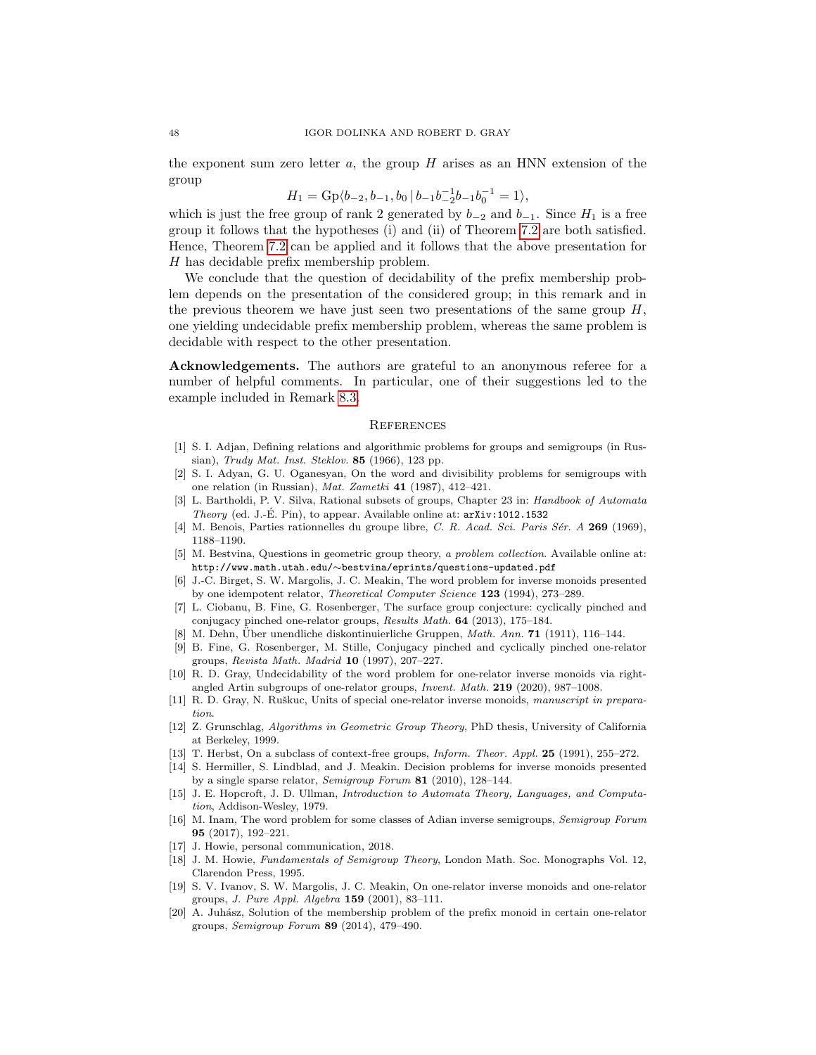the exponent sum zero letter  $a$ , the group  $H$  arises as an HNN extension of the group

 $H_1 = \text{Gp}\langle b_{-2}, b_{-1}, b_0 | b_{-1} b_{-2}^{-1} b_{-1}^{-1} b_0^{-1} = 1 \rangle,$ 

which is just the free group of rank 2 generated by  $b_{-2}$  and  $b_{-1}$ . Since  $H_1$  is a free group it follows that the hypotheses (i) and (ii) of Theorem [7.2](#page-40-0) are both satisfied. Hence, Theorem [7.2](#page-40-0) can be applied and it follows that the above presentation for H has decidable prefix membership problem.

We conclude that the question of decidability of the prefix membership problem depends on the presentation of the considered group; in this remark and in the previous theorem we have just seen two presentations of the same group  $H$ , one yielding undecidable prefix membership problem, whereas the same problem is decidable with respect to the other presentation.

Acknowledgements. The authors are grateful to an anonymous referee for a number of helpful comments. In particular, one of their suggestions led to the example included in Remark [8.3.](#page-46-1)

## **REFERENCES**

- <span id="page-47-1"></span>[1] S. I. Adjan, Defining relations and algorithmic problems for groups and semigroups (in Russian), Trudy Mat. Inst. Steklov. 85 (1966), 123 pp.
- <span id="page-47-2"></span>[2] S. I. Adyan, G. U. Oganesyan, On the word and divisibility problems for semigroups with one relation (in Russian), Mat. Zametki 41 (1987), 412–421.
- <span id="page-47-15"></span>[3] L. Bartholdi, P. V. Silva, Rational subsets of groups, Chapter 23 in: Handbook of Automata Theory (ed. J.-É. Pin), to appear. Available online at:  $arXiv:1012.1532$
- <span id="page-47-10"></span>[4] M. Benois, Parties rationnelles du groupe libre, C. R. Acad. Sci. Paris Sér. A 269 (1969), 1188–1190.
- <span id="page-47-9"></span>[5] M. Bestvina, Questions in geometric group theory, a problem collection. Available online at: http://www.math.utah.edu/∼bestvina/eprints/questions-updated.pdf
- <span id="page-47-11"></span>[6] J.-C. Birget, S. W. Margolis, J. C. Meakin, The word problem for inverse monoids presented by one idempotent relator, Theoretical Computer Science 123 (1994), 273–289.
- <span id="page-47-18"></span>[7] L. Ciobanu, B. Fine, G. Rosenberger, The surface group conjecture: cyclically pinched and conjugacy pinched one-relator groups, Results Math. 64 (2013), 175–184.
- <span id="page-47-0"></span>[8] M. Dehn, Über unendliche diskontinuierliche Gruppen, *Math. Ann.* **71** (1911), 116–144.
- <span id="page-47-19"></span>[9] B. Fine, G. Rosenberger, M. Stille, Conjugacy pinched and cyclically pinched one-relator groups, Revista Math. Madrid 10 (1997), 207–227.
- <span id="page-47-4"></span>[10] R. D. Gray, Undecidability of the word problem for one-relator inverse monoids via rightangled Artin subgroups of one-relator groups, Invent. Math. 219 (2020), 987–1008.
- <span id="page-47-12"></span>[11] R. D. Gray, N. Ruškuc, Units of special one-relator inverse monoids, manuscript in preparation.
- <span id="page-47-5"></span>[12] Z. Grunschlag, Algorithms in Geometric Group Theory, PhD thesis, University of California at Berkeley, 1999.
- <span id="page-47-16"></span>[13] T. Herbst, On a subclass of context-free groups, Inform. Theor. Appl. 25 (1991), 255–272.
- <span id="page-47-6"></span>[14] S. Hermiller, S. Lindblad, and J. Meakin. Decision problems for inverse monoids presented by a single sparse relator, Semigroup Forum 81 (2010), 128–144.
- <span id="page-47-14"></span>[15] J. E. Hopcroft, J. D. Ullman, Introduction to Automata Theory, Languages, and Computation, Addison-Wesley, 1979.
- <span id="page-47-7"></span>[16] M. Inam, The word problem for some classes of Adian inverse semigroups, Semigroup Forum 95 (2017), 192–221.
- <span id="page-47-17"></span>[17] J. Howie, personal communication, 2018.
- <span id="page-47-13"></span>[18] J. M. Howie, Fundamentals of Semigroup Theory, London Math. Soc. Monographs Vol. 12, Clarendon Press, 1995.
- <span id="page-47-3"></span>[19] S. V. Ivanov, S. W. Margolis, J. C. Meakin, On one-relator inverse monoids and one-relator groups, J. Pure Appl. Algebra 159 (2001), 83–111.
- <span id="page-47-8"></span>[20] A. Juhász, Solution of the membership problem of the prefix monoid in certain one-relator groups, Semigroup Forum 89 (2014), 479–490.